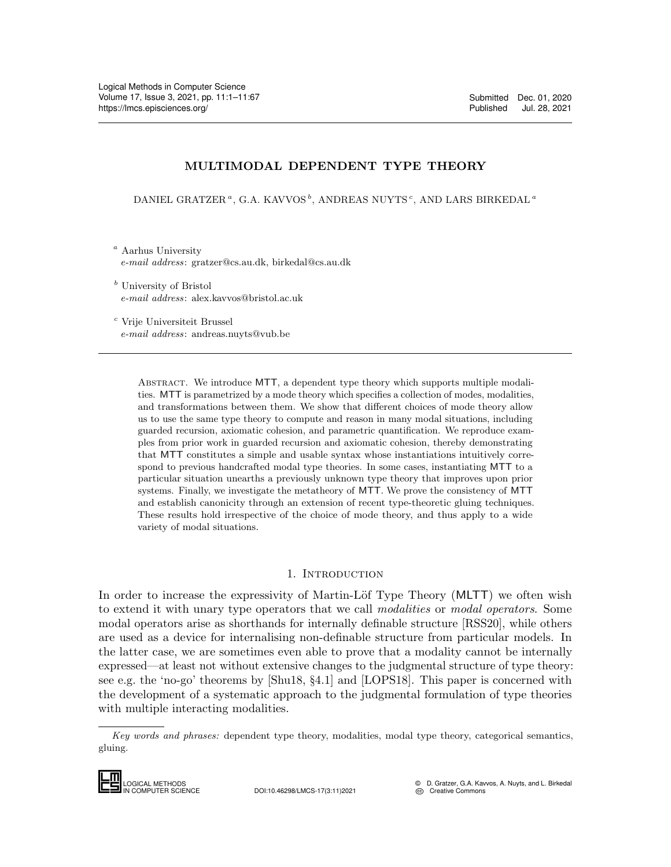# MULTIMODAL DEPENDENT TYPE THEORY

DANIEL GRATZER<sup>a</sup>, G.A. KAVVOS<sup>b</sup>, ANDREAS NUYTS<sup>c</sup>, AND LARS BIRKEDAL<sup>a</sup>

<sup>a</sup> Aarhus University e-mail address: gratzer@cs.au.dk, birkedal@cs.au.dk

<sup>b</sup> University of Bristol e-mail address: alex.kavvos@bristol.ac.uk

<sup>c</sup> Vrije Universiteit Brussel e-mail address: andreas.nuyts@vub.be

> Abstract. We introduce MTT, a dependent type theory which supports multiple modalities. MTT is parametrized by a mode theory which specifies a collection of modes, modalities, and transformations between them. We show that different choices of mode theory allow us to use the same type theory to compute and reason in many modal situations, including guarded recursion, axiomatic cohesion, and parametric quantification. We reproduce examples from prior work in guarded recursion and axiomatic cohesion, thereby demonstrating that MTT constitutes a simple and usable syntax whose instantiations intuitively correspond to previous handcrafted modal type theories. In some cases, instantiating MTT to a particular situation unearths a previously unknown type theory that improves upon prior systems. Finally, we investigate the metatheory of MTT. We prove the consistency of MTT and establish canonicity through an extension of recent type-theoretic gluing techniques. These results hold irrespective of the choice of mode theory, and thus apply to a wide variety of modal situations.

#### 1. Introduction

<span id="page-0-0"></span>In order to increase the expressivity of Martin-Löf Type Theory (MLTT) we often wish to extend it with unary type operators that we call *modalities* or *modal operators*. Some modal operators arise as shorthands for internally definable structure [\[RSS20\]](#page-65-0), while others are used as a device for internalising non-definable structure from particular models. In the latter case, we are sometimes even able to prove that a modality cannot be internally expressed—at least not without extensive changes to the judgmental structure of type theory: see e.g. the 'no-go' theorems by [\[Shu18,](#page-65-1) §4.1] and [\[LOPS18\]](#page-64-0). This paper is concerned with the development of a systematic approach to the judgmental formulation of type theories with multiple interacting modalities. EXPRESSEd—at lease, v<br>
see e.g. the 'no-g<br>
the development<br>
with multiple int<br> *Key words and p*<br>
gluing.<br> **LOGICAL METHODS**<br>
MOGICAL METHODS

Key words and phrases: dependent type theory, modalities, modal type theory, categorical semantics, gluing.



IN COMPUTER SCIENCE DOI:10.46298/LMCS-17(3:11)2021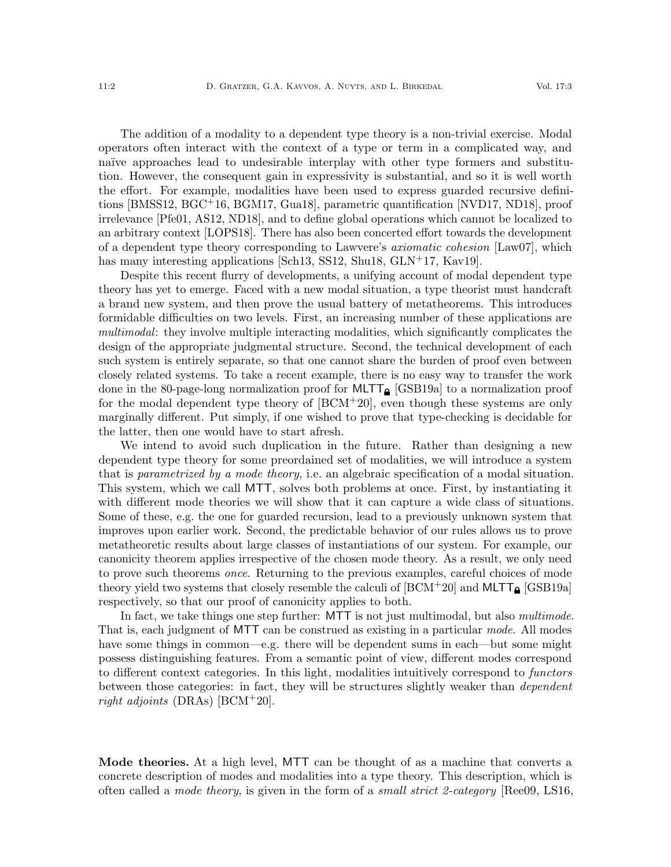The addition of a modality to a dependent type theory is a non-trivial exercise. Modal operators often interact with the context of a type or term in a complicated way, and naïve approaches lead to undesirable interplay with other type formers and substitution. However, the consequent gain in expressivity is substantial, and so it is well worth the effort. For example, modalities have been used to express guarded recursive definitions [\[BMSS12,](#page-63-0) [BGC](#page-63-1)+16, [BGM17,](#page-63-2) [Gua18\]](#page-64-1), parametric quantification [\[NVD17,](#page-65-2) [ND18\]](#page-65-3), proof irrelevance [\[Pfe01,](#page-65-4) [AS12,](#page-62-0) [ND18\]](#page-65-3), and to define global operations which cannot be localized to an arbitrary context [\[LOPS18\]](#page-64-0). There has also been concerted effort towards the development of a dependent type theory corresponding to Lawvere's *axiomatic cohesion* [\[Law07\]](#page-64-2), which has many interesting applications [\[Sch13,](#page-65-5) [SS12,](#page-66-1) [Shu18,](#page-65-1) [GLN](#page-64-3)<sup>+</sup>17, [Kav19\]](#page-64-4).

Despite this recent flurry of developments, a unifying account of modal dependent type theory has yet to emerge. Faced with a new modal situation, a type theorist must handcraft a brand new system, and then prove the usual battery of metatheorems. This introduces formidable difficulties on two levels. First, an increasing number of these applications are multimodal: they involve multiple interacting modalities, which significantly complicates the design of the appropriate judgmental structure. Second, the technical development of each such system is entirely separate, so that one cannot share the burden of proof even between closely related systems. To take a recent example, there is no easy way to transfer the work done in the 80-page-long normalization proof for  $MLTT_{\text{A}}$  [\[GSB19a\]](#page-64-5) to a normalization proof for the modal dependent type theory of [\[BCM](#page-63-3)+20], even though these systems are only marginally different. Put simply, if one wished to prove that type-checking is decidable for the latter, then one would have to start afresh.

We intend to avoid such duplication in the future. Rather than designing a new dependent type theory for some preordained set of modalities, we will introduce a system that is parametrized by a mode theory, i.e. an algebraic specification of a modal situation. This system, which we call MTT, solves both problems at once. First, by instantiating it with different mode theories we will show that it can capture a wide class of situations. Some of these, e.g. the one for guarded recursion, lead to a previously unknown system that improves upon earlier work. Second, the predictable behavior of our rules allows us to prove metatheoretic results about large classes of instantiations of our system. For example, our canonicity theorem applies irrespective of the chosen mode theory. As a result, we only need to prove such theorems once. Returning to the previous examples, careful choices of mode theory yield two systems that closely resemble the calculi of  $[BCM^+20]$  and  $MLTT_{\text{A}}$   $[GSB19a]$ respectively, so that our proof of canonicity applies to both.

In fact, we take things one step further: MTT is not just multimodal, but also *multimode*. That is, each judgment of MTT can be construed as existing in a particular mode. All modes have some things in common—e.g. there will be dependent sums in each—but some might possess distinguishing features. From a semantic point of view, different modes correspond to different context categories. In this light, modalities intuitively correspond to functors between those categories: in fact, they will be structures slightly weaker than *dependent* right adjoints (DRAs) [\[BCM](#page-63-3)<sup>+</sup>20].

Mode theories. At a high level, MTT can be thought of as a machine that converts a concrete description of modes and modalities into a type theory. This description, which is often called a *mode theory*, is given in the form of a *small strict 2-category* [\[Ree09,](#page-65-6) [LS16,](#page-64-6)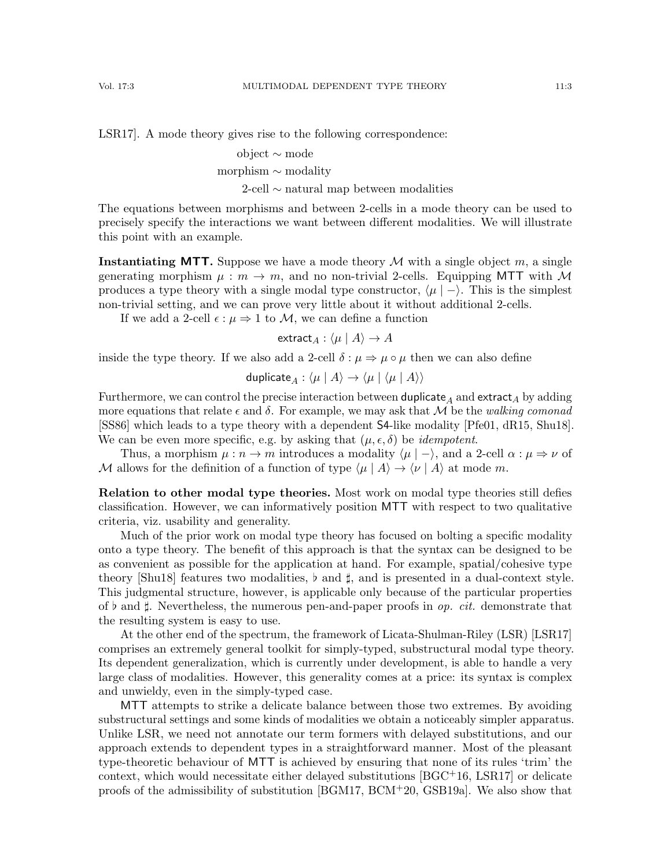[LSR17\]](#page-64-7). A mode theory gives rise to the following correspondence:

## object ∼ mode

morphism ∼ modality

2-cell ∼ natural map between modalities

The equations between morphisms and between 2-cells in a mode theory can be used to precisely specify the interactions we want between different modalities. We will illustrate this point with an example.

**Instantiating MTT.** Suppose we have a mode theory M with a single object m, a single generating morphism  $\mu : m \to m$ , and no non-trivial 2-cells. Equipping MTT with M produces a type theory with a single modal type constructor,  $\langle \mu | - \rangle$ . This is the simplest non-trivial setting, and we can prove very little about it without additional 2-cells.

If we add a 2-cell  $\epsilon : \mu \Rightarrow 1$  to M, we can define a function

extract<sub>A</sub> :  $\langle \mu | A \rangle \rightarrow A$ 

inside the type theory. If we also add a 2-cell  $\delta : \mu \Rightarrow \mu \circ \mu$  then we can also define

$$
\mathsf{duplicate}_A : \langle \mu \mid A \rangle \to \langle \mu \mid \langle \mu \mid A \rangle \rangle
$$

Furthermore, we can control the precise interaction between duplicate<sub>A</sub> and extract<sub>A</sub> by adding more equations that relate  $\epsilon$  and  $\delta$ . For example, we may ask that M be the walking comonad [\[SS86\]](#page-65-7) which leads to a type theory with a dependent S4-like modality [\[Pfe01,](#page-65-4) [dR15,](#page-63-4) [Shu18\]](#page-65-1). We can be even more specific, e.g. by asking that  $(\mu, \epsilon, \delta)$  be *idempotent*.

Thus, a morphism  $\mu : n \to m$  introduces a modality  $\langle \mu | - \rangle$ , and a 2-cell  $\alpha : \mu \Rightarrow \nu$  of M allows for the definition of a function of type  $\langle \mu | A \rangle \rightarrow \langle \nu | A \rangle$  at mode m.

Relation to other modal type theories. Most work on modal type theories still defies classification. However, we can informatively position MTT with respect to two qualitative criteria, viz. usability and generality.

Much of the prior work on modal type theory has focused on bolting a specific modality onto a type theory. The benefit of this approach is that the syntax can be designed to be as convenient as possible for the application at hand. For example, spatial/cohesive type theory [\[Shu18\]](#page-65-1) features two modalities,  $\flat$  and  $\sharp$ , and is presented in a dual-context style. This judgmental structure, however, is applicable only because of the particular properties of  $\flat$  and  $\sharp$ . Nevertheless, the numerous pen-and-paper proofs in *op. cit.* demonstrate that the resulting system is easy to use.

At the other end of the spectrum, the framework of Licata-Shulman-Riley (LSR) [\[LSR17\]](#page-64-7) comprises an extremely general toolkit for simply-typed, substructural modal type theory. Its dependent generalization, which is currently under development, is able to handle a very large class of modalities. However, this generality comes at a price: its syntax is complex and unwieldy, even in the simply-typed case.

MTT attempts to strike a delicate balance between those two extremes. By avoiding substructural settings and some kinds of modalities we obtain a noticeably simpler apparatus. Unlike LSR, we need not annotate our term formers with delayed substitutions, and our approach extends to dependent types in a straightforward manner. Most of the pleasant type-theoretic behaviour of MTT is achieved by ensuring that none of its rules 'trim' the context, which would necessitate either delayed substitutions  $[BGC<sup>+</sup>16, LSR17]$  $[BGC<sup>+</sup>16, LSR17]$  or delicate proofs of the admissibility of substitution [\[BGM17,](#page-63-2) [BCM](#page-63-3)+20, [GSB19a\]](#page-64-5). We also show that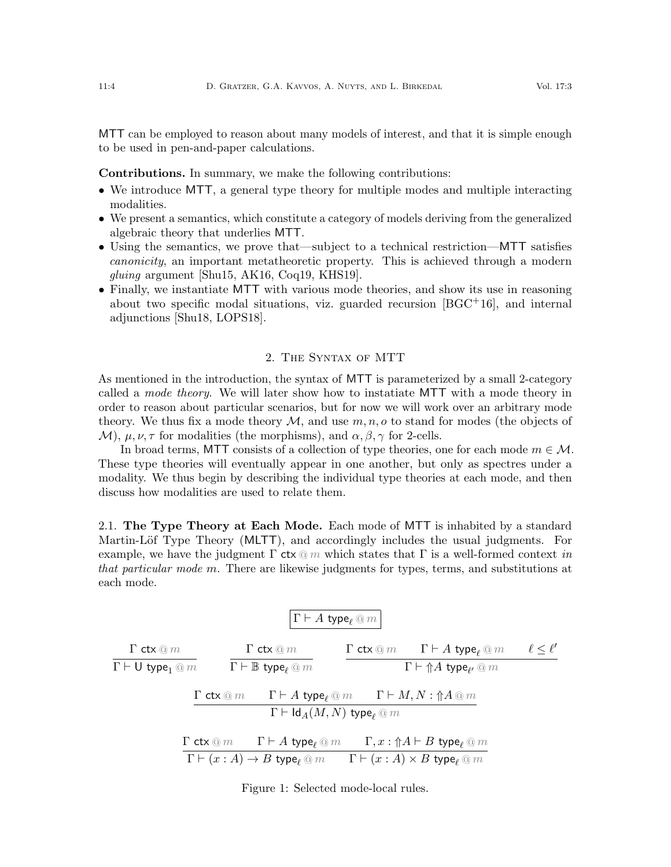MTT can be employed to reason about many models of interest, and that it is simple enough to be used in pen-and-paper calculations.

Contributions. In summary, we make the following contributions:

- We introduce MTT, a general type theory for multiple modes and multiple interacting modalities.
- We present a semantics, which constitute a category of models deriving from the generalized algebraic theory that underlies MTT.
- Using the semantics, we prove that—subject to a technical restriction—MTT satisfies canonicity, an important metatheoretic property. This is achieved through a modern gluing argument [\[Shu15,](#page-65-8) [AK16,](#page-62-1) [Coq19,](#page-63-5) [KHS19\]](#page-64-8).
- Finally, we instantiate MTT with various mode theories, and show its use in reasoning about two specific modal situations, viz. guarded recursion  $[BGC^+16]$ , and internal adjunctions [\[Shu18,](#page-65-1) [LOPS18\]](#page-64-0).

# 2. The Syntax of MTT

<span id="page-3-1"></span>As mentioned in the introduction, the syntax of MTT is parameterized by a small 2-category called a mode theory. We will later show how to instatiate MTT with a mode theory in order to reason about particular scenarios, but for now we will work over an arbitrary mode theory. We thus fix a mode theory  $\mathcal M$ , and use  $m, n, o$  to stand for modes (the objects of M),  $\mu, \nu, \tau$  for modalities (the morphisms), and  $\alpha, \beta, \gamma$  for 2-cells.

In broad terms, MTT consists of a collection of type theories, one for each mode  $m \in \mathcal{M}$ . These type theories will eventually appear in one another, but only as spectres under a modality. We thus begin by describing the individual type theories at each mode, and then discuss how modalities are used to relate them.

2.1. The Type Theory at Each Mode. Each mode of MTT is inhabited by a standard Martin-Löf Type Theory (MLTT), and accordingly includes the usual judgments. For example, we have the judgment  $\Gamma$  ctx  $\textcircled{m}$  which states that  $\Gamma$  is a well-formed context in that particular mode m. There are likewise judgments for types, terms, and substitutions at each mode.

$$
\cfrac{\Gamma \text{ ctx} \text{ @ } m}{\Gamma \vdash \text{U type}_1 \text{ @ } m} \qquad \cfrac{\Gamma \text{ ctx} \text{ @ } m}{\Gamma \vdash \text{B type}_{\ell} \text{ @ } m} \qquad \cfrac{\Gamma \text{ ctx} \text{ @ } m}{\Gamma \vdash \text{A type}_{\ell'} \text{ @ } m} \qquad \cfrac{\Gamma \text{ ctx} \text{ @ } m}{\Gamma \vdash \text{A type}_{\ell'} \text{ @ } m} \qquad \cfrac{\Gamma \text{ ctx} \text{ @ } m}{\Gamma \vdash \text{A type}_{\ell'} \text{ @ } m} \qquad \cfrac{\Gamma \text{ ctx} \text{ @ } m}{\Gamma \vdash \text{Id}_A(M,N) \text{ type}_{\ell} \text{ @ } m}
$$
\n
$$
\cfrac{\Gamma \text{ ctx} \text{ @ } m}{\Gamma \vdash \text{A type}_{\ell} \text{ @ } m} \qquad \cfrac{\Gamma \text{ ctx} \text{ @ } m}{\Gamma \vdash (x:A) \to B \text{ type}_{\ell} \text{ @ } m} \qquad \cfrac{\Gamma, x: \Uparrow A \vdash B \text{ type}_{\ell} \text{ @ } m}{\Gamma \vdash (x:A) \times B \text{ type}_{\ell} \text{ @ } m}
$$

<span id="page-3-0"></span>Figure 1: Selected mode-local rules.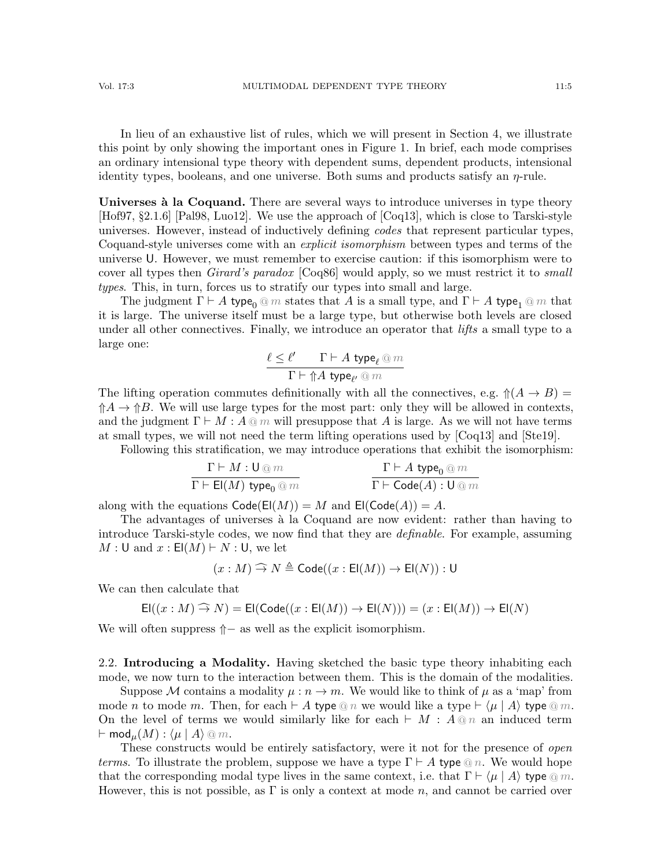In lieu of an exhaustive list of rules, which we will present in Section [4,](#page-11-0) we illustrate this point by only showing the important ones in Figure [1.](#page-3-0) In brief, each mode comprises an ordinary intensional type theory with dependent sums, dependent products, intensional identity types, booleans, and one universe. Both sums and products satisfy an  $\eta$ -rule.

<span id="page-4-0"></span>Universes à la Coquand. There are several ways to introduce universes in type theory [\[Hof97,](#page-64-9) §2.1.6] [\[Pal98,](#page-65-9) [Luo12\]](#page-64-10). We use the approach of [\[Coq13\]](#page-63-6), which is close to Tarski-style universes. However, instead of inductively defining codes that represent particular types, Coquand-style universes come with an explicit isomorphism between types and terms of the universe U. However, we must remember to exercise caution: if this isomorphism were to cover all types then Girard's paradox [\[Coq86\]](#page-63-7) would apply, so we must restrict it to small types. This, in turn, forces us to stratify our types into small and large.

The judgment  $\Gamma \vdash A$  type<sub>0</sub> @ m states that A is a small type, and  $\Gamma \vdash A$  type<sub>1</sub> @ m that it is large. The universe itself must be a large type, but otherwise both levels are closed under all other connectives. Finally, we introduce an operator that *lifts* a small type to a large one:

$$
\frac{\ell \leq \ell' \qquad \Gamma \vdash A\;\mathsf{type}_\ell \mathbin{@} m}{\Gamma \vdash {\Uparrow} A\;\mathsf{type}_{\ell'} \mathbin{@} m}
$$

The lifting operation commutes definitionally with all the connectives, e.g.  $\mathcal{N}(A \to B) =$  $\uparrow A \rightarrow \uparrow B$ . We will use large types for the most part: only they will be allowed in contexts, and the judgment  $\Gamma \vdash M : A \t{{\odot} m}$  will presuppose that A is large. As we will not have terms at small types, we will not need the term lifting operations used by [\[Coq13\]](#page-63-6) and [\[Ste19\]](#page-66-2).

Following this stratification, we may introduce operations that exhibit the isomorphism:

$$
\cfrac{\Gamma \vdash M : \mathsf{U} \oslash m}{\Gamma \vdash \mathsf{El}(M) \ \mathsf{type}_0 \oslash m} \qquad \cfrac{\Gamma \vdash A \ \mathsf{type}_0 \oslash m}{\Gamma \vdash \mathsf{Code}(A) : \mathsf{U} \oslash m}
$$

along with the equations  $\text{Code}(\text{El}(M)) = M$  and  $\text{El}(\text{Code}(A)) = A$ .

The advantages of universes à la Coquand are now evident: rather than having to introduce Tarski-style codes, we now find that they are definable. For example, assuming  $M : U$  and  $x : E(M) \vdash N : U$ , we let

$$
(x:M)\mathbin{\widehat{\to}} N\triangleq{\sf{Code}}((x:{\sf{El}}(M))\to {\sf{El}}(N)): \sf{U}
$$

We can then calculate that

$$
\mathsf{El}((x:M) \widehat{\rightarrow} N) = \mathsf{El}(\mathsf{Code}((x:\mathsf{El}(M))) \rightarrow \mathsf{El}(N))) = (x:\mathsf{El}(M)) \rightarrow \mathsf{El}(N)
$$

We will often suppress  $$\Uparrow -$  as well as the explicit isomorphism.$ 

2.2. Introducing a Modality. Having sketched the basic type theory inhabiting each mode, we now turn to the interaction between them. This is the domain of the modalities.

Suppose M contains a modality  $\mu : n \to m$ . We would like to think of  $\mu$  as a 'map' from mode *n* to mode *m*. Then, for each  $\vdash A$  type  $\textcircled{a} n$  we would like a type  $\vdash \langle \mu | A \rangle$  type  $\textcircled{a} m$ . On the level of terms we would similarly like for each  $\vdash M : A \tildot \eta$  an induced term  $\vdash \textsf{mod}_{\mu}(M) : \langle \mu | A \rangle \otimes m.$ 

These constructs would be entirely satisfactory, were it not for the presence of open *terms*. To illustrate the problem, suppose we have a type  $\Gamma \vdash A$  type  $\textcircled{a} n$ . We would hope that the corresponding modal type lives in the same context, i.e. that  $\Gamma \vdash \langle \mu | A \rangle$  type  $\textcircled{a} m$ . However, this is not possible, as  $\Gamma$  is only a context at mode n, and cannot be carried over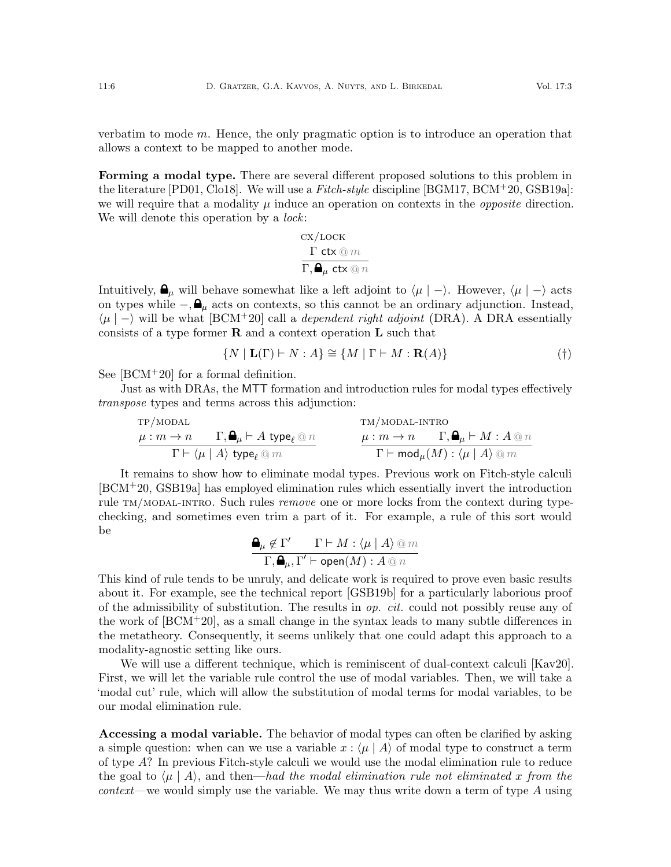verbatim to mode m. Hence, the only pragmatic option is to introduce an operation that allows a context to be mapped to another mode.

Forming a modal type. There are several different proposed solutions to this problem in the literature  $[PD01, Col08]$ . We will use a Fitch-style discipline  $[BGM17, BCM+20, GSB19a]$  $[BGM17, BCM+20, GSB19a]$  $[BGM17, BCM+20, GSB19a]$  $[BGM17, BCM+20, GSB19a]$ : we will require that a modality  $\mu$  induce an operation on contexts in the *opposite* direction. We will denote this operation by a *lock*:

<span id="page-5-0"></span>
$$
\frac{\mathbf{cx}/\mathbf{loc}\mathbf{K}}{\Gamma\cdot\mathbf{A}_{\mu}\mathbf{ct}\mathbf{x}\otimes n}
$$

Intuitively,  $\mathbf{\Theta}_{\mu}$  will behave somewhat like a left adjoint to  $\langle \mu | - \rangle$ . However,  $\langle \mu | - \rangle$  acts on types while  $-\mathbf{Q}_{\mu}$  acts on contexts, so this cannot be an ordinary adjunction. Instead,  $\mu$  | − will be what [\[BCM](#page-63-3)<sup>+</sup>20] call a *dependent right adjoint* (DRA). A DRA essentially consists of a type former  $\bf R$  and a context operation  $\bf L$  such that

$$
\{N \mid \mathbf{L}(\Gamma) \vdash N : A\} \cong \{M \mid \Gamma \vdash M : \mathbf{R}(A)\}\tag{\dagger}
$$

See [\[BCM](#page-63-3)+20] for a formal definition.

Just as with DRAs, the MTT formation and introduction rules for modal types effectively transpose types and terms across this adjunction:

$$
\begin{array}{ccc}\n\text{TP/MODAL} & \text{TM/MODAL-INTRO} \\
\hline\n\mu:m\rightarrow n & \Gamma,\pmb{\Delta}_{\mu}\vdash A\;\text{type}_{\ell}\,\textcircled{2}\,n & \mu:m\rightarrow n & \Gamma,\pmb{\Delta}_{\mu}\vdash M:A\,\textcircled{2}\,n \\ \hline\n\Gamma\vdash\langle\mu\mid A\rangle\;\text{type}_{\ell}\,\textcircled{2}\,m & & \Gamma\vdash\text{mod}_{\mu}(M):\langle\mu\mid A\rangle\,\textcircled{2}\,m\n\end{array}
$$

It remains to show how to eliminate modal types. Previous work on Fitch-style calculi [\[BCM](#page-63-3)+20, [GSB19a\]](#page-64-5) has employed elimination rules which essentially invert the introduction rule TM/MODAL-INTRO. Such rules *remove* one or more locks from the context during typechecking, and sometimes even trim a part of it. For example, a rule of this sort would be

$$
\frac{\mathbf{a}_{\mu} \notin \Gamma' \qquad \Gamma \vdash M : \langle \mu \mid A \rangle \otimes m}{\Gamma, \mathbf{a}_{\mu}, \Gamma' \vdash \mathsf{open}(M) : A \otimes n}
$$

This kind of rule tends to be unruly, and delicate work is required to prove even basic results about it. For example, see the technical report [\[GSB19b\]](#page-64-11) for a particularly laborious proof of the admissibility of substitution. The results in  $op. cit.$  could not possibly reuse any of the work of  $[BCM^+20]$ , as a small change in the syntax leads to many subtle differences in the metatheory. Consequently, it seems unlikely that one could adapt this approach to a modality-agnostic setting like ours.

We will use a different technique, which is reminiscent of dual-context calculi [\[Kav20\]](#page-64-12). First, we will let the variable rule control the use of modal variables. Then, we will take a 'modal cut' rule, which will allow the substitution of modal terms for modal variables, to be our modal elimination rule.

Accessing a modal variable. The behavior of modal types can often be clarified by asking a simple question: when can we use a variable  $x : (\mu | A)$  of modal type to construct a term of type A? In previous Fitch-style calculi we would use the modal elimination rule to reduce the goal to  $\langle \mu | A \rangle$ , and then—had the modal elimination rule not eliminated x from the *context—we* would simply use the variable. We may thus write down a term of type  $A$  using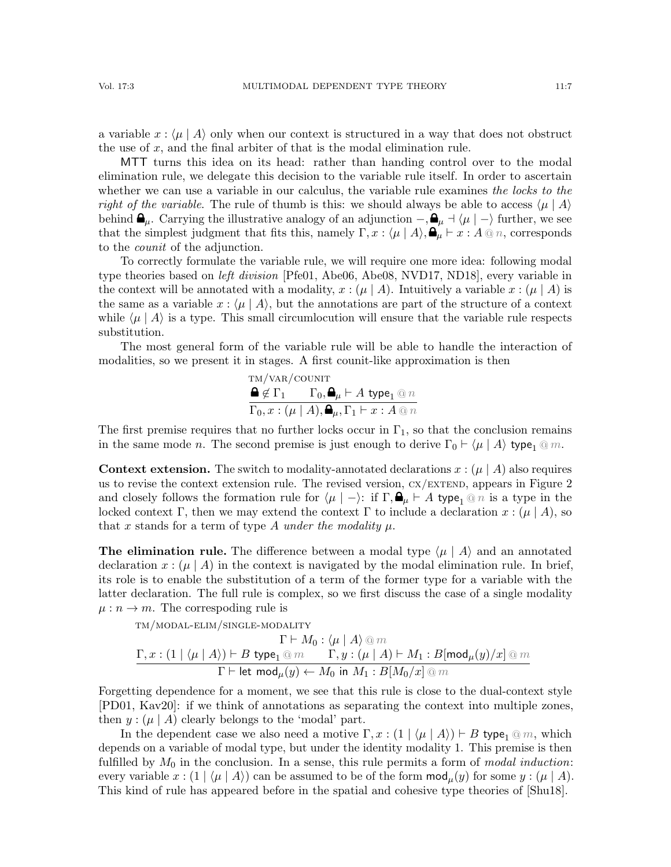a variable  $x : \langle \mu | A \rangle$  only when our context is structured in a way that does not obstruct the use of  $x$ , and the final arbiter of that is the modal elimination rule.

MTT turns this idea on its head: rather than handing control over to the modal elimination rule, we delegate this decision to the variable rule itself. In order to ascertain whether we can use a variable in our calculus, the variable rule examines the locks to the right of the variable. The rule of thumb is this: we should always be able to access  $\langle \mu | A \rangle$ behind  $\mathbf{\Theta}_{\mu}$ . Carrying the illustrative analogy of an adjunction  $-\,$ ,  $\mathbf{\Theta}_{\mu}$  +  $\langle \mu | - \rangle$  further, we see that the simplest judgment that fits this, namely  $\Gamma, x : \langle \mu | A \rangle, \mathbf{P}_{\mu} \vdash x : A \otimes n$ , corresponds to the counit of the adjunction.

To correctly formulate the variable rule, we will require one more idea: following modal type theories based on *left division* [\[Pfe01,](#page-65-4) [Abe06,](#page-62-2) [Abe08,](#page-62-3) [NVD17,](#page-65-2) [ND18\]](#page-65-3), every variable in the context will be annotated with a modality,  $x : (\mu | A)$ . Intuitively a variable  $x : (\mu | A)$  is the same as a variable  $x : (\mu | A)$ , but the annotations are part of the structure of a context while  $\langle \mu | A \rangle$  is a type. This small circumlocution will ensure that the variable rule respects substitution.

The most general form of the variable rule will be able to handle the interaction of modalities, so we present it in stages. A first counit-like approximation is then

<span id="page-6-1"></span>
$$
\begin{array}{l}\n\mathbf{T}M/\mathbf{VAR}/\mathbf{COUNT}\n\\ \n\mathbf{\Theta} \not\in \Gamma_1 \qquad \Gamma_0, \mathbf{\Theta}_{\mu} \vdash A \text{ type}_1 \textcircled{a} n \\
\overline{\Gamma_0, x} : (\mu \mid A), \mathbf{\Theta}_{\mu}, \Gamma_1 \vdash x : A \textcircled{a} n\n\end{array}
$$

The first premise requires that no further locks occur in  $\Gamma_1$ , so that the conclusion remains in the same mode *n*. The second premise is just enough to derive  $\Gamma_0 \vdash \langle \mu | A \rangle$  type<sub>1</sub> @ m.

**Context extension.** The switch to modality-annotated declarations  $x : (\mu | A)$  also requires us to revise the context extension rule. The revised version,  $CX/EXTEND$ , appears in Figure [2](#page-7-2) and closely follows the formation rule for  $\langle \mu | - \rangle$ : if  $\Gamma, \bigoplus_{\mu} \vdash A$  type<sub>1</sub> @ n is a type in the locked context Γ, then we may extend the context Γ to include a declaration  $x : (\mu \mid A)$ , so that x stands for a term of type A under the modality  $\mu$ .

**The elimination rule.** The difference between a modal type  $\langle \mu | A \rangle$  and an annotated declaration  $x : (\mu | A)$  in the context is navigated by the modal elimination rule. In brief, its role is to enable the substitution of a term of the former type for a variable with the latter declaration. The full rule is complex, so we first discuss the case of a single modality  $\mu : n \to m$ . The correspoding rule is

tm/modal-elim/single-modality

<span id="page-6-0"></span>
$$
\frac{\Gamma \vdash M_0 : \langle \mu \mid A \rangle \text{ @ } m}{\Gamma \vdash \text{let } \text{mod}_{\mu}(y) \leftarrow B \text{ type}_1 \text{ @ } m} \quad \Gamma, y : (\mu \mid A) \vdash M_1 : B[\text{mod}_{\mu}(y)/x] \text{ @ } m}{\Gamma \vdash \text{let } \text{mod}_{\mu}(y) \leftarrow M_0 \text{ in } M_1 : B[M_0/x] \text{ @ } m}
$$

Forgetting dependence for a moment, we see that this rule is close to the dual-context style [\[PD01,](#page-65-10) [Kav20\]](#page-64-12): if we think of annotations as separating the context into multiple zones, then  $y : (\mu | A)$  clearly belongs to the 'modal' part.

In the dependent case we also need a motive  $\Gamma, x : (1 | \langle \mu | A \rangle) \vdash B$  type<sub>1</sub> @ m, which depends on a variable of modal type, but under the identity modality 1. This premise is then fulfilled by  $M_0$  in the conclusion. In a sense, this rule permits a form of modal induction: every variable  $x : (1 | \langle \mu | A \rangle)$  can be assumed to be of the form  $mod_{\mu}(y)$  for some  $y : (\mu | A)$ . This kind of rule has appeared before in the spatial and cohesive type theories of [\[Shu18\]](#page-65-1).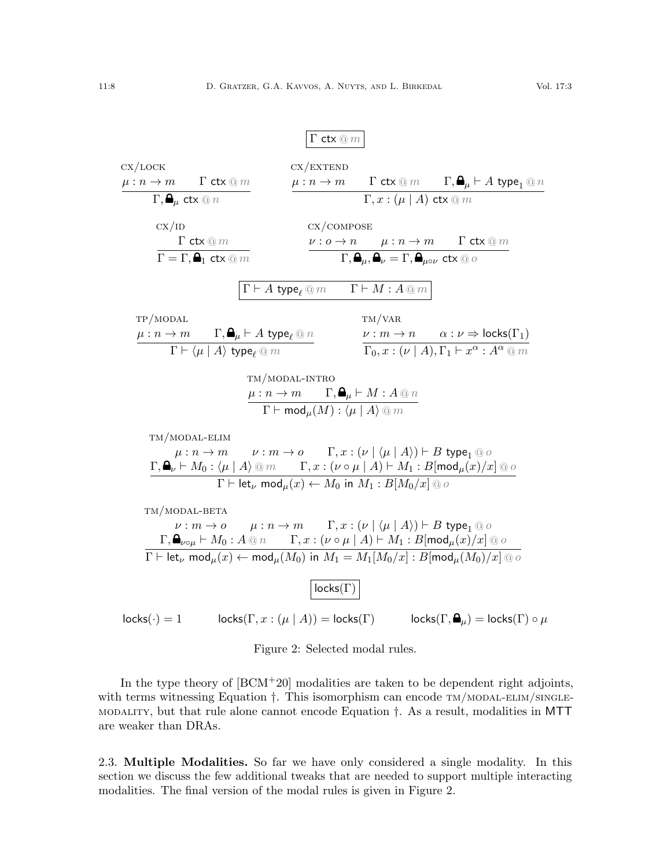# <span id="page-7-6"></span><span id="page-7-4"></span><span id="page-7-1"></span><span id="page-7-0"></span> $Γ$  ctx  $@m$

<span id="page-7-5"></span><span id="page-7-3"></span>

| CX/LOCK                           |                                                              |                                                                                 | CX/EXTEND                                                                                                                                                                   |                                  |                                                                                                                                                                                                                                                              |
|-----------------------------------|--------------------------------------------------------------|---------------------------------------------------------------------------------|-----------------------------------------------------------------------------------------------------------------------------------------------------------------------------|----------------------------------|--------------------------------------------------------------------------------------------------------------------------------------------------------------------------------------------------------------------------------------------------------------|
| $\mu : n \to m$ $\Gamma$ ctx $@m$ |                                                              |                                                                                 |                                                                                                                                                                             |                                  | $\mu: n \to m$ $\Gamma$ ctx $\textcircled{m}$ $\Gamma, \bigoplus_{\mu} \vdash A$ type <sub>1</sub> $\textcircled{m}$                                                                                                                                         |
|                                   | $\Gamma, \mathbf{a}_{\mu}$ ctx $@n$                          |                                                                                 |                                                                                                                                                                             | $\Gamma, x : (\mu   A)$ ctx $@m$ |                                                                                                                                                                                                                                                              |
| CX/ID                             |                                                              |                                                                                 | CX/COMPOSE                                                                                                                                                                  |                                  |                                                                                                                                                                                                                                                              |
|                                   | $\Gamma$ ctx $@m$                                            |                                                                                 |                                                                                                                                                                             |                                  |                                                                                                                                                                                                                                                              |
|                                   | $\Gamma = \Gamma, \blacksquare_1$ ctx $@m$                   |                                                                                 |                                                                                                                                                                             |                                  | $\frac{\nu:o\to n\qquad \mu:n\to m\qquad \Gamma \;\mathsf{ctx}\mathbin{\textcircled{\small\mathsf{m}}}}{\Gamma,\mathbf{\mathbf{Q}}_\mu,\mathbf{\mathbf{Q}}_\nu=\Gamma,\mathbf{\mathbf{Q}}_{\mu o\nu}\;\mathsf{ctx}\mathbin{\textcircled{\small\mathsf{m}}}}$ |
|                                   |                                                              |                                                                                 | $\Gamma \vdash A\;\mathsf{type}_{\ell}\, @\, m \qquad \Gamma \vdash M : A \mathbin{@} m \, \big $                                                                           |                                  |                                                                                                                                                                                                                                                              |
| TP/MODAL                          |                                                              |                                                                                 |                                                                                                                                                                             | TM/VAR                           |                                                                                                                                                                                                                                                              |
|                                   |                                                              | $\mu: n \to m$ $\Gamma, \bigoplus_{\mu} \vdash A$ type $_{\ell} \circledcirc n$ |                                                                                                                                                                             |                                  | $\nu : m \to n \qquad \alpha : \nu \Rightarrow \mathsf{locks}(\Gamma_1)$                                                                                                                                                                                     |
|                                   | $\Gamma\vdash\langle\mu\mid A\rangle$ type <sub>e</sub> $@m$ |                                                                                 |                                                                                                                                                                             |                                  | $\Gamma_0, x : (\nu   A), \Gamma_1 \vdash x^{\alpha} : A^{\alpha} \t\t\t@m$                                                                                                                                                                                  |
|                                   |                                                              |                                                                                 | TM/MODAL-INTRO<br>$\mu: n \to m$ $\Gamma, \mathbf{A}_{\mu} \vdash M: A \otimes n$<br>$\Gamma \vdash \overline{\mathsf{mod}_{\mu}(M): \langle \mu \mid A \rangle \otimes m}$ |                                  |                                                                                                                                                                                                                                                              |
|                                   | TM/MODAL-ELIM                                                |                                                                                 |                                                                                                                                                                             |                                  |                                                                                                                                                                                                                                                              |
|                                   |                                                              |                                                                                 | $\mu: n \to m$ $\nu: m \to o$ $\Gamma, x: (\nu \mid \langle \mu \mid A \rangle) \vdash B$ type <sub>1</sub> @ o                                                             |                                  |                                                                                                                                                                                                                                                              |
|                                   |                                                              |                                                                                 | $\Gamma \vdash \textsf{let}_{\nu} \textsf{ mod}_{\mu}(x) \leftarrow M_0 \textsf{ in } M_1 : B[M_0/x] \textsf{ @ } o$                                                        |                                  | $\Gamma, \bigoplus_{\nu} \vdash M_0 : \langle \mu   A \rangle \otimes m$ $\Gamma, x : (\nu \circ \mu   A) \vdash M_1 : B[\text{mod}_{\mu}(x)/x] \otimes \sigma$                                                                                              |
|                                   |                                                              |                                                                                 |                                                                                                                                                                             |                                  |                                                                                                                                                                                                                                                              |
|                                   | TM/MODAL-BETA                                                |                                                                                 |                                                                                                                                                                             |                                  |                                                                                                                                                                                                                                                              |
|                                   |                                                              |                                                                                 | $\nu : m \to o$ $\mu : n \to m$ $\Gamma, x : (\nu \mid \langle \mu \mid A \rangle) \vdash B$ type <sub>1</sub> @ o                                                          |                                  | $\Gamma, \bigoplus_{\nu \circ \mu} \vdash M_0 : A \t\t\t@ n$ $\Gamma, x : (\nu \circ \mu \mid A) \vdash M_1 : B[\text{mod}_{\mu}(x)/x] \t\t\t\t@ o$                                                                                                          |
|                                   |                                                              |                                                                                 |                                                                                                                                                                             |                                  | $\Gamma \vdash \textsf{let}_{\nu} \textsf{ mod}_{\mu}(x) \leftarrow \textsf{mod}_{\mu}(M_0) \textsf{ in } M_1 = M_1[M_0/x] : B[\textsf{mod}_{\mu}(M_0)/x] \otimes \sigma$                                                                                    |
|                                   |                                                              |                                                                                 | $locks(\Gamma)$                                                                                                                                                             |                                  |                                                                                                                                                                                                                                                              |
| $locks(\cdot) = 1$                |                                                              |                                                                                 | $\mathsf{locks}(\Gamma, x: (\mu \mid A)) = \mathsf{locks}(\Gamma)$                                                                                                          |                                  | $\mathsf{locks}(\Gamma,\blacksquare_\mu) = \mathsf{locks}(\Gamma) \circ \mu$                                                                                                                                                                                 |

<span id="page-7-8"></span><span id="page-7-7"></span><span id="page-7-2"></span>Figure 2: Selected modal rules.

In the type theory of  $[BCM+20]$  modalities are taken to be dependent right adjoints, with terms witnessing Equation  $\dagger$ . This isomorphism can encode  $TM/MODAL-ELIM/SINGLE$ [modality](#page-6-0), but that rule alone cannot encode Equation [†](#page-5-0). As a result, modalities in MTT are weaker than DRAs.

<span id="page-7-9"></span>2.3. Multiple Modalities. So far we have only considered a single modality. In this section we discuss the few additional tweaks that are needed to support multiple interacting modalities. The final version of the modal rules is given in Figure [2.](#page-7-2)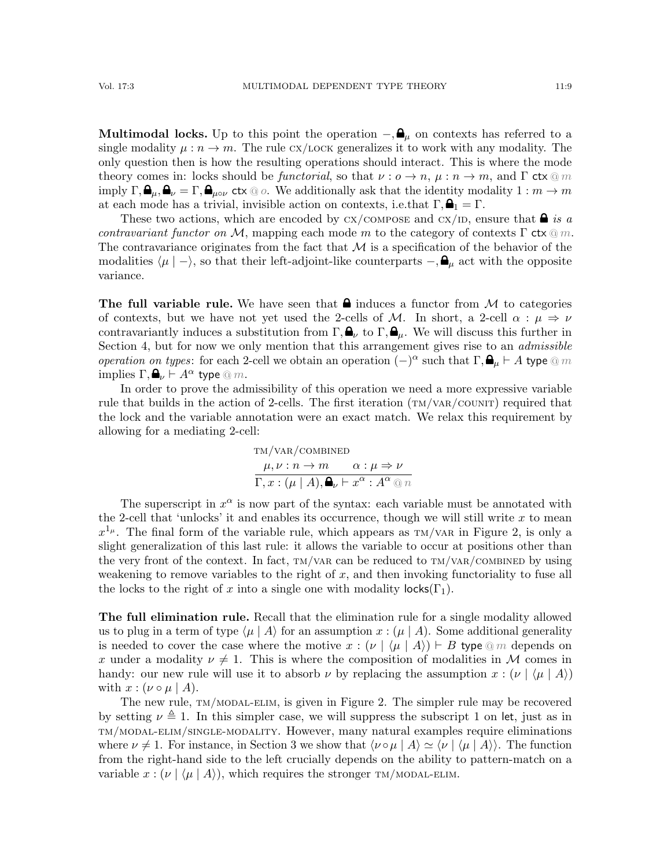**Multimodal locks.** Up to this point the operation  $-\theta_u$  on contexts has referred to a single modality  $\mu : n \to m$ . The rule cx/LOCK generalizes it to work with any modality. The only question then is how the resulting operations should interact. This is where the mode theory comes in: locks should be functorial, so that  $\nu : o \to n$ ,  $\mu : n \to m$ , and  $\Gamma$  ctx  $\textcircled{m}$ imply  $\Gamma, \blacksquare_\mu, \blacksquare_\nu = \Gamma, \blacksquare_{\mu \circ \nu}$  ctx  $\textcircled{\scriptscriptstyle{0}}$  o. We additionally ask that the identity modality  $1 : m \to m$ at each mode has a trivial, invisible action on contexts, i.e.that  $\Gamma, \mathbf{A}_1 = \Gamma$ .

These two actions, which are encoded by  $cx$ /compose and  $cx$ /id, ensure that  $\blacksquare$  is a contravariant functor on M, mapping each mode m to the category of contexts  $\Gamma$  ctx  $\textcircled{m}$ . The contravariance originates from the fact that  $\mathcal M$  is a specification of the behavior of the modalities  $\langle \mu | - \rangle$ , so that their left-adjoint-like counterparts  $-\int_{\mu}^{\infty} a \, dx$  with the opposite variance.

The full variable rule. We have seen that  $\triangle$  induces a functor from M to categories of contexts, but we have not yet used the 2-cells of M. In short, a 2-cell  $\alpha : \mu \Rightarrow \nu$ contravariantly induces a substitution from  $\Gamma, \mathbf{A}_{\nu}$  to  $\Gamma, \mathbf{A}_{\mu}$ . We will discuss this further in Section [4,](#page-11-0) but for now we only mention that this arrangement gives rise to an *admissible operation on types*: for each 2-cell we obtain an operation  $(-)^{\alpha}$  such that  $\Gamma$ ,  $\mathbf{\Theta}_{\mu} \vdash A$  type  $\textcircled{e}$  m implies  $\Gamma, \mathbf{A}_{\nu} \vdash A^{\alpha}$  type  $\mathbb{Q}$  m.

In order to prove the admissibility of this operation we need a more expressive variable rule that builds in the action of 2-cells. The first iteration  $(\text{TM}/\text{VAR}/\text{COUNT})$  required that the lock and the variable annotation were an exact match. We relax this requirement by allowing for a mediating 2-cell:

<span id="page-8-0"></span>
$$
\text{TM}/\text{VAR}/\text{COMBINED}
$$
  
\n
$$
\mu, \nu: n \to m \qquad \alpha: \mu \Rightarrow \nu
$$
  
\n
$$
\Gamma, x: (\mu | A), \mathbf{Q}_{\nu} \vdash x^{\alpha}: A^{\alpha} \text{ @ } n
$$

The superscript in  $x^{\alpha}$  is now part of the syntax: each variable must be annotated with the 2-cell that 'unlocks' it and enables its occurrence, though we will still write  $x$  to mean  $x^{1mu}$ . The final form of the variable rule, which appears as  $TM/VAR$  in Figure [2,](#page-7-2) is only a slight generalization of this last rule: it allows the variable to occur at positions other than the very front of the context. In fact,  $TM/VAR$  can be reduced to  $TM/VAR/COMB$  in by using weakening to remove variables to the right of  $x$ , and then invoking functoriality to fuse all the locks to the right of x into a single one with modality  $\textsf{locks}(\Gamma_1)$ .

The full elimination rule. Recall that the elimination rule for a single modality allowed us to plug in a term of type  $\langle \mu | A \rangle$  for an assumption  $x : (\mu | A)$ . Some additional generality is needed to cover the case where the motive  $x : (\nu \mid \langle \mu \mid A \rangle) \vdash B$  type  $\textcircled{m}$  depends on x under a modality  $\nu \neq 1$ . This is where the composition of modalities in M comes in handy: our new rule will use it to absorb  $\nu$  by replacing the assumption  $x : (\nu \nvert \langle \mu \nvert A \rangle)$ with  $x : (\nu \circ \mu \mid A)$ .

The new rule,  $TM/MODAL-ELIM$ , is given in Figure [2.](#page-7-2) The simpler rule may be recovered by setting  $\nu \triangleq 1$ . In this simpler case, we will suppress the subscript 1 on let, just as in [tm/modal-elim/single-modality](#page-6-0). However, many natural examples require eliminations where  $\nu \neq 1$ . For instance, in Section [3](#page-9-0) we show that  $\langle \nu \circ \mu | A \rangle \simeq \langle \nu | \langle \mu | A \rangle \rangle$ . The function from the right-hand side to the left crucially depends on the ability to pattern-match on a variable  $x : (\nu \mid \langle \mu \mid A \rangle)$ , which requires the stronger TM/MODAL-ELIM.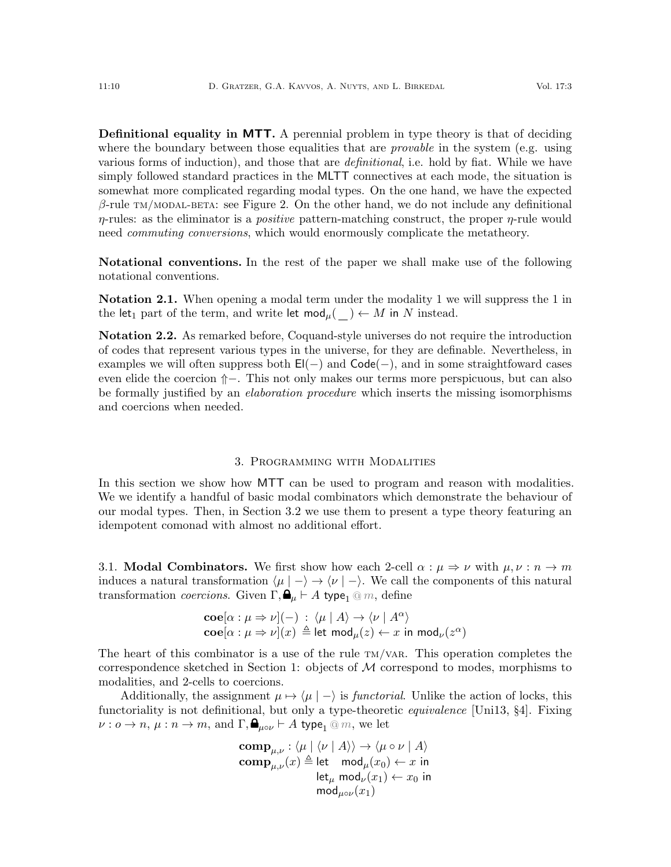**Definitional equality in MTT.** A perennial problem in type theory is that of deciding where the boundary between those equalities that are *provable* in the system (e.g. using various forms of induction), and those that are *definitional*, i.e. hold by fiat. While we have simply followed standard practices in the MLTT connectives at each mode, the situation is somewhat more complicated regarding modal types. On the one hand, we have the expected  $\beta$ -rule TM/MODAL-BETA: see Figure [2.](#page-7-2) On the other hand, we do not include any definitional  $\eta$ -rules: as the eliminator is a *positive* pattern-matching construct, the proper  $\eta$ -rule would need *commuting conversions*, which would enormously complicate the metatheory.

Notational conventions. In the rest of the paper we shall make use of the following notational conventions.

Notation 2.1. When opening a modal term under the modality 1 we will suppress the 1 in the let<sub>1</sub> part of the term, and write let  $mod_{\mu}(\ ) \leftarrow M$  in N instead.

Notation 2.2. As remarked before, Coquand-style universes do not require the introduction of codes that represent various types in the universe, for they are definable. Nevertheless, in examples we will often suppress both  $E(-)$  and  $Code(-)$ , and in some straightfoward cases even elide the coercion  $↑$ −. This not only makes our terms more perspicuous, but can also be formally justified by an *elaboration procedure* which inserts the missing isomorphisms and coercions when needed.

#### 3. Programming with Modalities

<span id="page-9-0"></span>In this section we show how MTT can be used to program and reason with modalities. We we identify a handful of basic modal combinators which demonstrate the behaviour of our modal types. Then, in Section [3.2](#page-10-0) we use them to present a type theory featuring an idempotent comonad with almost no additional effort.

<span id="page-9-1"></span>3.1. **Modal Combinators.** We first show how each 2-cell  $\alpha : \mu \Rightarrow \nu$  with  $\mu, \nu : n \rightarrow m$ induces a natural transformation  $\langle \mu | - \rangle \rightarrow \langle \nu | - \rangle$ . We call the components of this natural transformation *coercions*. Given  $\Gamma$ ,  $\mathbf{a}_{\mu} \vdash A$  type<sub>1</sub> @ m, define

$$
\mathbf{coe}[\alpha : \mu \Rightarrow \nu](-) : \langle \mu | A \rangle \rightarrow \langle \nu | A^{\alpha} \rangle
$$
  

$$
\mathbf{coe}[\alpha : \mu \Rightarrow \nu](x) \triangleq \mathsf{let} \mathsf{mod}_{\mu}(z) \leftarrow x \mathsf{ in } \mathsf{mod}_{\nu}(z^{\alpha})
$$

The heart of this combinator is a use of the rule  $TM/VAR$ . This operation completes the correspondence sketched in Section [1:](#page-0-0) objects of M correspond to modes, morphisms to modalities, and 2-cells to coercions.

Additionally, the assignment  $\mu \mapsto \langle \mu | - \rangle$  is *functorial*. Unlike the action of locks, this functoriality is not definitional, but only a type-theoretic *equivalence* [\[Uni13,](#page-66-3) §4]. Fixing  $\nu: o \to n$ ,  $\mu: n \to m$ , and  $\Gamma, \mathbf{\Theta}_{\mu o \nu} \vdash A$  type<sub>1</sub> @ m, we let

$$
\mathbf{comp}_{\mu,\nu}: \langle \mu | \langle \nu | A \rangle \rangle \to \langle \mu \circ \nu | A \rangle
$$
  
\n
$$
\mathbf{comp}_{\mu,\nu}(x) \triangleq \mathsf{let} \mod_{\mu}(x_0) \leftarrow x \text{ in}
$$
  
\n
$$
\mathsf{let}_{\mu} \mod_{\nu}(x_1) \leftarrow x_0 \text{ in}
$$
  
\n
$$
\mathsf{mod}_{\mu \circ \nu}(x_1)
$$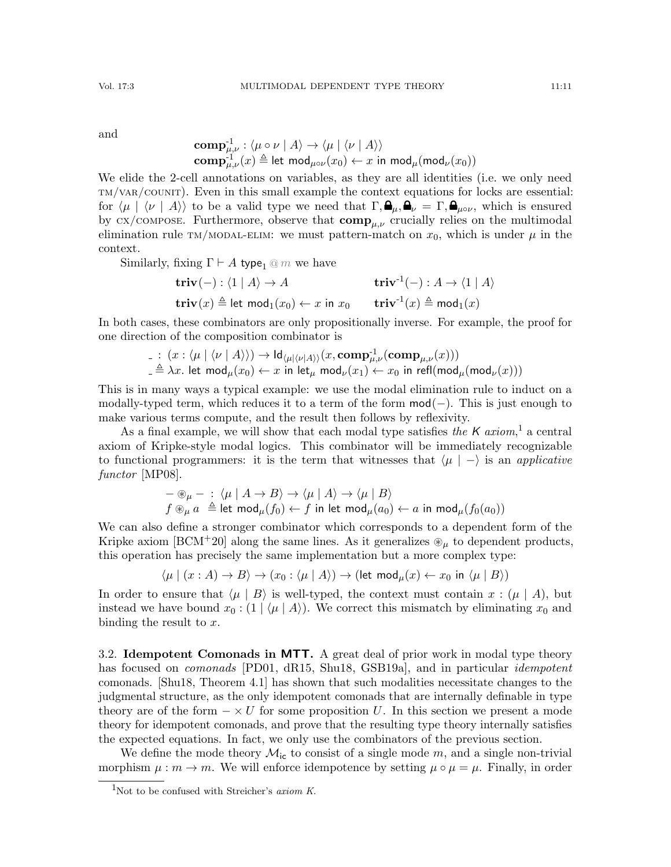and

$$
\mathbf{comp}_{\mu,\nu}^{-1} : \langle \mu \circ \nu \mid A \rangle \to \langle \mu \mid \langle \nu \mid A \rangle \rangle
$$
  
\n
$$
\mathbf{comp}_{\mu,\nu}^{-1}(x) \triangleq \mathsf{let} \ \mathsf{mod}_{\mu \circ \nu}(x_0) \leftarrow x \ \mathsf{in} \ \mathsf{mod}_{\mu}(\mathsf{mod}_{\nu}(x_0))
$$

We elide the 2-cell annotations on variables, as they are all identities (i.e. we only need [tm/var/counit](#page-6-1)). Even in this small example the context equations for locks are essential: for  $\langle \mu | \langle \nu | A \rangle \rangle$  to be a valid type we need that  $\Gamma, \mathbf{\Theta}_{\mu}, \mathbf{\Theta}_{\nu} = \Gamma, \mathbf{\Theta}_{\mu \circ \nu}$ , which is ensured by  $\alpha x$ /compose. Furthermore, observe that  $\mathbf{comp}_{\mu,\nu}$  crucially relies on the multimodal elimination rule TM/MODAL-ELIM: we must pattern-match on  $x_0$ , which is under  $\mu$  in the context.

Similarly, fixing  $\Gamma \vdash A$  type<sub>1</sub> @ m we have

 $\mathbf{triv}(-): \langle 1 | A \rangle \rightarrow A$  triv<sup>-1</sup>(−) : A →  $\langle 1 | A \rangle$  $\mathbf{triv}(x) \triangleq \mathsf{let}\ \mathsf{mod}_1(x_0) \leftarrow x \ \mathsf{in}\ x_0 \qquad \mathbf{triv}^{\text{-}1}(x) \triangleq \mathsf{mod}_1(x)$ 

In both cases, these combinators are only propositionally inverse. For example, the proof for one direction of the composition combinator is

$$
\begin{array}{l} \hbox{$\underline{.}$} \hbox{\rm :} \hbox{$(x:\langle \mu \mid \langle \nu \mid A \rangle \rangle) \to \mathrm{Id}_{\langle \mu \mid \langle \nu \mid A \rangle \rangle}(x,\mathrm{\bf comp}_{\mu,\nu}^{-1}(\mathrm{\bf comp}_{\mu,\nu}(x)))$}\\ \hbox{$\underline{.}$} \hbox{$\stackrel{\triangle}{=} \lambda x$.} \hbox{\rm let } \mathrm{\bf mod}_\mu(x_0) \leftarrow x \hbox{\rm in } \mathrm{let}_\mu \; \mathrm{\bf mod}_\nu(x_1) \leftarrow x_0 \hbox{\rm in } \mathrm{refl}(\mathrm{\bf mod}_\mu(\mathrm{\bf mod}_\nu(x)))$} \end{array}
$$

This is in many ways a typical example: we use the modal elimination rule to induct on a modally-typed term, which reduces it to a term of the form  $mod(-)$ . This is just enough to make various terms compute, and the result then follows by reflexivity.

As a final example, we will show that each modal type satisfies the  $K$  axiom,<sup>[1](#page-10-1)</sup> a central axiom of Kripke-style modal logics. This combinator will be immediately recognizable to functional programmers: it is the term that witnesses that  $\langle \mu | - \rangle$  is an applicative functor [\[MP08\]](#page-65-11).

$$
\begin{array}{l} - \circledast_{\mu} - : \langle \mu \mid A \to B \rangle \to \langle \mu \mid A \rangle \to \langle \mu \mid B \rangle \\ f \circledast_{\mu} a \stackrel{\Delta}{=} \text{let } \text{mod}_{\mu}(f_0) \leftarrow f \text{ in } \text{let } \text{mod}_{\mu}(a_0) \leftarrow a \text{ in } \text{mod}_{\mu}(f_0(a_0)) \end{array}
$$

We can also define a stronger combinator which corresponds to a dependent form of the Kripke axiom [\[BCM](#page-63-3)+20] along the same lines. As it generalizes  $\mathcal{D}_{\mu}$  to dependent products, this operation has precisely the same implementation but a more complex type:

$$
\langle \mu | (x : A) \to B \rangle \to (x_0 : \langle \mu | A \rangle) \to (\text{let } \text{mod}_{\mu}(x) \leftarrow x_0 \text{ in } \langle \mu | B \rangle)
$$

In order to ensure that  $\langle \mu | B \rangle$  is well-typed, the context must contain  $x : (\mu | A)$ , but instead we have bound  $x_0 : (1 | \langle \mu | A \rangle)$ . We correct this mismatch by eliminating  $x_0$  and binding the result to  $x$ .

<span id="page-10-0"></span>3.2. Idempotent Comonads in MTT. A great deal of prior work in modal type theory has focused on *comonads* [\[PD01,](#page-65-10) [dR15,](#page-63-4) [Shu18,](#page-65-1) [GSB19a\]](#page-64-5), and in particular *idempotent* comonads. [\[Shu18,](#page-65-1) Theorem 4.1] has shown that such modalities necessitate changes to the judgmental structure, as the only idempotent comonads that are internally definable in type theory are of the form  $-\times U$  for some proposition U. In this section we present a mode theory for idempotent comonads, and prove that the resulting type theory internally satisfies the expected equations. In fact, we only use the combinators of the previous section.

We define the mode theory  $\mathcal{M}_{ic}$  to consist of a single mode m, and a single non-trivial morphism  $\mu : m \to m$ . We will enforce idempotence by setting  $\mu \circ \mu = \mu$ . Finally, in order

<span id="page-10-1"></span> $^1\!$  Not to be confused with Streicher's  $axiom$   $K.$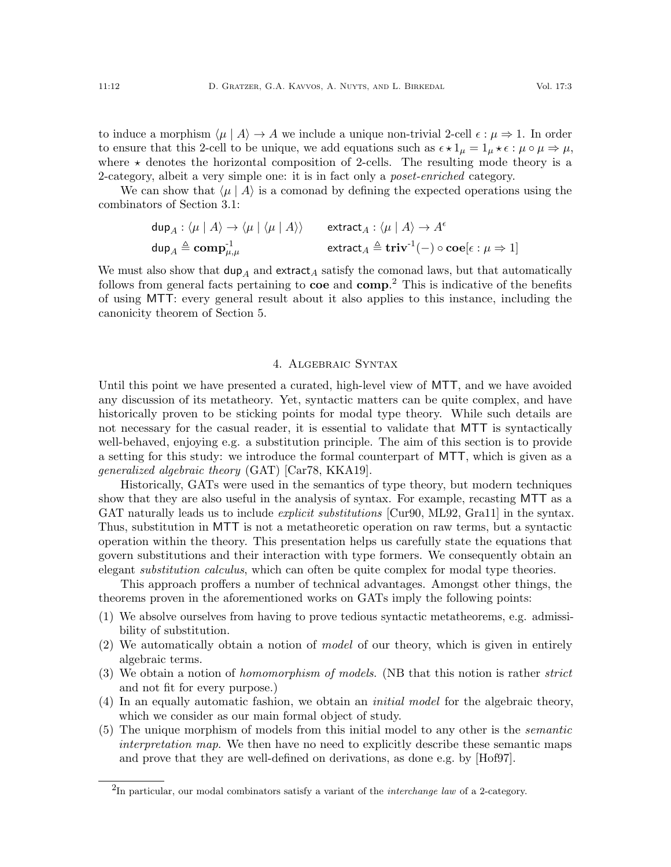to induce a morphism  $\langle \mu | A \rangle \rightarrow A$  we include a unique non-trivial 2-cell  $\epsilon : \mu \Rightarrow 1$ . In order to ensure that this 2-cell to be unique, we add equations such as  $\epsilon \star 1_\mu = 1_\mu \star \epsilon : \mu \circ \mu \Rightarrow \mu$ , where  $\star$  denotes the horizontal composition of 2-cells. The resulting mode theory is a 2-category, albeit a very simple one: it is in fact only a *poset-enriched* category.

We can show that  $\langle \mu | A \rangle$  is a comonad by defining the expected operations using the combinators of Section [3.1:](#page-9-1)

$$
\begin{array}{ll}\n\text{dup}_A: \langle \mu | A \rangle \to \langle \mu | \langle \mu | A \rangle \rangle & \text{extract}_A: \langle \mu | A \rangle \to A^{\epsilon} \\
\text{dup}_A \triangleq \text{comp}_{\mu, \mu}^{-1} & \text{extract}_A \triangleq \text{triv}^{-1}(-) \circ \text{coe}[\epsilon : \mu \Rightarrow 1]\n\end{array}
$$

We must also show that  $\text{dup}_A$  and extract<sub>A</sub> satisfy the comonad laws, but that automatically follows from general facts pertaining to **coe** and **comp**.<sup>[2](#page-11-1)</sup> This is indicative of the benefits of using MTT: every general result about it also applies to this instance, including the canonicity theorem of Section [5.](#page-18-0)

## 4. Algebraic Syntax

<span id="page-11-0"></span>Until this point we have presented a curated, high-level view of MTT, and we have avoided any discussion of its metatheory. Yet, syntactic matters can be quite complex, and have historically proven to be sticking points for modal type theory. While such details are not necessary for the casual reader, it is essential to validate that MTT is syntactically well-behaved, enjoying e.g. a substitution principle. The aim of this section is to provide a setting for this study: we introduce the formal counterpart of MTT, which is given as a generalized algebraic theory (GAT) [\[Car78,](#page-63-9) [KKA19\]](#page-64-13).

Historically, GATs were used in the semantics of type theory, but modern techniques show that they are also useful in the analysis of syntax. For example, recasting MTT as a GAT naturally leads us to include *explicit substitutions* [\[Cur90,](#page-63-10) [ML92,](#page-64-14) [Gra11\]](#page-64-15) in the syntax. Thus, substitution in MTT is not a metatheoretic operation on raw terms, but a syntactic operation within the theory. This presentation helps us carefully state the equations that govern substitutions and their interaction with type formers. We consequently obtain an elegant *substitution calculus*, which can often be quite complex for modal type theories.

This approach proffers a number of technical advantages. Amongst other things, the theorems proven in the aforementioned works on GATs imply the following points:

- (1) We absolve ourselves from having to prove tedious syntactic metatheorems, e.g. admissibility of substitution.
- (2) We automatically obtain a notion of model of our theory, which is given in entirely algebraic terms.
- (3) We obtain a notion of homomorphism of models. (NB that this notion is rather strict and not fit for every purpose.)
- (4) In an equally automatic fashion, we obtain an initial model for the algebraic theory, which we consider as our main formal object of study.
- (5) The unique morphism of models from this initial model to any other is the semantic interpretation map. We then have no need to explicitly describe these semantic maps and prove that they are well-defined on derivations, as done e.g. by [\[Hof97\]](#page-64-9).

<span id="page-11-1"></span> ${}^{2}$ In particular, our modal combinators satisfy a variant of the *interchange law* of a 2-category.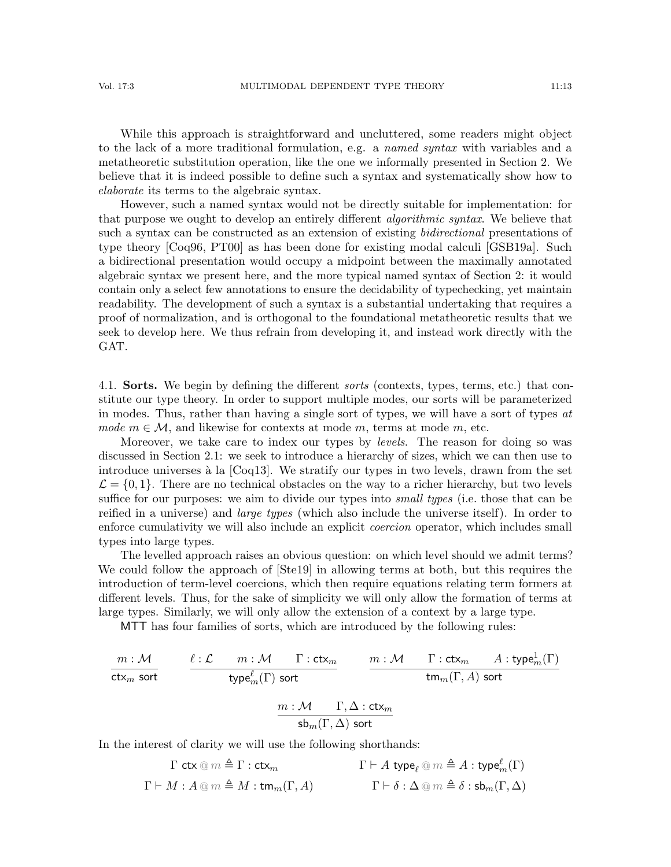While this approach is straightforward and uncluttered, some readers might object to the lack of a more traditional formulation, e.g. a named syntax with variables and a metatheoretic substitution operation, like the one we informally presented in Section [2.](#page-3-1) We believe that it is indeed possible to define such a syntax and systematically show how to elaborate its terms to the algebraic syntax.

However, such a named syntax would not be directly suitable for implementation: for that purpose we ought to develop an entirely different *algorithmic syntax*. We believe that such a syntax can be constructed as an extension of existing *bidirectional* presentations of type theory [\[Coq96,](#page-63-11) [PT00\]](#page-65-12) as has been done for existing modal calculi [\[GSB19a\]](#page-64-5). Such a bidirectional presentation would occupy a midpoint between the maximally annotated algebraic syntax we present here, and the more typical named syntax of Section [2:](#page-3-1) it would contain only a select few annotations to ensure the decidability of typechecking, yet maintain readability. The development of such a syntax is a substantial undertaking that requires a proof of normalization, and is orthogonal to the foundational metatheoretic results that we seek to develop here. We thus refrain from developing it, and instead work directly with the GAT.

4.1. **Sorts.** We begin by defining the different *sorts* (contexts, types, terms, etc.) that constitute our type theory. In order to support multiple modes, our sorts will be parameterized in modes. Thus, rather than having a single sort of types, we will have a sort of types at mode  $m \in \mathcal{M}$ , and likewise for contexts at mode m, terms at mode m, etc.

Moreover, we take care to index our types by *levels*. The reason for doing so was discussed in Section [2.1:](#page-4-0) we seek to introduce a hierarchy of sizes, which we can then use to introduce universes à la  $[Coq13]$ . We stratify our types in two levels, drawn from the set  $\mathcal{L} = \{0, 1\}$ . There are no technical obstacles on the way to a richer hierarchy, but two levels suffice for our purposes: we aim to divide our types into *small types* (i.e. those that can be reified in a universe) and *large types* (which also include the universe itself). In order to enforce cumulativity we will also include an explicit coercion operator, which includes small types into large types.

The levelled approach raises an obvious question: on which level should we admit terms? We could follow the approach of [\[Ste19\]](#page-66-2) in allowing terms at both, but this requires the introduction of term-level coercions, which then require equations relating term formers at different levels. Thus, for the sake of simplicity we will only allow the formation of terms at large types. Similarly, we will only allow the extension of a context by a large type.

MTT has four families of sorts, which are introduced by the following rules:

$$
\begin{array}{ccc}\nm:\mathcal{M} & \ell:\mathcal{L} & m:\mathcal{M} & \Gamma:\mathsf{ctx}_m & m:\mathcal{M} & \Gamma:\mathsf{ctx}_m & A:\mathsf{type}_m^1(\Gamma)\\ \n\text{ctx}_m\;\text{sort} & & \text{type}_m^{\ell}(\Gamma)\;\text{sort} & & \text{tm}_m(\Gamma,A)\;\text{sort} \\ \n\end{array}
$$
\n
$$
\begin{array}{ccc}\nm:\mathcal{M} & \Gamma,\Delta:\mathsf{ctx}_m & & \text{Sm}(\Gamma,A)\;\text{sort} \\ \n\text{sb}_m(\Gamma,\Delta)\;\text{sort}\n\end{array}
$$

In the interest of clarity we will use the following shorthands:

$$
\begin{array}{ccc}\n\Gamma \mathsf{ctx} \otimes m \triangleq \Gamma : \mathsf{ctx}_m & \Gamma \vdash A \mathsf{type}_{\ell} \otimes m \triangleq A : \mathsf{type}_m^{\ell}(\Gamma) \\
\Gamma \vdash M : A \otimes m \triangleq M : \mathsf{tm}_m(\Gamma, A) & \Gamma \vdash \delta : \Delta \otimes m \triangleq \delta : \mathsf{sb}_m(\Gamma, \Delta)\n\end{array}
$$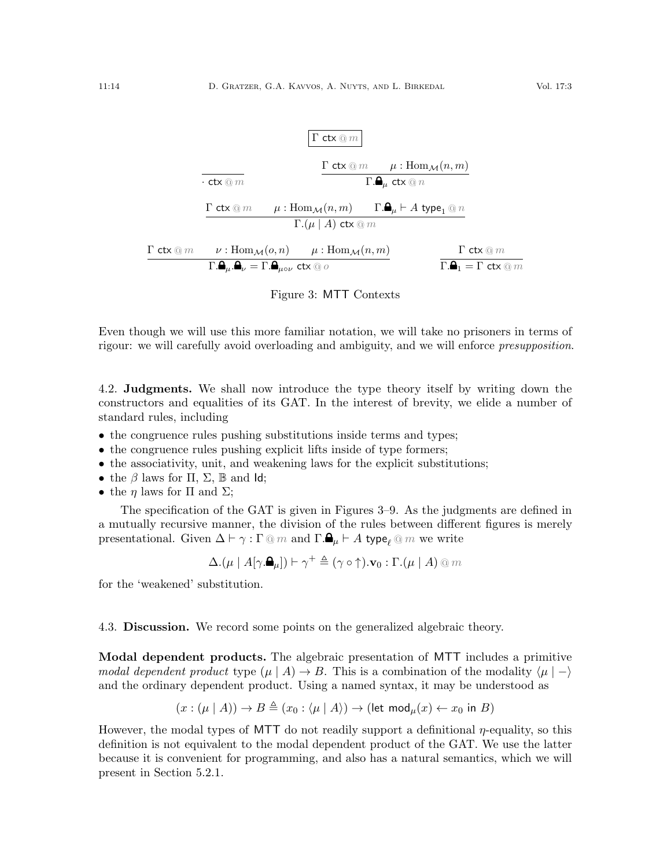

<span id="page-13-0"></span>Figure 3: MTT Contexts

Even though we will use this more familiar notation, we will take no prisoners in terms of rigour: we will carefully avoid overloading and ambiguity, and we will enforce presupposition.

4.2. Judgments. We shall now introduce the type theory itself by writing down the constructors and equalities of its GAT. In the interest of brevity, we elide a number of standard rules, including

- the congruence rules pushing substitutions inside terms and types;
- the congruence rules pushing explicit lifts inside of type formers;
- the associativity, unit, and weakening laws for the explicit substitutions;
- the  $\beta$  laws for  $\Pi$ ,  $\Sigma$ ,  $\mathbb B$  and  $\mathsf{Id}$ ;
- the  $\eta$  laws for  $\Pi$  and  $\Sigma$ ;

The specification of the GAT is given in Figures [3–](#page-13-0)[9.](#page-17-0) As the judgments are defined in a mutually recursive manner, the division of the rules between different figures is merely presentational. Given  $\Delta \vdash \gamma : \Gamma \otimes m$  and  $\Gamma \cdot \mathbf{a}_{\mu} \vdash A$  type<sub> $\ell \otimes m$ </sub> we write

$$
\Delta.( \mu \mid A[\gamma. \blacktriangle]_{\mu} ] ) \vdash \gamma^{+} \triangleq (\gamma \circ \uparrow). \mathbf{v}_{0} : \Gamma. (\mu \mid A) \circledcirc m
$$

for the 'weakened' substitution.

4.3. Discussion. We record some points on the generalized algebraic theory.

Modal dependent products. The algebraic presentation of MTT includes a primitive modal dependent product type  $(\mu \mid A) \rightarrow B$ . This is a combination of the modality  $\langle \mu \mid -\rangle$ and the ordinary dependent product. Using a named syntax, it may be understood as

$$
(x: (\mu \mid A)) \to B \triangleq (x_0: \langle \mu \mid A \rangle) \to (\text{let mod}_{\mu}(x) \leftarrow x_0 \text{ in } B)
$$

However, the modal types of MTT do not readily support a definitional  $\eta$ -equality, so this definition is not equivalent to the modal dependent product of the GAT. We use the latter because it is convenient for programming, and also has a natural semantics, which we will present in Section [5.2.1.](#page-22-0)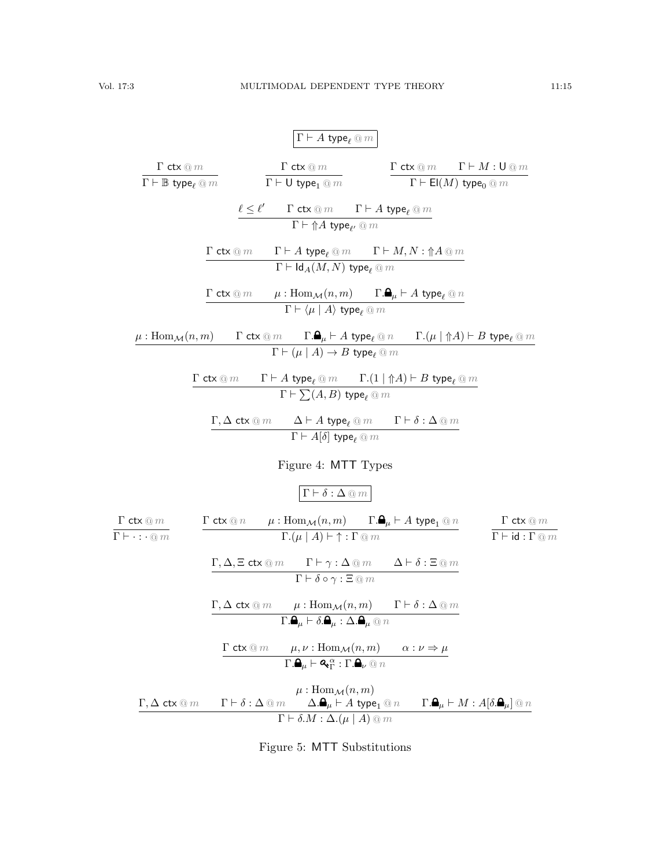|                                                                                                            | $\Gamma \vdash A$ type $_{\ell} @ m$                                                                                                                                                                                                                                                                                                                          |                                                                                           |                                                                                                             |
|------------------------------------------------------------------------------------------------------------|---------------------------------------------------------------------------------------------------------------------------------------------------------------------------------------------------------------------------------------------------------------------------------------------------------------------------------------------------------------|-------------------------------------------------------------------------------------------|-------------------------------------------------------------------------------------------------------------|
| $\frac{\mathbf{1}^\cdot\,\mathsf{ctx}\oslash m}{\Gamma \vdash \mathbb{B}\,\, \mathsf{type}_\ell\oslash m}$ | $\frac{\mathbf{1}^{\cdot} \, \mathsf{ctx} \, @\, m}{\Gamma \vdash \mathsf{U} \ \mathsf{type}_1 \, @\, m}$                                                                                                                                                                                                                                                     |                                                                                           | $\Gamma$ ctx $@m$ $\Gamma \vdash M : \mathsf{U} @m$<br>$\Gamma \vdash \mathsf{El}(M)$ type <sub>0</sub> @ m |
|                                                                                                            | $\frac{\ell \leq \ell' \qquad \Gamma \;\mathsf{ctx} \circledcirc m \qquad \Gamma \vdash A\;\mathsf{type}_\ell \circledcirc m}{\Gamma \vdash \Uparrow A\;\mathsf{type}_{\ell'} \circledcirc m}$                                                                                                                                                                |                                                                                           |                                                                                                             |
|                                                                                                            | $\Gamma\vdash A$ type $_\ell\mathbin{@} m$ $\qquad \Gamma\vdash M, N:\Uparrow A\mathbin{@} m$<br>$\Gamma$ ctx $@m$<br>$\Gamma \vdash \mathsf{Id}_A(M,N)$ type $_\ell \circledcirc m$                                                                                                                                                                          |                                                                                           |                                                                                                             |
|                                                                                                            | $\Gamma$ ctx $@m \qquad \mu : \text{Hom}_{\mathcal{M}}(n,m) \qquad \Gamma.\spadesuit_{\mu} \vdash A \text{ type}_{\ell} @n$<br>$\boxed{\Gamma \vdash \langle \mu \mid A \rangle \text{ type}_\ell \mathbin{@} m}$                                                                                                                                             |                                                                                           |                                                                                                             |
| $\mu: \text{Hom}_{\mathcal{M}}(n,m)$                                                                       | $\frac{\Gamma\,\mathsf{ctx}\,\otimes\, m\qquad \Gamma.\mathbf{\Delta}_\mu\vdash A\,\,\mathsf{type}_\ell\,\otimes\, n\qquad \Gamma.(\mu\mid \Uparrow A)\vdash B\,\,\mathsf{type}_\ell\,\otimes\, m}{\Gamma\vdash (\mu\mid A)\to B\,\,\mathsf{type}_\ell\,\otimes\, m}$                                                                                         |                                                                                           |                                                                                                             |
| $\Gamma$ ctx $@m$                                                                                          | $\Gamma \vdash A$ type $_{\ell} \circledcirc m$ $\qquad \Gamma.(1 \mid \Uparrow A) \vdash B$ type $_{\ell} \circledcirc m$<br>$\Gamma \vdash \sum(A,B)$ type <sub>e</sub> $@m$                                                                                                                                                                                |                                                                                           |                                                                                                             |
|                                                                                                            | $\Gamma, \Delta$ ctx $@m$<br>$\Gamma \vdash A[\delta]$ type <sub>l</sub> @ m                                                                                                                                                                                                                                                                                  | $\Delta \vdash A$ type $_{\ell} \, @\, m$ $\qquad \Gamma \vdash \delta : \Delta \, @\, m$ |                                                                                                             |
|                                                                                                            | Figure 4: MTT Types                                                                                                                                                                                                                                                                                                                                           |                                                                                           |                                                                                                             |
| $\Gamma$ ctx $@m$                                                                                          | $\Gamma \vdash \delta : \Delta \circledcirc m$<br>$\Gamma\,\operatorname{ctx} @\, n \qquad \mu: \operatorname{Hom}_{\mathcal{M}}(n,m) \qquad \Gamma. \spadesuit_{\mu} \vdash A\,\operatorname{type}_1 @\, n$                                                                                                                                                  |                                                                                           | $\Gamma$ ctx $@m$                                                                                           |
| $\Gamma \vdash \cdot : \cdot \circledcirc m$                                                               | $\overline{\Gamma.(\mu \mid A)} \vdash \uparrow : \Gamma \t\t\t@m$<br>$\underline{\Gamma, \Delta, \Xi}$ ctx $@m$ $\Gamma \vdash \gamma : \Delta @m$ $\Delta \vdash \delta : \Xi @m$                                                                                                                                                                           |                                                                                           | $\Gamma \vdash \mathsf{id} : \Gamma \t\t\t@m$                                                               |
|                                                                                                            | $\Gamma \vdash \delta \circ \gamma : \Xi \t\t\t@m$<br>$\Gamma, \Delta \operatorname{ctx} \otimes m$ $\mu : \operatorname{Hom}_{\mathcal{M}}(n,m)$ $\Gamma \vdash \delta : \Delta \otimes m$                                                                                                                                                                   |                                                                                           |                                                                                                             |
|                                                                                                            | $\overline{\Gamma.\pmb{\Theta}_{\mu}\vdash \delta.\pmb{\Theta}_{\mu}:\Delta.\pmb{\Theta}_{\mu}\circledcirc n}$<br>$\Gamma$ ctx $@m \qquad \mu, \nu : \text{Hom}_{\mathcal{M}}(n,m) \qquad \alpha : \nu \Rightarrow \mu$<br>$\overline{\Gamma.\pmb{\Theta}_{\mu}\vdash\pmb{\mathsf{Q}}_{\pmb{\Gamma}}^{\;\alpha}:\Gamma.\pmb{\mathsf{Q}}_{\nu}\circledcirc n}$ |                                                                                           |                                                                                                             |
|                                                                                                            |                                                                                                                                                                                                                                                                                                                                                               |                                                                                           |                                                                                                             |

 $\mu: \text{Hom}_{\mathcal{M}}(n,m)$  $\Gamma, \Delta$  ctx  $@m$   $\Gamma \vdash \delta : \Delta @m$   $\Delta . \blacksquare_{\mu} \vdash A$  type $_1 @n$   $\Gamma . \blacksquare_{\mu} \vdash M : A[\delta . \blacksquare_{\mu}] \t\t@n$  $\Gamma \vdash \delta . M : \Delta . (\mu \mid A) \ @ \ m$ 

Figure 5: MTT Substitutions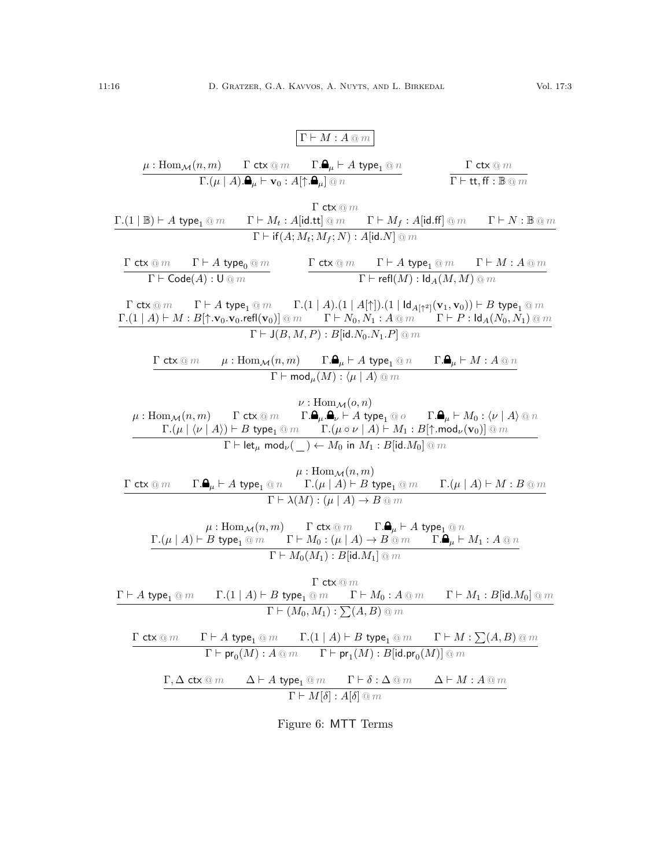$$
\frac{\Gamma \vdash M : A \circledast m}{\Gamma \cdot (\mu | A). \mathbf{A}_{\mu} \vdash \mathbf{v}_{0} : A[\uparrow, \mathbf{A}]_{\mu} \otimes n} \qquad \frac{\Gamma \mathbf{ctx} \circledast m}{\Gamma \vdash \mathbf{ttt}, \mathbf{f} : B \circledast m} \qquad \frac{\Gamma \mathbf{ctx} \circledast m}{\Gamma \vdash \mathbf{ttt}, \mathbf{f} : B \circledast m}
$$
\n
$$
\frac{\Gamma \mathbf{ctx} \circledast m}{\Gamma \vdash \mathbf{ttt}, \mathbf{A} \mathbf{y}_{0} \mathbf{e_{1}} \circledast m} \qquad \frac{\Gamma \mathbf{ctx} \circledast m}{\Gamma \vdash \mathbf{ttt}, \mathbf{A} \mathbf{y}_{0} \mathbf{t}} \qquad \frac{\Gamma \mathbf{ctx} \circledast m}{\Gamma \vdash \mathbf{ttt}, \mathbf{A} \mathbf{y}_{0} \mathbf{t}} \qquad \frac{\Gamma \mathbf{ctx} \circledast m}{\Gamma \vdash \mathbf{ttt}, \mathbf{A} \mathbf{y}_{0} \mathbf{t}} \qquad \frac{\Gamma \vdash M_{f} : A[\mathbf{id}, \mathbf{f}] \circledast m}{\Gamma \vdash \mathbf{rct} \mathbf{y}_{0} \mathbf{e_{1}} \circledast m} \qquad \frac{\Gamma \mathbf{ctx} \circledast m}{\Gamma \vdash \mathbf{rct} \mathbf{y}_{0} \mathbf{f}} \qquad \frac{\Gamma \vdash M : A \mathbf{y}_{0} \mathbf{e_{1}} \circledast m}{\Gamma \vdash \mathbf{rct} \mathbf{y}_{0} \mathbf{f}} \qquad \frac{\Gamma \vdash M : A \mathbf{y}_{0} \mathbf{e_{1}} \circledast m}{\Gamma \vdash J(\mathbf{A}, \mathbf{A}, \mathbf{I}) \mathbf{t}} \qquad \frac{\Gamma \vdash M : A \mathbf{y}_{0}}{\Gamma \vdash J(\mathbf{A}, \mathbf{A}, \mathbf{I}) \mathbf{t}} \qquad \frac{\Gamma \vdash M : B \mathbf{y}_{0} \mathbf{v}_{0} \circledast m}{\Gamma \vdash J(\mathbf{B}, M, P) : B \mathbf{y}_{0} \mathbf{f}} \qquad \frac{\Gamma \vdash M : B \mathbf{y}_{0} \mathbf
$$

 $\Gamma \vdash \mathsf{pr}_0(M) : A \mathbin{@} m$   $\Gamma \vdash \mathsf{pr}_1(M) : B[\mathsf{id}.\mathsf{pr}_0(M)] \mathbin{@} m$  $\Gamma, \Delta$  ctx  $@m$   $\Delta \vdash A$  type<sub>1</sub>  $@m$   $\Gamma \vdash \delta : \Delta \otimes m$   $\Delta \vdash M : A \otimes m$  $\Gamma \vdash M[\delta] : A[\delta] \t@m$ 

Figure 6: MTT Terms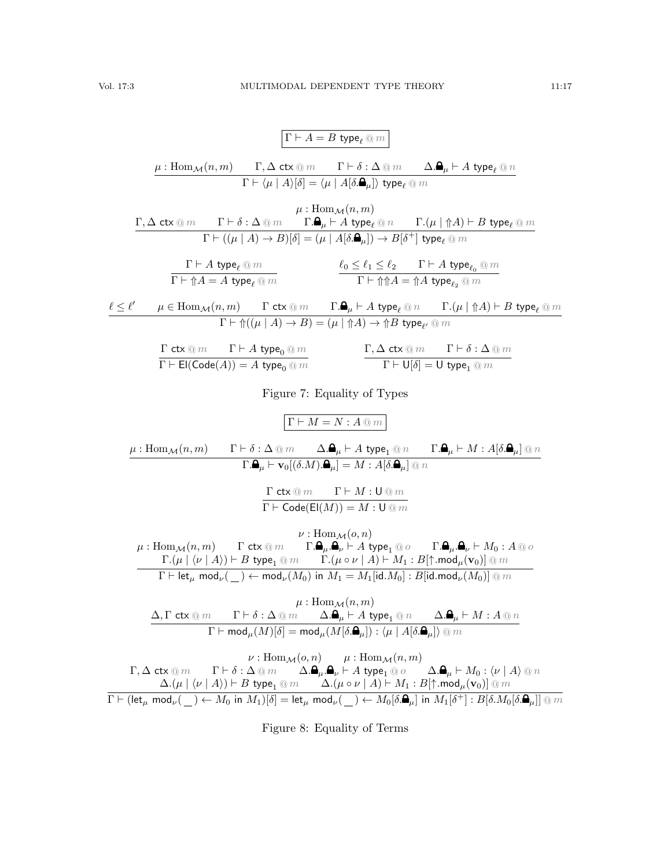$$
\Gamma \vdash A = B \text{ type}_{\ell} @m
$$
\n
$$
\mu : \text{Hom}_{\mathcal{M}}(n, m) \qquad \Gamma, \Delta \text{ ctx} @m \qquad \Gamma \vdash \delta : \Delta \text{ @m \qquad } \Delta. \blacksquare_{\mu} \vdash A \text{ type}_{\ell} @n
$$
\n
$$
\Gamma \vdash \langle \mu \mid A \rangle[\delta] = \langle \mu \mid A[\delta. \blacksquare_{\mu}] \rangle \text{ type}_{\ell} @m
$$

$$
\cfrac{\Gamma,\Delta\;\mathsf{ctx}\otimes m\qquad \Gamma\vdash\delta:\Delta\otimes m\qquad \Gamma.\pmb{\mathsf{Q}}_{\mu}\vdash A\;\mathsf{type}_{\ell}\otimes n\qquad \Gamma.(\mu\mid \Uparrow A)\vdash B\;\mathsf{type}_{\ell}\otimes m}{\Gamma\vdash((\mu\mid A)\rightarrow B)[\delta]=(\mu\mid A[\delta.\pmb{\mathsf{Q}}_{\mu}])\rightarrow B[\delta^+] \;\mathsf{type}_{\ell}\otimes m}
$$
\n
$$
\cfrac{\Gamma\vdash A\;\mathsf{type}_{\ell}\otimes m}{\Gamma\vdash\Uparrow A=A\;\mathsf{type}_{\ell}\otimes m}\qquad \qquad \cfrac{\ell_0\leq\ell_1\leq\ell_2\qquad \Gamma\vdash A\;\mathsf{type}_{\ell_2}\otimes m}{\Gamma\vdash\Uparrow A=\Uparrow A\;\mathsf{type}_{\ell_2}\otimes m}
$$

 $\ell \leq \ell' \qquad \mu \in \mathrm{Hom}_{\mathcal{M}}(n,m) \qquad \Gamma$  ctx  $@m$   $\qquad \Gamma.\pmb{\mathsf{a}}_{\mu} \vdash A$  type ${}_{\ell} @n$   $\qquad \Gamma.(\mu \mid \Uparrow A) \vdash B$  type ${}_{\ell} @m$  $\Gamma \vdash \Uparrow ((\mu \mid A) \rightarrow B) = (\mu \mid \Uparrow A) \rightarrow \Uparrow B$  type $_{\ell'} \circledcirc m$ 

$$
\frac{\Gamma \text{ ctx} \otimes m \qquad \Gamma \vdash A \text{ type}_0 \otimes m}{\Gamma \vdash \text{El}(\text{Code}(A)) = A \text{ type}_0 \otimes m} \qquad \qquad \frac{\Gamma, \Delta \text{ ctx} \otimes m \qquad \Gamma \vdash \delta : \Delta \otimes m}{\Gamma \vdash \text{U}[\delta] = \text{U type}_1 \otimes m}
$$

Figure 7: Equality of Types

$$
\begin{array}{lll} \mathbb{I}\Gamma \vdash M = N : A \textcircled{m} \\ \hline \\ \mu : \mathrm{Hom}_{\mathcal{M}}(n,m) & \Gamma \vdash \delta : \Delta \textcircled{m} & \Delta.\pmb{\Delta}_{\mu} \vdash A \text{ type}_1 \textcircled{m} & \Gamma.\pmb{\Delta}_{\mu} \vdash M : A[\delta.\pmb{\Delta}_{\mu}] \textcircled{m} \\ \hline \\ \Gamma.\pmb{\Delta}_{\mu} \vdash \mathbf{v}_0[(\delta.M).\pmb{\Delta}_{\mu}] = M : A[\delta.\pmb{\Delta}_{\mu}] \textcircled{m} \\ & & \frac{\Gamma \text{ ctx} \textcircled{m} & \Gamma \vdash M : \mathsf{U} \textcircled{m} }{\Gamma \vdash \mathrm{Code}(\mathrm{E}((M)) = M : \mathsf{U} \textcircled{m})} \\ \mu : \mathrm{Hom}_{\mathcal{M}}(n,m) & \Gamma \text{ ctx} \textcircled{m} & \Gamma.\pmb{\Delta}_{\mu}.\pmb{\Delta}_{\nu} \vdash A \text{ type}_1 \textcircled{o} & \Gamma.\pmb{\Delta}_{\mu}.\pmb{\Delta}_{\nu} \vdash M_0 : A \textcircled{o} \\ & & \frac{\Gamma.(\mu \mid \langle \nu \mid A \rangle \vdash B \text{ type}_1 \textcircled{m} & \Gamma.(\mu \circ \nu \mid A \rangle \vdash M_1 : B[\uparrow \ldots \text{mod}_{\mu}(\mathbf{v}_0)] \textcircled{m}}{\Gamma \vdash \mathrm{let}_{\mu} \text{ mod}_{\nu}(\_ \ ) \leftarrow \text{mod}_{\nu}(M_0) \text{ in } M_1 = M_1[\text{id}.M_0] : B[\text{id}.\text{mod}_{\nu}(\mathbf{w}_0)] \textcircled{m} \\ & & \mu : \mathrm{Hom}_{\mathcal{M}}(n,m) \\ & & \Delta, \Gamma \text{ ctx} \textcircled{m} & \Gamma \vdash \delta : \Delta \textcircled{m} & \Delta. \pmb{\Delta}_{\mu} \vdash A \text{ type}_1 \textcircled{m} & \Delta. \pmb{\Delta}_{\mu} \vdash M : A \textcircled{m} \\ & & \nu : \mathrm{Hom}_{\mathcal{M}}(\delta.\pmb{\Delta}_{\mu}) : \langle \mu \mid A[\delta.\pmb{\Delta}_{\mu}]\rangle \textcircled{m} & \\ & & \nu : \mathrm{Hom}_{\mathcal{M}}(o,n) & \mu :
$$

 $\Delta.\! \left(\mu \mid \bra{\nu} A\right) \vdash B$  type $_1 \circledcirc m$   $\Delta.\! \left(\mu \circ \nu \mid A\right) \vdash M_1 : B[\uparrow.\textsf{mod}_{\mu}(\mathbf{v}_0)] \circledcirc m$  $\overline{\Gamma \vdash (\mathsf{let}_{\mu}\;\mathsf{mod}_{\nu}(\underline{\hspace{0.3cm}}) \leftarrow M_0\; \mathsf{in}\; M_1)[\delta] = \mathsf{let}_{\mu}\; \mathsf{mod}_{\nu}(\underline{\hspace{0.3cm}}) \leftarrow M_0[\delta.\mathbf{\Theta}_{\mu}]\; \mathsf{in}\; M_1[\delta^+] : B[\delta.M_0[\delta.\mathbf{\Theta}_{\mu}]]\; @\; m$ 

Figure 8: Equality of Terms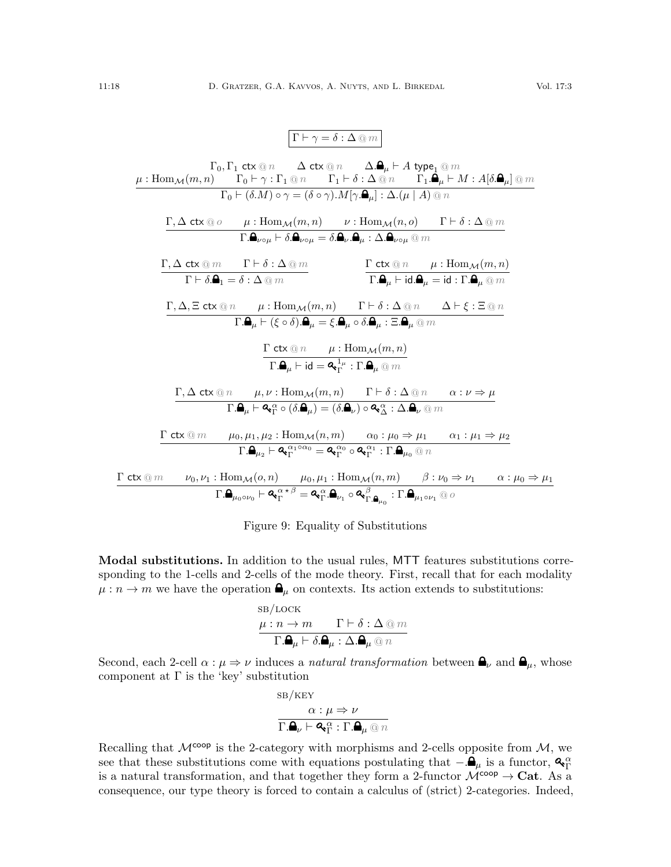$$
\Gamma \vdash \gamma = \delta : \Delta \circledcirc m
$$

$$
\Gamma_{0}, \Gamma_{1} \text{ ctx } @n \quad \Delta \text{ ctx } @n \quad \Delta.\mathbf{A}_{\mu} \vdash A \text{ type}_{1} @m
$$
\n
$$
\mu : \text{Hom}_{\mathcal{M}}(m, n) \quad \Gamma_{0} \vdash \gamma : \Gamma_{1} @n \quad \Gamma_{1} \vdash \delta : \Delta @n \quad \Gamma_{1} \mathbf{A}_{\mu} \vdash M : A[\delta.\mathbf{A}_{\mu}] @m
$$
\n
$$
\Gamma_{0} \vdash (\delta.M) \circ \gamma = (\delta \circ \gamma).M[\gamma.\mathbf{A}_{\mu}] : \Delta.(\mu \mid A) @n
$$
\n
$$
\Gamma.\Delta \text{ ctx } @o \quad \mu : \text{Hom}_{\mathcal{M}}(m, n) \quad \nu : \text{Hom}_{\mathcal{M}}(n, o) \quad \Gamma \vdash \delta : \Delta @m
$$
\n
$$
\Gamma.\Delta \text{ ctx } @m \quad \Gamma \vdash \delta : \Delta @m \quad \Gamma \vdash \delta : \Delta @m \quad \Gamma \vdash \delta : \Delta @m \quad \Gamma \vdash \delta : \Delta @m \quad \Gamma \vdash \delta : \Delta @m \quad \Gamma \vdash \delta : \Delta @n \quad \mu : \text{Hom}_{\mathcal{M}}(m, n)
$$
\n
$$
\Gamma, \Delta, \Xi \text{ ctx } @n \quad \mu : \text{Hom}_{\mathcal{M}}(m, n) \quad \Gamma \vdash \delta : \Delta @n \quad \Delta \vdash \xi : \Xi @n
$$
\n
$$
\Gamma.\mathbf{A}_{\mu} \vdash (\xi \circ \delta).\mathbf{A}_{\mu} = \xi.\mathbf{A}_{\mu} \circ \delta.\mathbf{A}_{\mu} : \Xi.\mathbf{A}_{\mu} @m
$$
\n
$$
\Gamma \vdash \Delta \vdash \mu : \text{Hom}_{\mathcal{M}}(m, n)
$$
\n
$$
\Gamma.\mathbf{A}_{\mu} \vdash \text{id} = \mathbf{A}_{1}^{\perp_{\mu}} : \text{Tr} \mathbf{A}_{\mu} @m
$$
\n
$$
\Gamma \vdash \Delta \text{ ctx } @n \quad \mu : \text{Hom}_{\mathcal{M}}(m, n)
$$
\n
$$
\Gamma.\mathbf{A}_{\mu} \vdash \text{id} = \mathbf{A}_{1}^{\perp_{\mu}} : \text{Tr} \math
$$

<span id="page-17-0"></span>

|  |  |  |  | Figure 9: Equality of Substitutions |  |
|--|--|--|--|-------------------------------------|--|
|--|--|--|--|-------------------------------------|--|

Modal substitutions. In addition to the usual rules, MTT features substitutions corresponding to the 1-cells and 2-cells of the mode theory. First, recall that for each modality  $\mu : n \to m$  we have the operation  $\mathbf{a}_{\mu}$  on contexts. Its action extends to substitutions:

$$
\begin{array}{ll}\n\text{SB/LOCK} \\
\mu: n \to m & \Gamma \vdash \delta : \Delta \text{ @ } m \\
\hline\n\Gamma.\mathbf{A}_{\mu} \vdash \delta.\mathbf{A}_{\mu} : \Delta.\mathbf{A}_{\mu} \text{ @ } n\n\end{array}
$$

Second, each 2-cell  $\alpha : \mu \Rightarrow \nu$  induces a *natural transformation* between  $\mathbf{a}_{\nu}$  and  $\mathbf{a}_{\mu}$ , whose component at  $\Gamma$  is the 'key' substitution

$$
\begin{aligned} \text{SB/KEY} \\ \frac{\alpha:\mu\Rightarrow\nu}{\Gamma.\pmb{\Theta}_{\nu}\vdash\pmb{\mathsf{Q}}_{\pmb{\Gamma}}^{\;\alpha}:\Gamma.\pmb{\Theta}_{\mu}\,\textcircled{1}\,n} \end{aligned}
$$

Recalling that  $\mathcal{M}^{\text{coop}}$  is the 2-category with morphisms and 2-cells opposite from  $\mathcal{M}$ , we see that these substitutions come with equations postulating that  $-\mathbf{.}\mathbf{e}_{\mu}$  is a functor,  $\mathbf{e}_{\Gamma}^{\alpha}$ is a natural transformation, and that together they form a 2-functor  $\mathcal{M}^{\text{coop}} \to \text{Cat}$ . As a consequence, our type theory is forced to contain a calculus of (strict) 2-categories. Indeed,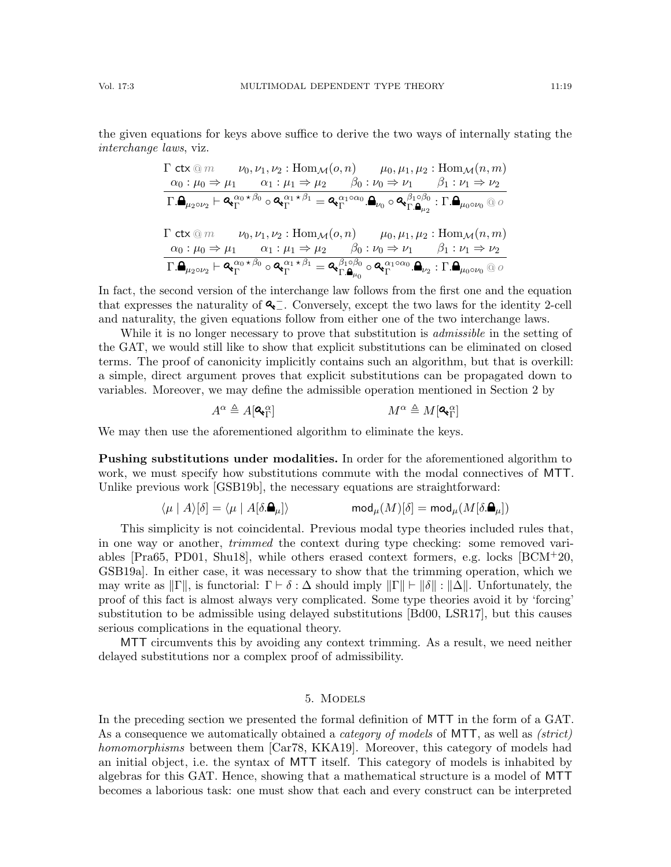the given equations for keys above suffice to derive the two ways of internally stating the interchange laws, viz.

$$
\begin{array}{ll}\Gamma\;\mathsf{ctx}\oslash m & \nu_0,\nu_1,\nu_2:\mathrm{Hom}_{\mathcal{M}}(o,n) & \mu_0,\mu_1,\mu_2:\mathrm{Hom}_{\mathcal{M}}(n,m) \\
\hline\n\alpha_0:\mu_0 \Rightarrow \mu_1 & \alpha_1:\mu_1 \Rightarrow \mu_2 & \beta_0:\nu_0 \Rightarrow \nu_1 & \beta_1:\nu_1 \Rightarrow \nu_2 \\
\hline\n\Gamma.\mathbf{a}_{\mu_2 \circ \nu_2} \vdash \mathbf{a}_{\mathbf{r}}^{\alpha_0 \star \beta_0} \circ \mathbf{a}_{\mathbf{r}}^{\alpha_1 \star \beta_1} = \mathbf{a}_{\mathbf{r}}^{\alpha_1 \circ \alpha_0} \cdot \mathbf{a}_{\nu_0} \circ \mathbf{a}_{\mathbf{r}}^{\beta_1 \circ \beta_0} : \Gamma.\mathbf{a}_{\mu_0 \circ \nu_0} \circ \sigma \circ \\
\Gamma\;\mathsf{ctx}\otimes m & \nu_0,\nu_1,\nu_2:\mathrm{Hom}_{\mathcal{M}}(o,n) & \mu_0,\mu_1,\mu_2:\mathrm{Hom}_{\mathcal{M}}(n,m) \\
\hline\n\alpha_0:\mu_0 \Rightarrow \mu_1 & \alpha_1:\mu_1 \Rightarrow \mu_2 & \beta_0:\nu_0 \Rightarrow \nu_1 & \beta_1:\nu_1 \Rightarrow \nu_2 \\
\hline\n\Gamma.\mathbf{a}_{\mu_2 \circ \nu_2} \vdash \mathbf{a}_{\mathbf{r}}^{\alpha_0 \star \beta_0} \circ \mathbf{a}_{\mathbf{r}}^{\alpha_1 \star \beta_1} = \mathbf{a}_{\mathbf{r}}^{\beta_1 \circ \beta_0} \circ \mathbf{a}_{\mathbf{r}}^{\alpha_1 \circ \alpha_0} \cdot \mathbf{a}_{\nu_2} : \Gamma.\mathbf{a}_{\mu_0 \circ \nu_0} \circ \sigma \circ \mathbf{a}_{\mathbf{r}}\n\end{array}
$$

In fact, the second version of the interchange law follows from the first one and the equation that expresses the naturality of  $\mathbf{Q}^-$ . Conversely, except the two laws for the identity 2-cell and naturality, the given equations follow from either one of the two interchange laws.

While it is no longer necessary to prove that substitution is *admissible* in the setting of the GAT, we would still like to show that explicit substitutions can be eliminated on closed terms. The proof of canonicity implicitly contains such an algorithm, but that is overkill: a simple, direct argument proves that explicit substitutions can be propagated down to variables. Moreover, we may define the admissible operation mentioned in Section [2](#page-3-1) by

$$
A^{\alpha} \triangleq A[\mathbf{Q}_{\Gamma}^{\alpha}] \hspace{1.5cm} M^{\alpha} \triangleq M[\mathbf{Q}_{\Gamma}^{\alpha}]
$$

We may then use the aforementioned algorithm to eliminate the keys.

Pushing substitutions under modalities. In order for the aforementioned algorithm to work, we must specify how substitutions commute with the modal connectives of MTT. Unlike previous work [\[GSB19b\]](#page-64-11), the necessary equations are straightforward:

$$
\langle \mu \mid A \rangle[\delta] = \langle \mu \mid A[\delta.\pmb{\Delta}_\mu]\rangle \hspace{2cm} \text{mod}_\mu(M)[\delta] = \text{mod}_\mu(M[\delta.\pmb{\Delta}_\mu])
$$

This simplicity is not coincidental. Previous modal type theories included rules that, in one way or another, trimmed the context during type checking: some removed variables [\[Pra65,](#page-65-13) [PD01,](#page-65-10) [Shu18\]](#page-65-1), while others erased context formers, e.g. locks [\[BCM](#page-63-3)+20, [GSB19a\]](#page-64-5). In either case, it was necessary to show that the trimming operation, which we may write as  $\|\Gamma\|$ , is functorial:  $\Gamma \vdash \delta : \Delta$  should imply  $\|\Gamma\| \vdash \|\delta\| : \|\Delta\|$ . Unfortunately, the proof of this fact is almost always very complicated. Some type theories avoid it by 'forcing' substitution to be admissible using delayed substitutions [\[Bd00,](#page-63-12) [LSR17\]](#page-64-7), but this causes serious complications in the equational theory.

MTT circumvents this by avoiding any context trimming. As a result, we need neither delayed substitutions nor a complex proof of admissibility.

## 5. Models

<span id="page-18-0"></span>In the preceding section we presented the formal definition of MTT in the form of a GAT. As a consequence we automatically obtained a *category of models* of MTT, as well as *(strict)* homomorphisms between them [\[Car78,](#page-63-9) [KKA19\]](#page-64-13). Moreover, this category of models had an initial object, i.e. the syntax of MTT itself. This category of models is inhabited by algebras for this GAT. Hence, showing that a mathematical structure is a model of MTT becomes a laborious task: one must show that each and every construct can be interpreted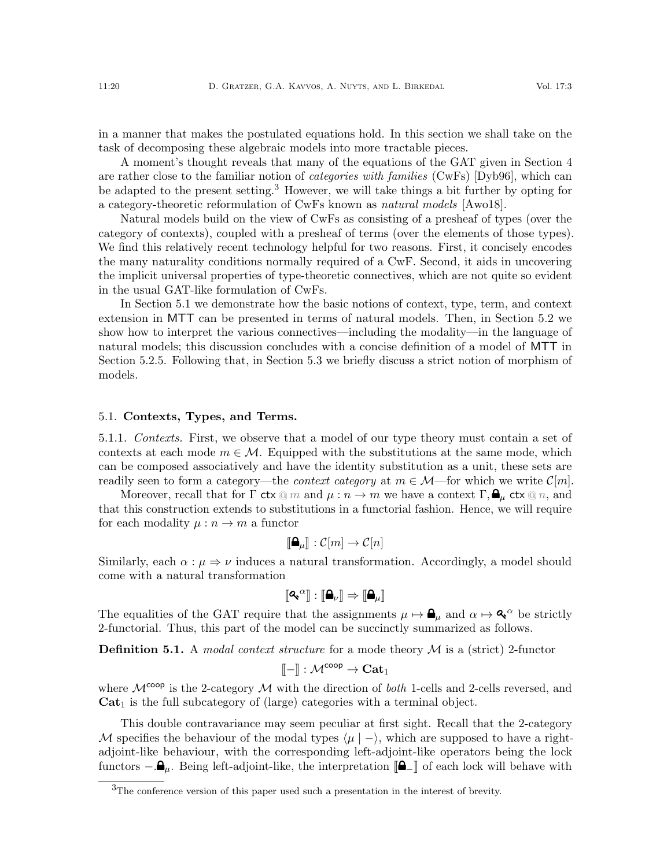in a manner that makes the postulated equations hold. In this section we shall take on the task of decomposing these algebraic models into more tractable pieces.

A moment's thought reveals that many of the equations of the GAT given in Section [4](#page-11-0) are rather close to the familiar notion of *categories with families* (CwFs) [\[Dyb96\]](#page-63-13), which can be adapted to the present setting.<sup>[3](#page-19-0)</sup> However, we will take things a bit further by opting for a category-theoretic reformulation of CwFs known as natural models [\[Awo18\]](#page-62-4).

Natural models build on the view of CwFs as consisting of a presheaf of types (over the category of contexts), coupled with a presheaf of terms (over the elements of those types). We find this relatively recent technology helpful for two reasons. First, it concisely encodes the many naturality conditions normally required of a CwF. Second, it aids in uncovering the implicit universal properties of type-theoretic connectives, which are not quite so evident in the usual GAT-like formulation of CwFs.

In Section [5.1](#page-19-1) we demonstrate how the basic notions of context, type, term, and context extension in MTT can be presented in terms of natural models. Then, in Section [5.2](#page-22-1) we show how to interpret the various connectives—including the modality—in the language of natural models; this discussion concludes with a concise definition of a model of MTT in Section [5.2.5.](#page-28-0) Following that, in Section [5.3](#page-28-1) we briefly discuss a strict notion of morphism of models.

#### <span id="page-19-1"></span>5.1. Contexts, Types, and Terms.

5.1.1. Contexts. First, we observe that a model of our type theory must contain a set of contexts at each mode  $m \in \mathcal{M}$ . Equipped with the substitutions at the same mode, which can be composed associatively and have the identity substitution as a unit, these sets are readily seen to form a category—the *context category* at  $m \in \mathcal{M}$ —for which we write  $\mathcal{C}[m]$ .

Moreover, recall that for  $\Gamma$  ctx  $\mathbb{Q}$  m and  $\mu : n \to m$  we have a context  $\Gamma, \bigoplus_{\mu}$  ctx  $\mathbb{Q}$  n, and that this construction extends to substitutions in a functorial fashion. Hence, we will require for each modality  $\mu : n \to m$  a functor

$$
[\hspace{-1.5pt}[\mathbf{\Delta}_\mu]\hspace{-1.5pt}]:\mathcal{C}[m]\to\mathcal{C}[n]
$$

Similarly, each  $\alpha : \mu \Rightarrow \nu$  induces a natural transformation. Accordingly, a model should come with a natural transformation

$$
[\![{\bf Q}_{{\bf v}}{}^\alpha]\!]:[\![{\bf \underline{\bf Q}}_\nu]\!]\Rightarrow[\![{\bf \underline{\bf Q}}_\mu]\!]
$$

The equalities of the GAT require that the assignments  $\mu \mapsto \mathbf{A}_{\mu}$  and  $\alpha \mapsto \mathbf{A}^{\alpha}$  be strictly 2-functorial. Thus, this part of the model can be succinctly summarized as follows.

<span id="page-19-2"></span>**Definition 5.1.** A *modal context structure* for a mode theory  $M$  is a (strict) 2-functor

$$
[\![ - ]\!]: \mathcal{M}^{\mathsf{coop}} \to \mathbf{Cat}_1
$$

where  $\mathcal{M}^{\text{coop}}$  is the 2-category  $\mathcal M$  with the direction of *both* 1-cells and 2-cells reversed, and  $Cat<sub>1</sub>$  is the full subcategory of (large) categories with a terminal object.

This double contravariance may seem peculiar at first sight. Recall that the 2-category M specifies the behaviour of the modal types  $\langle \mu | - \rangle$ , which are supposed to have a rightadjoint-like behaviour, with the corresponding left-adjoint-like operators being the lock functors  $-\mathbf{a}_{\mu}$ . Being left-adjoint-like, the interpretation  $\llbracket \mathbf{a}_{\perp} \rrbracket$  of each lock will behave with

<span id="page-19-0"></span><sup>3</sup>The conference version of this paper used such a presentation in the interest of brevity.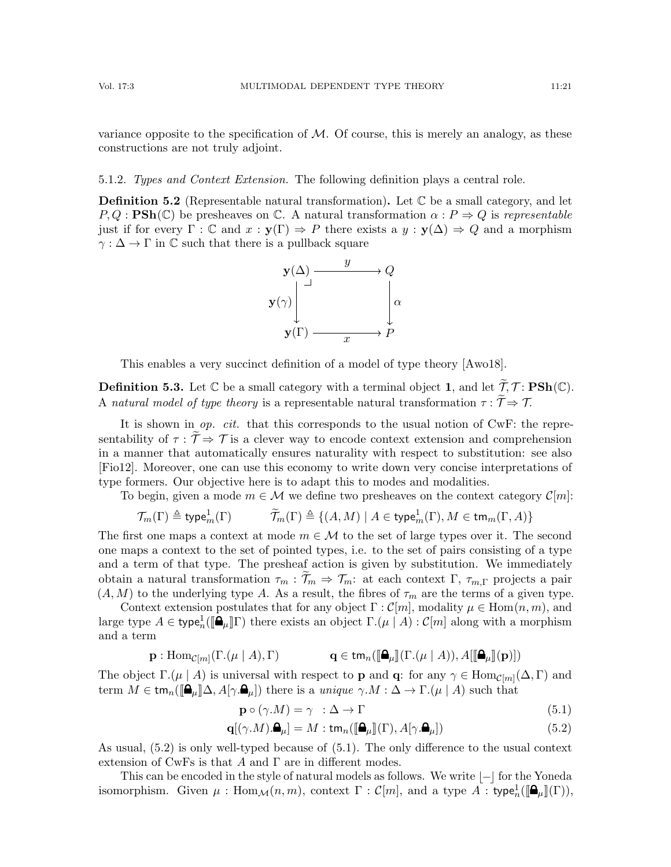variance opposite to the specification of  $M$ . Of course, this is merely an analogy, as these constructions are not truly adjoint.

<span id="page-20-2"></span>5.1.2. Types and Context Extension. The following definition plays a central role.

<span id="page-20-3"></span>**Definition 5.2** (Representable natural transformation). Let  $\mathbb C$  be a small category, and let  $P, Q : \textbf{PSh}(\mathbb{C})$  be presheaves on  $\mathbb{C}$ . A natural transformation  $\alpha : P \Rightarrow Q$  is representable just if for every  $\Gamma : \mathbb{C}$  and  $x : y(\Gamma) \Rightarrow P$  there exists a  $y : y(\Delta) \Rightarrow Q$  and a morphism  $\gamma : \Delta \to \Gamma$  in C such that there is a pullback square



This enables a very succinct definition of a model of type theory [\[Awo18\]](#page-62-4).

**Definition 5.3.** Let  $\mathbb C$  be a small category with a terminal object 1, and let  $\widetilde{\mathcal{T}}$ ,  $\mathcal{T}$ : **PSh**( $\mathbb C$ ). A natural model of type theory is a representable natural transformation  $\tau : \widetilde{\mathcal{T}} \Rightarrow \mathcal{T}$ .

It is shown in  $op.$  cit. that this corresponds to the usual notion of CwF: the representability of  $\tau : \tilde{T} \Rightarrow \mathcal{T}$  is a clever way to encode context extension and comprehension in a manner that automatically ensures naturality with respect to substitution: see also [\[Fio12\]](#page-63-14). Moreover, one can use this economy to write down very concise interpretations of type formers. Our objective here is to adapt this to modes and modalities.

To begin, given a mode  $m \in \mathcal{M}$  we define two presheaves on the context category  $\mathcal{C}[m]$ :

$$
\mathcal{T}_m(\Gamma) \triangleq \mathsf{type}_m^1(\Gamma) \qquad \qquad \widetilde{\mathcal{T}}_m(\Gamma) \triangleq \{ (A, M) \mid A \in \mathsf{type}_m^1(\Gamma), M \in \mathsf{tm}_m(\Gamma, A) \}
$$

The first one maps a context at mode  $m \in \mathcal{M}$  to the set of large types over it. The second one maps a context to the set of pointed types, i.e. to the set of pairs consisting of a type and a term of that type. The presheaf action is given by substitution. We immediately obtain a natural transformation  $\tau_m : \mathcal{T}_m \Rightarrow \mathcal{T}_m$ : at each context Γ,  $\tau_{m,\Gamma}$  projects a pair  $(A, M)$  to the underlying type A. As a result, the fibres of  $\tau_m$  are the terms of a given type.

Context extension postulates that for any object  $\Gamma : \mathcal{C}[m]$ , modality  $\mu \in \text{Hom}(n, m)$ , and large type  $A \in \text{type}_n^1([\mathbf{\Omega}_{\mu}]\Gamma)$  there exists an object  $\Gamma.(\mu \mid A) : \mathcal{C}[m]$  along with a morphism and a term

$$
\mathbf{p} : \mathrm{Hom}_{\mathcal{C}[m]}(\Gamma.(\mu \mid A), \Gamma) \qquad \qquad \mathbf{q} \in \mathrm{tm}_n(\llbracket \mathbf{a}_{\mu} \rrbracket(\Gamma.(\mu \mid A)), A[\llbracket \mathbf{a}_{\mu} \rrbracket(\mathbf{p})])
$$

The object  $\Gamma$ .( $\mu \mid A$ ) is universal with respect to **p** and **q**: for any  $\gamma \in \text{Hom}_{\mathcal{C}[m]}(\Delta, \Gamma)$  and term  $M \in \text{tm}_n(\mathbf{A}_{\mu}|\Delta, A[\gamma, \mathbf{A}_{\mu}])$  there is a unique  $\gamma.M : \Delta \to \Gamma.(\mu | A)$  such that

<span id="page-20-1"></span><span id="page-20-0"></span>
$$
\mathbf{p} \circ (\gamma.M) = \gamma \quad : \Delta \to \Gamma \tag{5.1}
$$

$$
\mathbf{q}[(\gamma.M).\mathbf{\Theta}_{\mu}] = M : \mathsf{tm}_{n}([\mathbf{\Theta}_{\mu}]](\Gamma), A[\gamma.\mathbf{\Theta}_{\mu}])
$$
\n(5.2)

As usual, [\(5.2\)](#page-20-0) is only well-typed because of [\(5.1\)](#page-20-1). The only difference to the usual context extension of CwFs is that A and  $\Gamma$  are in different modes.

This can be encoded in the style of natural models as follows. We write  $|-|$  for the Yoneda isomorphism. Given  $\mu$  : Hom $_{\mathcal{M}}(n,m)$ , context  $\Gamma$  :  $\mathcal{C}[m]$ , and a type  $A$  : type $_n^1([\mathbf{\mathsf{a}}_{\mu}](\Gamma)),$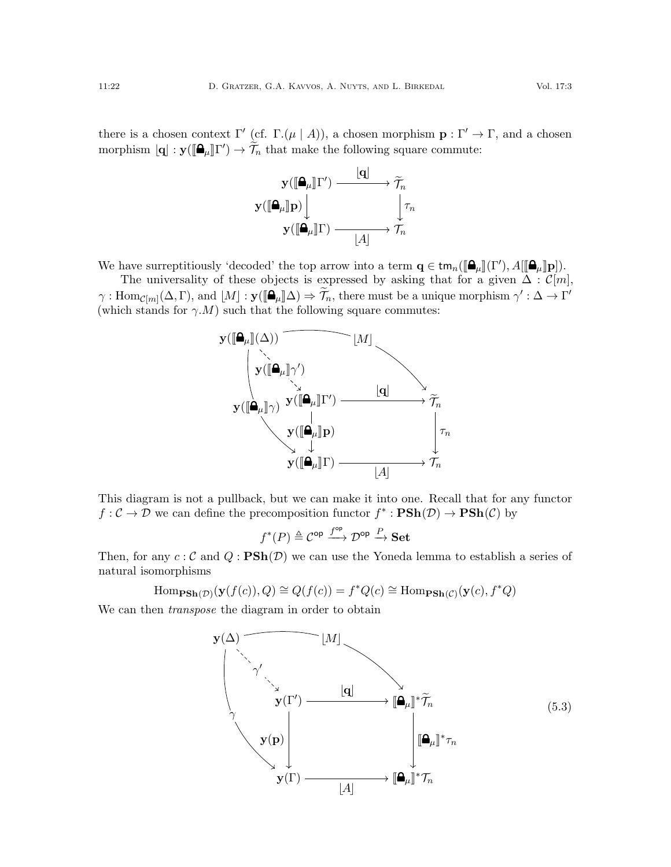there is a chosen context  $\Gamma'$  (cf.  $\Gamma(\mu | A)$ ), a chosen morphism  $\mathbf{p} : \Gamma' \to \Gamma$ , and a chosen morphism  $[\mathbf{q}] : \mathbf{y}([\mathbf{\Omega}_{\mu}]\Gamma') \to \widetilde{\mathcal{T}}_n$  that make the following square commute:



We have surreptitiously 'decoded' the top arrow into a term  $\mathbf{q} \in \text{tm}_n([\mathbf{\Xi}_{\mu}](\Gamma'), A[[\mathbf{\Xi}_{\mu}]\mathbf{p}]).$ <br>The universality of these objects is expressed by asking that for a given  $\Lambda : \mathcal{C}$ 

The universality of these objects is expressed by asking that for a given  $\Delta : \mathcal{C}[m]$ ,  $\gamma: \text{Hom}_{\mathcal{C}[m]}(\Delta, \Gamma)$ , and  $[M]: \mathbf{y}([\mathbf{\Omega}_{\mu}]\Delta) \Rightarrow \widetilde{\mathcal{T}}_n$ , there must be a unique morphism  $\gamma': \Delta \to \Gamma'$ <br>(which stands for  $\alpha: M$ ) such that the following square commutes: (which stands for  $\gamma.M$ ) such that the following square commutes:



This diagram is not a pullback, but we can make it into one. Recall that for any functor  $f: \mathcal{C} \to \mathcal{D}$  we can define the precomposition functor  $f^* : \mathbf{PSh}(\mathcal{D}) \to \mathbf{PSh}(\mathcal{C})$  by

$$
f^*(P) \triangleq \mathcal{C}^{\mathsf{op}} \xrightarrow{f^{\mathsf{op}}} \mathcal{D}^{\mathsf{op}} \xrightarrow{P} \mathbf{Set}
$$

Then, for any  $c: \mathcal{C}$  and  $Q: \mathbf{PSh}(\mathcal{D})$  we can use the Yoneda lemma to establish a series of natural isomorphisms

$$
\text{Hom}_{\textbf{PSh}(\mathcal{D})}(\textbf{y}(f(c)), Q) \cong Q(f(c)) = f^*Q(c) \cong \text{Hom}_{\textbf{PSh}(\mathcal{C})}(\textbf{y}(c), f^*Q)
$$

We can then *transpose* the diagram in order to obtain

<span id="page-21-0"></span>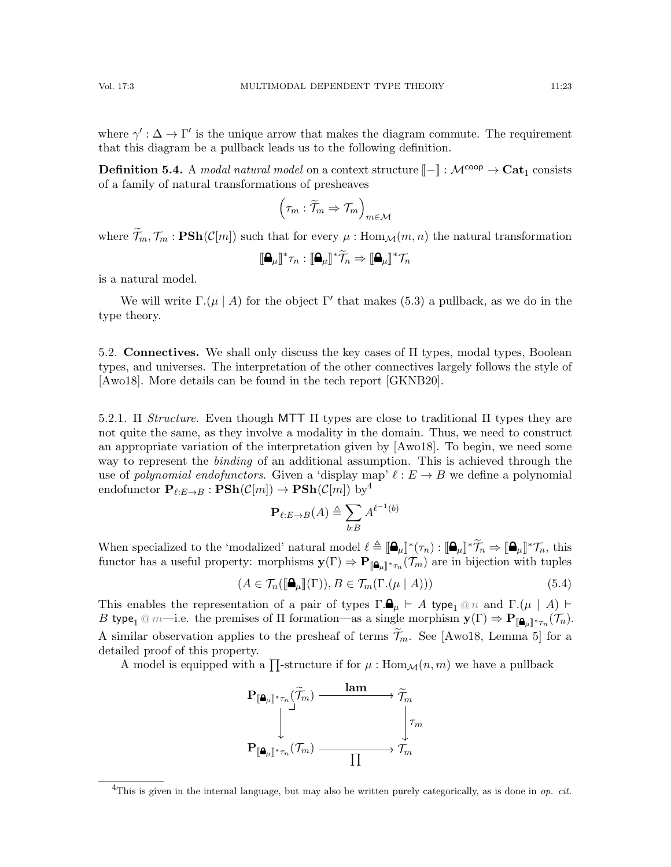where  $\gamma': \Delta \to \Gamma'$  is the unique arrow that makes the diagram commute. The requirement that this diagram be a pullback leads us to the following definition.

<span id="page-22-4"></span>**Definition 5.4.** A modal natural model on a context structure  $\llbracket - \rrbracket : \mathcal{M}^{\text{coop}} \to \text{Cat}_1$  consists of a family of natural transformations of presheaves

$$
\left(\tau_m:\widetilde{\mathcal{T}}_m\Rightarrow \mathcal{T}_m\right)_{m\in\mathcal{M}}
$$

where  $\widetilde{\mathcal{T}}_m, \mathcal{T}_m$ :  $\text{PSh}(\mathcal{C}[m])$  such that for every  $\mu$ : Hom $\mathcal{M}(m, n)$  the natural transformation

$$
[\![\mathbf{\Delta}_\mu]\!]^*\tau_n : [\![\mathbf{\Delta}_\mu]\!]^*\widetilde{\mathcal{T}}_n \Rightarrow [\![\mathbf{\Delta}_\mu]\!]^*\mathcal{T}_n
$$

is a natural model.

We will write  $\Gamma(\mu \mid A)$  for the object  $\Gamma'$  that makes [\(5.3\)](#page-21-0) a pullback, as we do in the type theory.

<span id="page-22-1"></span>5.2. Connectives. We shall only discuss the key cases of Π types, modal types, Boolean types, and universes. The interpretation of the other connectives largely follows the style of [\[Awo18\]](#page-62-4). More details can be found in the tech report [\[GKNB20\]](#page-63-15).

<span id="page-22-0"></span>5.2.1. Π Structure. Even though MTT  $\Pi$  types are close to traditional  $\Pi$  types they are not quite the same, as they involve a modality in the domain. Thus, we need to construct an appropriate variation of the interpretation given by [\[Awo18\]](#page-62-4). To begin, we need some way to represent the binding of an additional assumption. This is achieved through the use of *polynomial endofunctors*. Given a 'display map'  $\ell : E \to B$  we define a polynomial endofunctor  ${\bf P}_{\ell:E\rightarrow B}: {\bf PSh}(\mathcal{C}[m])\rightarrow {\bf PSh}(\mathcal{C}[m])$  by<sup>[4](#page-22-2)</sup>

$$
\mathbf{P}_{\ell:E\rightarrow B}(A)\triangleq\sum_{b:B}A^{\ell^{-1}(b)}
$$

When specialized to the 'modalized' natural model  $\ell \triangleq [\mathbf{\hat{a}}_{\mu}]^* (\tau_n) : [\mathbf{\hat{a}}_{\mu}]^* \widetilde{\mathcal{T}}_n \Rightarrow [\mathbf{\hat{a}}_{\mu}]^* \mathcal{T}_n$ , this functor has a vected property: marphisms  $\mathbf{v}(\Gamma) \rightarrow \mathbf{B}_{22}$ ,  $(\mathcal{T}_n)$  are in bijection functor has a useful property: morphisms  $y(\Gamma) \Rightarrow P_{[\![}A_{\mu] \!]^*\tau_n}(\mathcal{T}_m)$  are in bijection with tuples

<span id="page-22-3"></span>
$$
(A \in \mathcal{T}_n(\llbracket \mathbf{\Omega}_{\mu} \rrbracket(\Gamma)), B \in \mathcal{T}_m(\Gamma.(\mu \mid A))) \tag{5.4}
$$

This enables the representation of a pair of types  $\Gamma \cdot \mathbf{a}_{\mu} \vdash A$  type<sub>1</sub> @ n and  $\Gamma \cdot (\mu \mid A) \vdash$ B type<sub>1</sub> @ m—i.e. the premises of  $\Pi$  formation—as a single morphism  $\mathbf{y}(\Gamma) \Rightarrow \mathbf{P}_{[\mathbf{a}_{\mu}]^*\tau_n}(\mathcal{T}_n)$ . A similar observation applies to the presheaf of terms  $\widetilde{\mathcal{T}}_m$ . See [\[Awo18,](#page-62-4) Lemma 5] for a detailed proof of this property.

A model is equipped with a  $\prod$ -structure if for  $\mu$  :  $\text{Hom}_{\mathcal{M}}(n,m)$  we have a pullback



<span id="page-22-2"></span><sup>&</sup>lt;sup>4</sup>This is given in the internal language, but may also be written purely categorically, as is done in *op. cit.*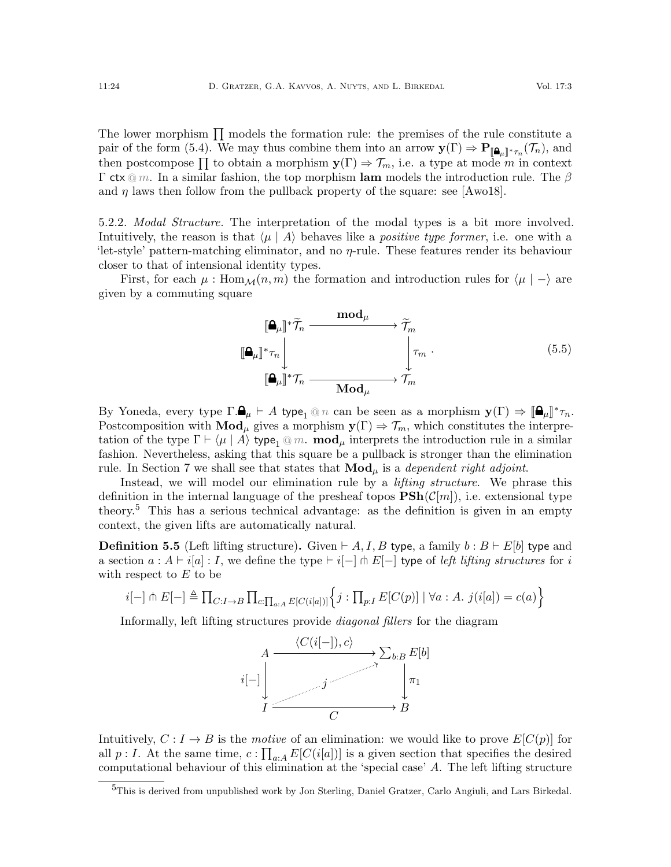The lower morphism  $\prod$  models the formation rule: the premises of the rule constitute a pair of the form [\(5.4\)](#page-22-3). We may thus combine them into an arrow  $\mathbf{y}(\Gamma) \Rightarrow \mathbf{P}_{\llbracket \mathbf{a}_{\mu} \rrbracket^* \tau_n}(\mathcal{T}_n)$ , and then postcompose  $\prod$  to obtain a morphism  $y(\Gamma) \Rightarrow \mathcal{T}_m$ , i.e. a type at mode m in context Γ ctx  $@m$ . In a similar fashion, the top morphism lam models the introduction rule. The β and  $\eta$  laws then follow from the pullback property of the square: see [\[Awo18\]](#page-62-4).

<span id="page-23-2"></span>5.2.2. Modal Structure. The interpretation of the modal types is a bit more involved. Intuitively, the reason is that  $\langle \mu | A \rangle$  behaves like a *positive type former*, i.e. one with a 'let-style' pattern-matching eliminator, and no η-rule. These features render its behaviour closer to that of intensional identity types.

First, for each  $\mu$ : Hom $\mathcal{M}(n,m)$  the formation and introduction rules for  $\langle \mu | - \rangle$  are given by a commuting square

<span id="page-23-1"></span>

By Yoneda, every type  $\Gamma \cdot \mathbf{A}_{\mu} \vdash A$  type<sub>1</sub> @ n can be seen as a morphism  $\mathbf{y}(\Gamma) \Rightarrow [\mathbf{A}_{\mu}]^* \tau_n$ .<br>Postcomposition with **Mod**, gives a morphism  $\mathbf{y}(\Gamma) \rightarrow \mathcal{T}$ , which constitutes the interpre-Postcomposition with  $\text{Mod}_{\mu}$  gives a morphism  $y(\Gamma) \Rightarrow \mathcal{T}_m$ , which constitutes the interpretation of the type  $\Gamma \vdash \langle \mu | A \rangle$  type<sub>1</sub> @ m. **mod**<sub> $\mu$ </sub> interprets the introduction rule in a similar fashion. Nevertheless, asking that this square be a pullback is stronger than the elimination rule. In Section [7](#page-34-0) we shall see that states that  $\mathbf{Mod}_{\mu}$  is a *dependent right adjoint*.

Instead, we will model our elimination rule by a *lifting structure*. We phrase this definition in the internal language of the presheaf topos  $\mathbf{PSh}(\mathcal{C}[m])$ , i.e. extensional type theory.[5](#page-23-0) This has a serious technical advantage: as the definition is given in an empty context, the given lifts are automatically natural.

**Definition 5.5** (Left lifting structure). Given  $\vdash A, I, B$  type, a family  $b : B \vdash E[b]$  type and a section  $a : A \vdash i[a] : I$ , we define the type  $\vdash i[-] \pitchfork E[-]$  type of left lifting structures for i with respect to  $E$  to be

$$
i[-]\pitchfork E[-] \triangleq \prod_{C:I\to B} \prod_{c:\prod_{a:A} E[C(i[a])]}\Big\{j:\prod_{p:I} E[C(p)] \mid \forall a:A.\ j(i[a]) = c(a)\Big\}
$$

Informally, left lifting structures provide diagonal fillers for the diagram



Intuitively,  $C: I \to B$  is the motive of an elimination: we would like to prove  $E[C(p)]$  for all  $p: I$ . At the same time,  $c: \prod_{a: A} E[C(i[a])]$  is a given section that specifies the desired computational behaviour of this elimination at the 'special case' A. The left lifting structure

<span id="page-23-0"></span><sup>&</sup>lt;sup>5</sup>This is derived from unpublished work by Jon Sterling, Daniel Gratzer, Carlo Angiuli, and Lars Birkedal.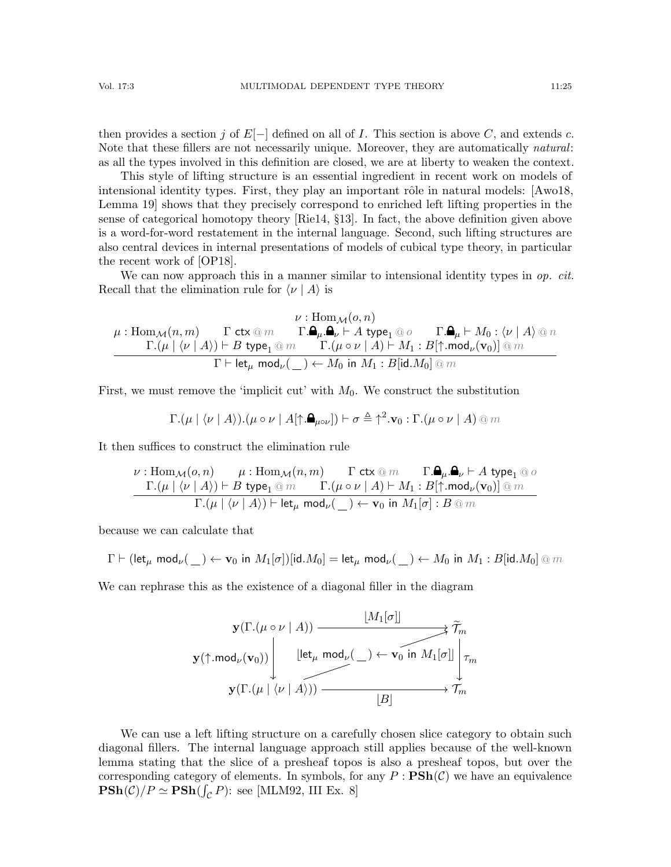then provides a section j of  $E[-]$  defined on all of I. This section is above C, and extends c. Note that these fillers are not necessarily unique. Moreover, they are automatically *natural*: as all the types involved in this definition are closed, we are at liberty to weaken the context.

This style of lifting structure is an essential ingredient in recent work on models of intensional identity types. First, they play an important rôle in natural models:  $[Aw018,$ Lemma 19] shows that they precisely correspond to enriched left lifting properties in the sense of categorical homotopy theory [\[Rie14,](#page-65-14) §13]. In fact, the above definition given above is a word-for-word restatement in the internal language. Second, such lifting structures are also central devices in internal presentations of models of cubical type theory, in particular the recent work of [\[OP18\]](#page-65-15).

We can now approach this in a manner similar to intensional identity types in  $\mathfrak{op.}$  cit. Recall that the elimination rule for  $\langle \nu | A \rangle$  is

$$
\mu: \mathrm{Hom}_{\mathcal{M}}(n,m) \qquad \Gamma \ \mathrm{ctx} \ @\ m \qquad \Gamma.\pmb{\Delta}_{\mu}.\pmb{\Delta}_{\nu} \vdash A \ \mathrm{type}_1 \ @\ o \qquad \Gamma.\pmb{\Delta}_{\mu} \vdash M_0 : \langle \nu \mid A \rangle \ @\ n \\ \hline \Gamma.(\mu \mid \langle \nu \mid A \rangle) \vdash B \ \mathrm{type}_1 \ @\ m \qquad \Gamma.(\mu \circ \nu \mid A) \vdash M_1 : B[\uparrow \ldots \mathrm{mod}_{\nu}(\mathbf{v}_0)] \ @\ m \\ \hline \Gamma \vdash \mathrm{let}_{\mu} \ \mathrm{mod}_{\nu}(\_) \leftarrow M_0 \ \mathrm{in} \ M_1 : B[\mathrm{id}.M_0] \ @\ m \\
$$

First, we must remove the 'implicit cut' with  $M_0$ . We construct the substitution

$$
\Gamma.(\mu \mid \langle \nu \mid A \rangle).(\mu \circ \nu \mid A[\uparrow. \mathbf{A}_{\mu \circ \nu}]) \vdash \sigma \triangleq \uparrow^{2} .\mathbf{v}_{0} : \Gamma.(\mu \circ \nu \mid A) \text{ @ } m
$$

It then suffices to construct the elimination rule

$$
\frac{\nu:\mathrm{Hom}_{\mathcal{M}}(o,n)\qquad \mu:\mathrm{Hom}_{\mathcal{M}}(n,m)\qquad \Gamma \text{ ctx} \textcircled{m}\qquad \Gamma.\pmb{\Omega}_{\mu}.\pmb{\Omega}_{\nu} \vdash A\ \mathsf{type}_{1} \textcircled{a}\ o}{\Gamma.(\mu\mid \langle \nu\mid A\rangle) \vdash B\ \mathsf{type}_{1}\textcircled{m}\qquad \Gamma.(\mu \circ \nu\mid A) \vdash M_{1}:B[\uparrow.\textsf{mod}_{\nu}(\mathbf{v}_{0})]\textcircled{m}}{\Gamma.(\mu\mid \langle \nu\mid A\rangle) \vdash \mathsf{let}_{\mu}\ \mathsf{mod}_{\nu}(\_) \leftarrow \mathbf{v}_{0}\ \mathsf{in}\ M_{1}[\sigma]:B\textcircled{m}
$$

because we can calculate that

$$
\Gamma \vdash (\mathsf{let}_{\mu} \ \mathsf{mod}_{\nu}(\underline{\hspace{0.5cm}}) \leftarrow \mathbf{v}_0 \ \mathsf{in} \ M_1[\sigma])[\mathsf{id}.M_0] = \mathsf{let}_{\mu} \ \mathsf{mod}_{\nu}(\underline{\hspace{0.5cm}}) \leftarrow M_0 \ \mathsf{in} \ M_1 : B[\mathsf{id}.M_0] \ @\ m
$$

We can rephrase this as the existence of a diagonal filler in the diagram



We can use a left lifting structure on a carefully chosen slice category to obtain such diagonal fillers. The internal language approach still applies because of the well-known lemma stating that the slice of a presheaf topos is also a presheaf topos, but over the corresponding category of elements. In symbols, for any  $P : \mathbf{PSh}(\mathcal{C})$  we have an equivalence  $\mathbf{PSh}(\mathcal{C})/P \simeq \mathbf{PSh}(\int_{\mathcal{C}} P)$ : see [\[MLM92,](#page-64-16) III Ex. 8]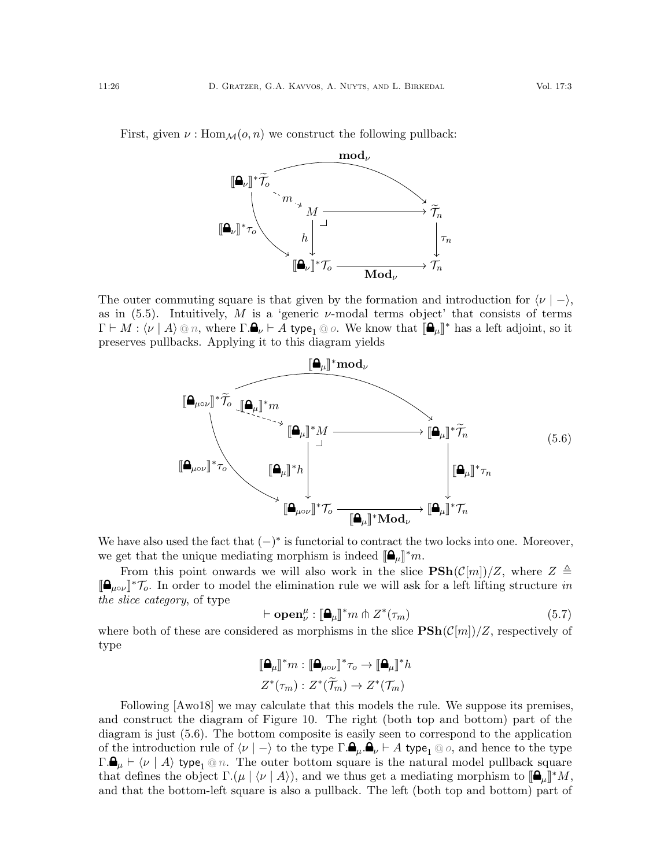

The outer commuting square is that given by the formation and introduction for  $\langle \nu | - \rangle$ , as in  $(5.5)$ . Intuitively, M is a 'generic  $\nu$ -modal terms object' that consists of terms  $\Gamma \vdash M : \langle \nu \mid A \rangle \otimes n$ , where  $\Gamma \cdot \mathbf{A}_{\nu} \vdash A$  type<sub>1</sub>  $\otimes$  o. We know that  $[\mathbf{A}_{\mu}]^*$  has a left adjoint, so it preserves pullbacks. Applying it to this diagram yields

<span id="page-25-0"></span>

We have also used the fact that  $(-)^*$  is functorial to contract the two locks into one. Moreover, we get that the unique mediating morphism is indeed  $[\mathbf{\hat{\mathbb{A}}}_{\mu}]^*m$ .<br>From this point enumerate we will also weak in the client

From this point onwards we will also work in the slice  $\text{PSh}(\mathcal{C}[m])/Z$ , where  $Z \triangleq$  $[\mathbf{a}_{\mu\circ\nu}]^* \mathcal{T}_o$ . In order to model the elimination rule we will ask for a left lifting structure in the client action of type the slice category, of type

$$
\vdash \mathbf{open}_{\nu}^{\mu} : [\mathbf{a}_{\mu}]^* m \pitchfork Z^*(\tau_m)
$$
\n(5.7)

 $\vdash \mathbf{open}_{\nu}^{\mu} : [\mathbf{\mathbb{Q}}_{\mu}]^* m \pitchfork Z^*(\tau_m)$  (5.7)<br>where both of these are considered as morphisms in the slice  $\mathbf{PSh}(\mathcal{C}[m])/Z$ , respectively of type

$$
\begin{aligned}\n\llbracket \mathbf{\Delta}_{\mu} \rrbracket^* m &: \llbracket \mathbf{\Delta}_{\mu \circ \nu} \rrbracket^* \tau_o \to \llbracket \mathbf{\Delta}_{\mu} \rrbracket^* h \\
Z^*(\tau_m) &: Z^*(\widetilde{\mathcal{T}}_m) \to Z^*(\mathcal{T}_m)\n\end{aligned}
$$

Following  $[A \text{w018}]$  we may calculate that this models the rule. We suppose its premises, and construct the diagram of Figure [10.](#page-26-0) The right (both top and bottom) part of the diagram is just [\(5.6\)](#page-25-0). The bottom composite is easily seen to correspond to the application of the introduction rule of  $\langle \nu | - \rangle$  to the type  $\Gamma \mathbf{.} \mathbf{a}_{\mu} \mathbf{.} \mathbf{a}_{\nu} \vdash A$  type<sub>1</sub> @ o, and hence to the type  $\Gamma \mathbf{a}_{\mu} \vdash \langle \nu | A \rangle$  type<sub>1</sub> @ n. The outer bottom square is the natural model pullback square that defines the object  $\Gamma(\mu \mid \langle \nu \mid A \rangle)$ , and we thus get a mediating morphism to  $[\mathbf{\Omega}_{\mu}]\^*M$ , and that the bottom-left square is also a pullback. The left (both top and bottom) part of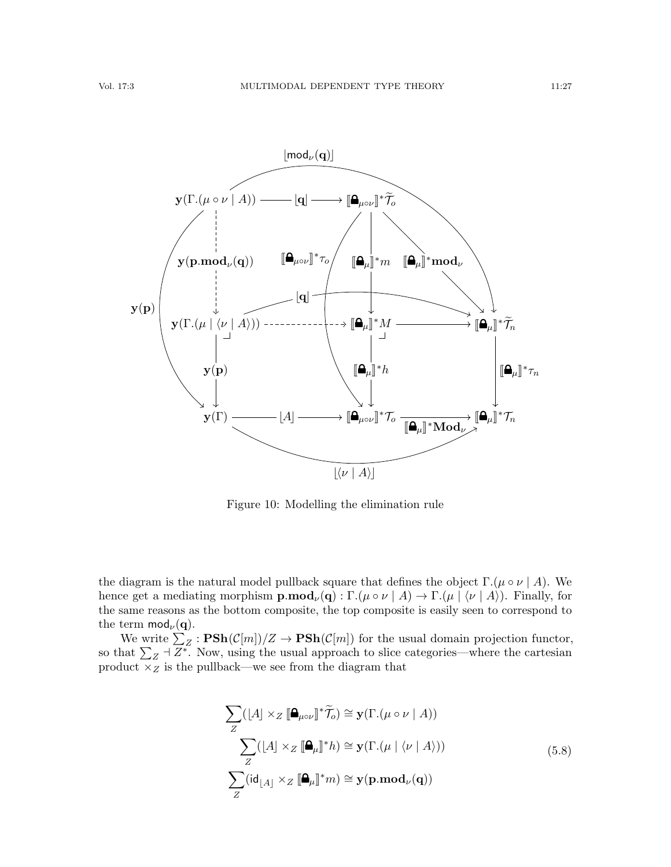

<span id="page-26-0"></span>Figure 10: Modelling the elimination rule

the diagram is the natural model pullback square that defines the object  $\Gamma$ .( $\mu \circ \nu \mid A$ ). We hence get a mediating morphism  $\mathbf{p}.\mathbf{mod}_{\nu}(\mathbf{q}) : \Gamma(\mu \circ \nu \mid A) \to \Gamma(\mu \mid \langle \nu \mid A \rangle)$ . Finally, for the same reasons as the bottom composite, the top composite is easily seen to correspond to the term  $mod_{\nu}(\mathbf{q})$ .

We write  $\sum_{Z} : \mathbf{PSh}(\mathcal{C}[m])/Z \to \mathbf{PSh}(\mathcal{C}[m])$  for the usual domain projection functor, so that  $\sum_{Z} \dashv \overline{Z^*}$ . Now, using the usual approach to slice categories—where the cartesian product  $\times_Z$  is the pullback—we see from the diagram that

<span id="page-26-1"></span>
$$
\sum_{Z} ([A] \times_{Z} [\mathbf{A}_{\mu \circ \nu}]^* \widetilde{\mathcal{T}}_o) \cong \mathbf{y}(\Gamma.(\mu \circ \nu \mid A))
$$
\n
$$
\sum_{Z} ([A] \times_{Z} [\mathbf{A}_{\mu}]^* h) \cong \mathbf{y}(\Gamma.(\mu \mid \langle \nu \mid A \rangle))
$$
\n
$$
\sum_{Z} (id_{\lfloor A \rfloor} \times_{Z} [\mathbf{A}_{\mu}]^* m) \cong \mathbf{y}(\mathbf{p}.\mathbf{mod}_{\nu}(\mathbf{q}))
$$
\n(5.8)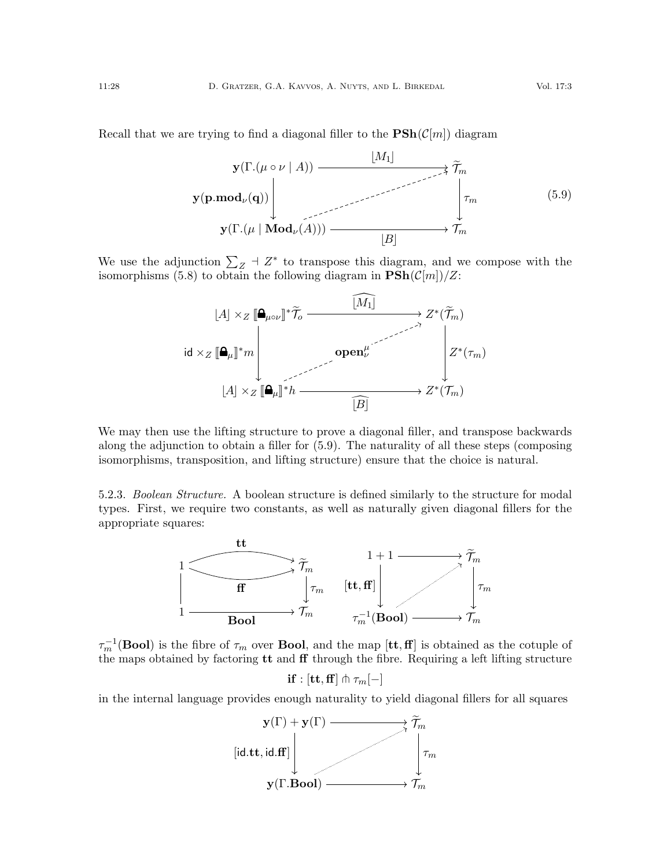<span id="page-27-0"></span>

We use the adjunction  $\sum_{Z}$  +  $Z^*$  to transpose this diagram, and we compose with the isomorphisms [\(5.8\)](#page-26-1) to obtain the following diagram in  $\mathbf{PSh}(\mathcal{C}[m])/Z$ :



We may then use the lifting structure to prove a diagonal filler, and transpose backwards along the adjunction to obtain a filler for [\(5.9\)](#page-27-0). The naturality of all these steps (composing isomorphisms, transposition, and lifting structure) ensure that the choice is natural.

<span id="page-27-1"></span>5.2.3. Boolean Structure. A boolean structure is defined similarly to the structure for modal types. First, we require two constants, as well as naturally given diagonal fillers for the appropriate squares:



 $\tau_m^{-1}(\text{Bool})$  is the fibre of  $\tau_m$  over **Bool**, and the map  $[\text{tt},\text{ff}]$  is obtained as the cotuple of the maps obtained by factoring  $tt$  and  $ff$  through the fibre. Requiring a left lifting structure

if :  $[\text{tt},\text{ff}] \pitchfork \tau_m[-]$ 

in the internal language provides enough naturality to yield diagonal fillers for all squares

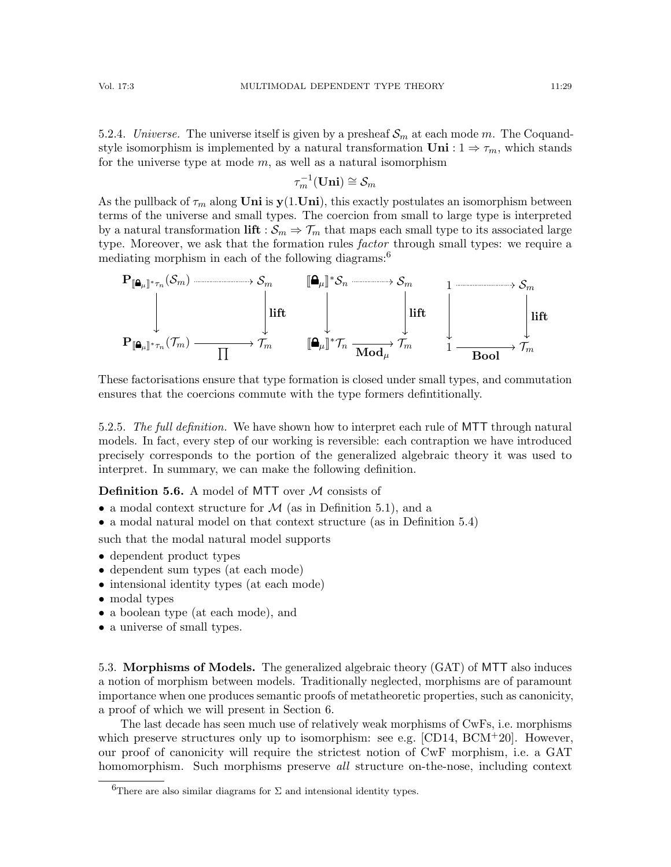5.2.4. Universe. The universe itself is given by a presheaf  $\mathcal{S}_m$  at each mode m. The Coquandstyle isomorphism is implemented by a natural transformation  $\text{Uni}: 1 \Rightarrow \tau_m$ , which stands for the universe type at mode  $m$ , as well as a natural isomorphism

$$
\tau_m^{-1}(\mathbf{Uni})\cong \mathcal{S}_m
$$

As the pullback of  $\tau_m$  along **Uni** is  $y(1.\text{Uni})$ , this exactly postulates an isomorphism between terms of the universe and small types. The coercion from small to large type is interpreted by a natural transformation lift :  $S_m \Rightarrow \mathcal{T}_m$  that maps each small type to its associated large type. Moreover, we ask that the formation rules *factor* through small types: we require a mediating morphism in each of the following diagrams:<sup>[6](#page-28-2)</sup>



These factorisations ensure that type formation is closed under small types, and commutation ensures that the coercions commute with the type formers defintitionally.

<span id="page-28-0"></span>5.2.5. The full definition. We have shown how to interpret each rule of MTT through natural models. In fact, every step of our working is reversible: each contraption we have introduced precisely corresponds to the portion of the generalized algebraic theory it was used to interpret. In summary, we can make the following definition.

<span id="page-28-3"></span>**Definition 5.6.** A model of MTT over  $M$  consists of

- a modal context structure for  $\mathcal M$  (as in Definition [5.1\)](#page-19-2), and a
- a modal natural model on that context structure (as in Definition [5.4\)](#page-22-4)

such that the modal natural model supports

- dependent product types
- dependent sum types (at each mode)
- intensional identity types (at each mode)
- modal types
- a boolean type (at each mode), and
- a universe of small types.

<span id="page-28-1"></span>5.3. Morphisms of Models. The generalized algebraic theory (GAT) of MTT also induces a notion of morphism between models. Traditionally neglected, morphisms are of paramount importance when one produces semantic proofs of metatheoretic properties, such as canonicity, a proof of which we will present in Section [6.](#page-30-0)

The last decade has seen much use of relatively weak morphisms of CwFs, i.e. morphisms which preserve structures only up to isomorphism: see e.g.  $[CD14, BCM^+20]$  $[CD14, BCM^+20]$  $[CD14, BCM^+20]$ . However, our proof of canonicity will require the strictest notion of CwF morphism, i.e. a GAT homomorphism. Such morphisms preserve all structure on-the-nose, including context

<span id="page-28-2"></span><sup>&</sup>lt;sup>6</sup>There are also similar diagrams for  $\Sigma$  and intensional identity types.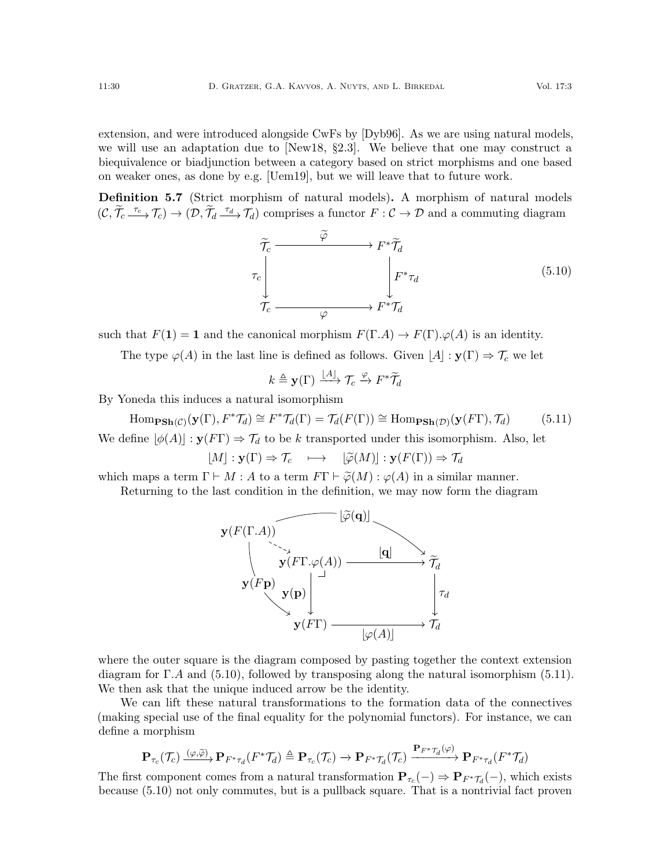extension, and were introduced alongside CwFs by [\[Dyb96\]](#page-63-13). As we are using natural models, we will use an adaptation due to [\[New18,](#page-65-16) §2.3]. We believe that one may construct a biequivalence or biadjunction between a category based on strict morphisms and one based on weaker ones, as done by e.g. [\[Uem19\]](#page-66-4), but we will leave that to future work.

Definition 5.7 (Strict morphism of natural models). A morphism of natural models  $(C, \widetilde{\mathcal{T}}_c \xrightarrow{\tau_c} \mathcal{T}_c) \to (\mathcal{D}, \widetilde{\mathcal{T}}_d \xrightarrow{\tau_d} \mathcal{T}_d)$  comprises a functor  $F : C \to \mathcal{D}$  and a commuting diagram

<span id="page-29-0"></span>
$$
\widetilde{\tau_c} \xrightarrow{\widetilde{\varphi}} F^* \widetilde{\mathcal{T}}_d
$$
\n
$$
\tau_c \downarrow \qquad \qquad F^* \widetilde{\mathcal{T}}_d
$$
\n
$$
\widetilde{\mathcal{T}}_c \xrightarrow{\varphi} F^* \mathcal{T}_d
$$
\n
$$
(5.10)
$$

such that  $F(1) = 1$  and the canonical morphism  $F(\Gamma.A) \to F(\Gamma) \cdot \varphi(A)$  is an identity.

The type  $\varphi(A)$  in the last line is defined as follows. Given  $|A| : \mathbf{y}(\Gamma) \Rightarrow \mathcal{T}_c$  we let

$$
k \triangleq \mathbf{y}(\Gamma) \xrightarrow{\lfloor A \rfloor} \mathcal{T}_c \xrightarrow{\varphi} F^* \widetilde{\mathcal{T}}_d
$$

By Yoneda this induces a natural isomorphism

<span id="page-29-1"></span>Hom<sub>PSh</sub>(
$$
c
$$
) $(\mathbf{y}(\Gamma), F^* \mathcal{T}_d) \cong F^* \mathcal{T}_d(\Gamma) = \mathcal{T}_d(F(\Gamma)) \cong \text{Hom}_{\text{PSh}(\mathcal{D})}(\mathbf{y}(F\Gamma), \mathcal{T}_d)$  (5.11)  
We define  $\lfloor \phi(A) \rfloor : \mathbf{y}(F\Gamma) \Rightarrow \mathcal{T}_d$  to be  $k$  transported under this isomorphism. Also, let

 $[M]: \mathbf{y}(\Gamma) \Rightarrow \mathcal{T}_c \quad \longmapsto \quad [\widetilde{\varphi}(M)] : \mathbf{y}(F(\Gamma)) \Rightarrow \mathcal{T}_d$ 

which maps a term  $\Gamma \vdash M : A$  to a term  $F\Gamma \vdash \tilde{\varphi}(M) : \varphi(A)$  in a similar manner.

Returning to the last condition in the definition, we may now form the diagram



where the outer square is the diagram composed by pasting together the context extension diagram for Γ.A and [\(5.10\)](#page-29-0), followed by transposing along the natural isomorphism [\(5.11\)](#page-29-1). We then ask that the unique induced arrow be the identity.

We can lift these natural transformations to the formation data of the connectives (making special use of the final equality for the polynomial functors). For instance, we can define a morphism

$$
\mathbf{P}_{\tau_c}(\mathcal{T}_c) \xrightarrow{(\varphi,\widetilde{\varphi})} \mathbf{P}_{F^*\tau_d}(F^*\mathcal{T}_d) \triangleq \mathbf{P}_{\tau_c}(\mathcal{T}_c) \to \mathbf{P}_{F^*\mathcal{T}_d}(\mathcal{T}_c) \xrightarrow{\mathbf{P}_{F^*\mathcal{T}_d}(\varphi)} \mathbf{P}_{F^*\tau_d}(F^*\mathcal{T}_d)
$$

The first component comes from a natural transformation  $P_{\tau_c}(-) \Rightarrow P_{F^*\mathcal{T}_d}(-)$ , which exists because [\(5.10\)](#page-29-0) not only commutes, but is a pullback square. That is a nontrivial fact proven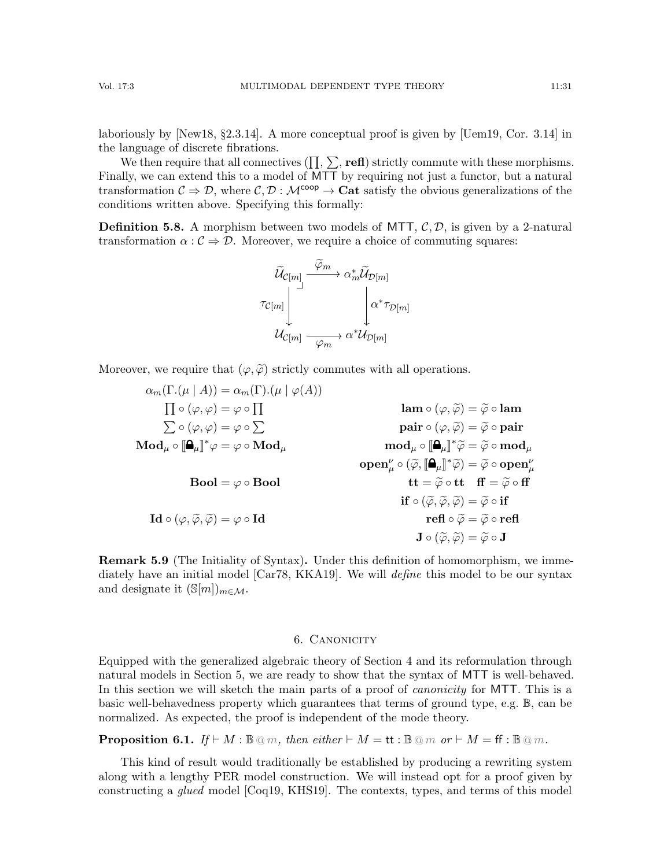We then require that all connectives  $(\Pi, \Sigma, \text{refl})$  strictly commute with these morphisms. Finally, we can extend this to a model of MTT by requiring not just a functor, but a natural transformation  $C \Rightarrow \mathcal{D}$ , where  $C, \mathcal{D} : \mathcal{M}^{\text{coop}} \to \text{Cat}$  satisfy the obvious generalizations of the conditions written above. Specifying this formally:

**Definition 5.8.** A morphism between two models of MTT,  $\mathcal{C}, \mathcal{D}$ , is given by a 2-natural transformation  $\alpha : \mathcal{C} \Rightarrow \mathcal{D}$ . Moreover, we require a choice of commuting squares:



Moreover, we require that  $(\varphi, \widetilde{\varphi})$  strictly commutes with all operations.

$$
\alpha_m(\Gamma.(\mu \mid A)) = \alpha_m(\Gamma).(\mu \mid \varphi(A))
$$
\n
$$
\prod \circ (\varphi, \varphi) = \varphi \circ \prod \text{lam } \circ (\varphi, \widetilde{\varphi}) = \widetilde{\varphi} \circ \text{lam}
$$
\n
$$
\sum \circ (\varphi, \varphi) = \varphi \circ \sum \text{pair } \circ (\varphi, \widetilde{\varphi}) = \widetilde{\varphi} \circ \text{pair}
$$
\n
$$
\text{Mod}_{\mu} \circ [\mathbf{a}_{\mu}]^* \varphi = \varphi \circ \text{Mod}_{\mu}
$$
\n
$$
\text{Bool} = \varphi \circ \text{Bool}
$$
\n
$$
\text{Bool} = \varphi \circ \text{Bool}
$$
\n
$$
\text{Mod}_{\mu} \circ [\mathbf{a}_{\mu}]^* \widetilde{\varphi} = \widetilde{\varphi} \circ \text{mod}_{\mu}
$$
\n
$$
\text{open}^{\nu}_{\mu} \circ (\widetilde{\varphi}, [\mathbf{a}_{\mu}]^* \widetilde{\varphi}) = \widetilde{\varphi} \circ \text{open}^{\nu}_{\mu}
$$
\n
$$
\text{Hol} = \varphi \circ \text{Bool}
$$
\n
$$
\text{Id} \circ (\varphi, \widetilde{\varphi}, \widetilde{\varphi}) = \varphi \circ \text{Id}
$$
\n
$$
\text{Id} \circ (\varphi, \widetilde{\varphi}, \widetilde{\varphi}) = \varphi \circ \text{Id}
$$
\n
$$
\text{Id} \circ (\widetilde{\varphi}, \widetilde{\varphi}, \widetilde{\varphi}) = \widetilde{\varphi} \circ \text{Id}
$$
\n
$$
\text{Id} \circ (\widetilde{\varphi}, \widetilde{\varphi}, \widetilde{\varphi}) = \widetilde{\varphi} \circ \text{Id}
$$
\n
$$
\text{Id} \circ (\widetilde{\varphi}, \widetilde{\varphi}) = \widetilde{\varphi} \circ \text{Id}
$$

Remark 5.9 (The Initiality of Syntax). Under this definition of homomorphism, we imme-diately have an initial model [\[Car78,](#page-63-9) [KKA19\]](#page-64-13). We will *define* this model to be our syntax and designate it  $(\mathbb{S}[m])_{m\in\mathcal{M}}$ .

#### 6. CANONICITY

<span id="page-30-0"></span>Equipped with the generalized algebraic theory of Section [4](#page-11-0) and its reformulation through natural models in Section [5,](#page-18-0) we are ready to show that the syntax of MTT is well-behaved. In this section we will sketch the main parts of a proof of *canonicity* for MTT. This is a basic well-behavedness property which guarantees that terms of ground type, e.g. B, can be normalized. As expected, the proof is independent of the mode theory.

**Proposition 6.1.** If  $\vdash M : \mathbb{B} \otimes m$ , then either  $\vdash M = \mathsf{tt} : \mathbb{B} \otimes m$  or  $\vdash M = \mathsf{ff} : \mathbb{B} \otimes m$ .

This kind of result would traditionally be established by producing a rewriting system along with a lengthy PER model construction. We will instead opt for a proof given by constructing a glued model [\[Coq19,](#page-63-5) [KHS19\]](#page-64-8). The contexts, types, and terms of this model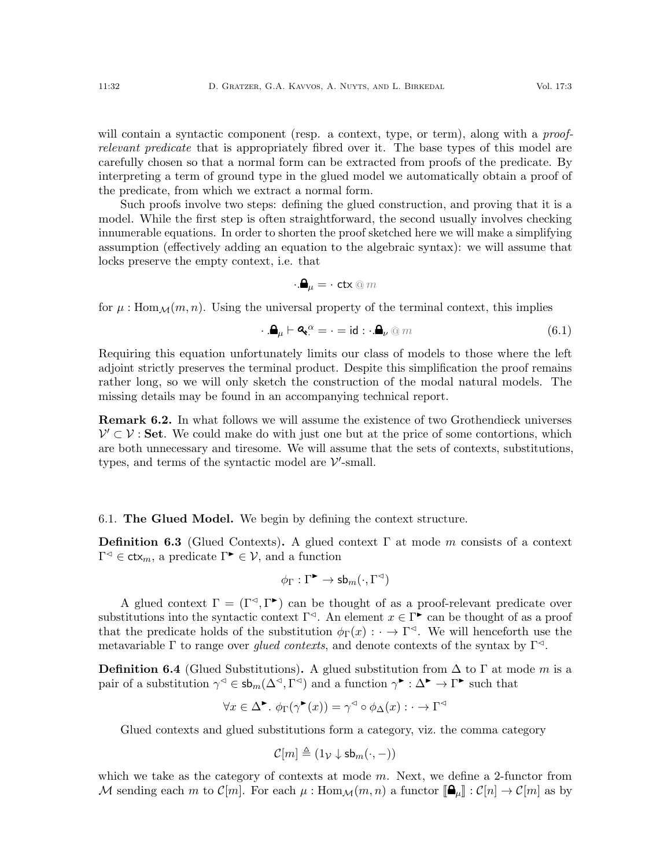will contain a syntactic component (resp. a context, type, or term), along with a *proof*relevant predicate that is appropriately fibred over it. The base types of this model are carefully chosen so that a normal form can be extracted from proofs of the predicate. By interpreting a term of ground type in the glued model we automatically obtain a proof of the predicate, from which we extract a normal form.

Such proofs involve two steps: defining the glued construction, and proving that it is a model. While the first step is often straightforward, the second usually involves checking innumerable equations. In order to shorten the proof sketched here we will make a simplifying assumption (effectively adding an equation to the algebraic syntax): we will assume that locks preserve the empty context, i.e. that

$$
\cdot . \mathbf{Q}_\mu = \cdot \text{ ctx} \circledcirc m
$$

for  $\mu$ : Hom $\mathcal{M}(m, n)$ . Using the universal property of the terminal context, this implies

<span id="page-31-0"></span>
$$
\mathbf{A}_{\mu} \vdash \mathbf{A}_{\mu}^{\alpha} = \cdot = \mathrm{id} : \mathbf{A}_{\nu} \circledcirc m \tag{6.1}
$$

Requiring this equation unfortunately limits our class of models to those where the left adjoint strictly preserves the terminal product. Despite this simplification the proof remains rather long, so we will only sketch the construction of the modal natural models. The missing details may be found in an accompanying technical report.

Remark 6.2. In what follows we will assume the existence of two Grothendieck universes  $\mathcal{V}' \subset \mathcal{V}$ : Set. We could make do with just one but at the price of some contortions, which are both unnecessary and tiresome. We will assume that the sets of contexts, substitutions, types, and terms of the syntactic model are  $\mathcal{V}'$ -small.

## 6.1. The Glued Model. We begin by defining the context structure.

**Definition 6.3** (Glued Contexts). A glued context  $\Gamma$  at mode m consists of a context  $\Gamma^{\triangleleft} \in \text{ctx}_m$ , a predicate  $\Gamma^{\blacktriangleright} \in \mathcal{V}$ , and a function

$$
\phi_{\Gamma}: \Gamma^{\blacktriangleright} \to \mathsf{sb}_m(\cdot, \Gamma^{\lhd})
$$

A glued context  $\Gamma = (\Gamma^{\triangleleft}, \Gamma^{\triangleright})$  can be thought of as a proof-relevant predicate over substitutions into the syntactic context  $\Gamma^{\lhd}$ . An element  $x \in \Gamma^{\blacktriangleright}$  can be thought of as a proof that the predicate holds of the substitution  $\phi_{\Gamma}(x) : \cdot \to \Gamma^{\lhd}$ . We will henceforth use the metavariable Γ to range over glued contexts, and denote contexts of the syntax by  $\Gamma^{\lhd}$ .

**Definition 6.4** (Glued Substitutions). A glued substitution from  $\Delta$  to  $\Gamma$  at mode m is a pair of a substitution  $\gamma^{\triangleleft} \in \mathsf{sb}_m(\Delta^{\triangleleft}, \Gamma^{\triangleleft})$  and a function  $\gamma^{\blacktriangleright} : \Delta^{\blacktriangleright} \to \Gamma^{\blacktriangleright}$  such that

$$
\forall x \in \Delta^{\blacktriangleright}. \ \phi_{\Gamma}(\gamma^{\blacktriangleright}(x)) = \gamma^{\triangleleft} \circ \phi_{\Delta}(x) : \cdot \to \Gamma^{\triangleleft}
$$

Glued contexts and glued substitutions form a category, viz. the comma category

$$
\mathcal{C}[m] \triangleq (1_{\mathcal{V}} \downarrow \mathsf{sb}_m(\cdot, -))
$$

which we take as the category of contexts at mode  $m$ . Next, we define a 2-functor from M sending each m to  $\mathcal{C}[m]$ . For each  $\mu$ : Hom $\mathcal{M}(m,n)$  a functor  $[\mathbf{\mathbf{\Theta}}_{\mu}]: \mathcal{C}[n] \to \mathcal{C}[m]$  as by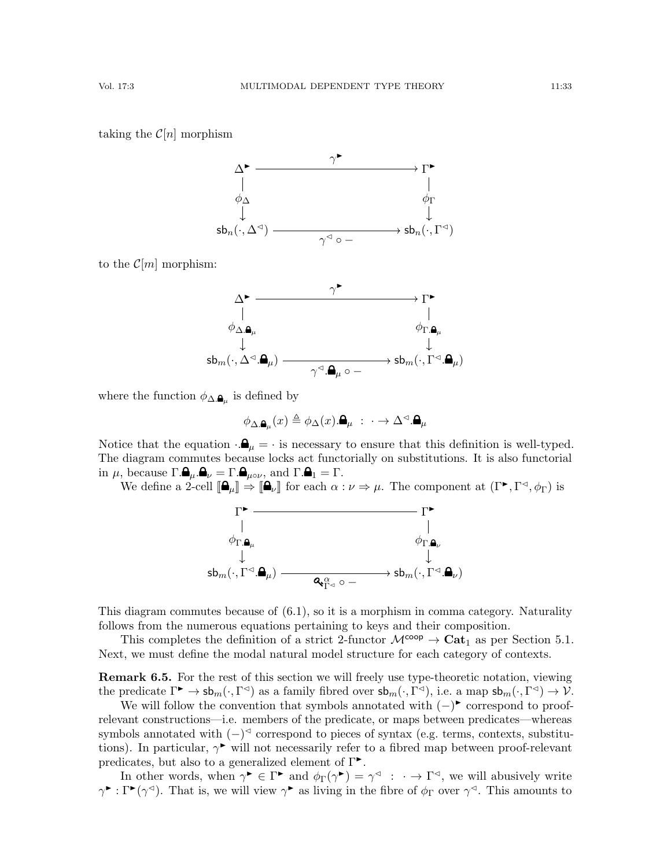taking the  $\mathcal{C}[n]$  morphism



to the  $\mathcal{C}[m]$  morphism:

$$
\begin{CD} \Delta^{\blacktriangleright} @>>> \gamma^{\blacktriangleright} @>>> \Gamma^{\blacktriangleright} \\ | @>>> \mathbf{a}_\mu \\ \psi_{\Delta,\pmb{\mathbf{a}}_\mu} @>>> \phi_{\Gamma,\pmb{\mathbf{a}}_\mu} \\ \downarrow @>>> \mathrm{sb}_m( \cdot , \Delta^{\vartriangleleft}. \pmb{\mathbf{a}}_\mu) @>>> \mathrm{sb}_m( \cdot , \Gamma^{\vartriangleleft}.\pmb{\mathbf{a}}_\mu) \\ \end{CD}
$$

where the function  $\phi_{\Delta,\mathbf{a}_{\mu}}$  is defined by

$$
\phi_{\Delta.\pmb{\Delta}_\mu}(x) \triangleq \phi_\Delta(x).\pmb{\Delta}_\mu \; : \; \cdot \to \Delta^\lhd.\pmb{\Delta}_\mu
$$

Notice that the equation  $\cdot \mathbf{A}_{\mu} = \cdot$  is necessary to ensure that this definition is well-typed. The diagram commutes because locks act functorially on substitutions. It is also functorial in  $\mu$ , because  $\Gamma.\mathbf{\mathbf{\Theta}}_{\mu}.\mathbf{\mathbf{\Theta}}_{\nu} = \Gamma.\mathbf{\mathbf{\Theta}}_{\mu\circ\nu}$ , and  $\Gamma.\mathbf{\mathbf{\Theta}}_{1} = \Gamma.$ 

We define a 2-cell  $[\mathbf{\Omega}_{\mu}]\Rightarrow [\mathbf{\Omega}_{\nu}]$  for each  $\alpha:\nu\Rightarrow\mu$ . The component at  $(\Gamma^{\blacktriangleright}, \Gamma^{\vartriangleleft}, \phi_{\Gamma})$  is



This diagram commutes because of [\(6.1\)](#page-31-0), so it is a morphism in comma category. Naturality follows from the numerous equations pertaining to keys and their composition.

This completes the definition of a strict 2-functor  $\mathcal{M}^{\text{coop}} \to \text{Cat}_1$  as per Section [5.1.](#page-19-2) Next, we must define the modal natural model structure for each category of contexts.

**Remark 6.5.** For the rest of this section we will freely use type-theoretic notation, viewing the predicate  $\Gamma^{\blacktriangleright} \to \mathsf{sb}_m(\cdot, \Gamma^{\triangleleft})$  as a family fibred over  $\mathsf{sb}_m(\cdot, \Gamma^{\triangleleft})$ , i.e. a map  $\mathsf{sb}_m(\cdot, \Gamma^{\triangleleft}) \to \mathcal{V}$ .

We will follow the convention that symbols annotated with  $(-)$  correspond to proofrelevant constructions—i.e. members of the predicate, or maps between predicates—whereas symbols annotated with  $(-)$ <sup>⊲</sup> correspond to pieces of syntax (e.g. terms, contexts, substitutions). In particular,  $\gamma^{\bullet}$  will not necessarily refer to a fibred map between proof-relevant predicates, but also to a generalized element of  $\Gamma$ <sup> $\blacktriangleright$ </sup>.

In other words, when  $\gamma^{\blacktriangleright} \in \Gamma^{\blacktriangleright}$  and  $\phi_{\Gamma}(\gamma^{\blacktriangleright}) = \gamma^{\triangleleft} : \cdot \to \Gamma^{\triangleleft}$ , we will abusively write  $\gamma^{\blacktriangleright} : \Gamma^{\blacktriangleright}(\gamma^{\triangleleft})$ . That is, we will view  $\gamma^{\blacktriangleright}$  as living in the fibre of  $\phi_{\Gamma}$  over  $\gamma^{\triangleleft}$ . This amounts to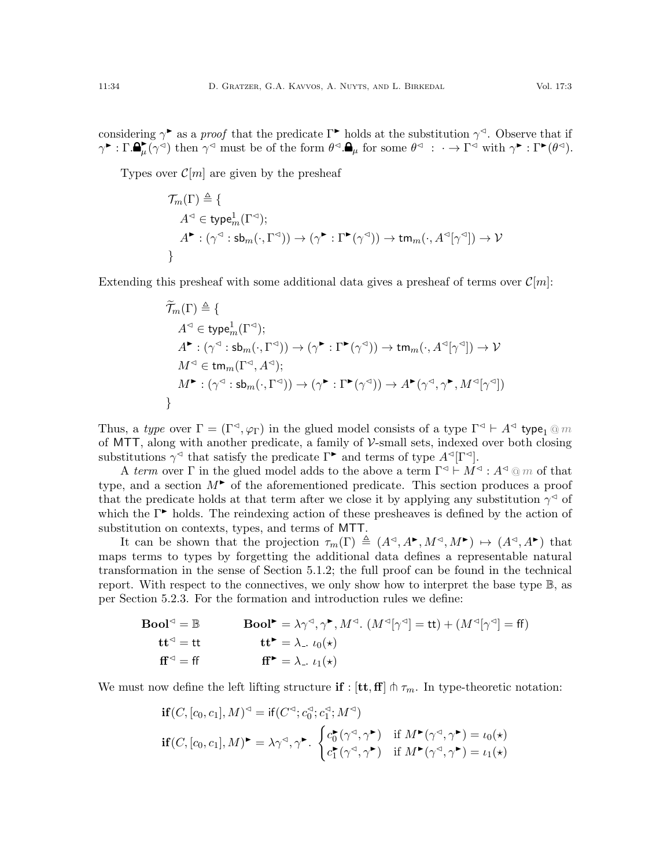considering  $\gamma^*$  as a proof that the predicate  $\Gamma^*$  holds at the substitution  $\gamma^<$ . Observe that if  $\gamma^{\blacktriangleright} : \Gamma \cdot \mathbf{P}_{\mu}^{\blacktriangleright}(\gamma^{\triangleleft})$  then  $\gamma^{\triangleleft}$  must be of the form  $\theta^{\triangleleft} \cdot \mathbf{P}_{\mu}$  for some  $\theta^{\triangleleft} : \cdot \to \Gamma^{\triangleleft}$  with  $\gamma^{\blacktriangleright} : \Gamma^{\blacktriangleright}(\theta^{\triangleleft}) \cdot$ 

Types over  $\mathcal{C}[m]$  are given by the presheaf

$$
\begin{aligned} \mathcal{T}_m(\Gamma) &\triangleq \{ \\ A^\lhd\in\mathsf{type}^1_m(\Gamma^\lhd); \\ A^\blacktriangleright: (\gamma^\lhd:\mathsf{sb}_m(\cdot,\Gamma^\lhd)) \to (\gamma^\blacktriangleright:\Gamma^\blacktriangleright(\gamma^\lhd)) \to \mathsf{tm}_m(\cdot,A^\lhd[\gamma^\lhd]) \to \mathcal{V} \\ \} \end{aligned}
$$

Extending this presheaf with some additional data gives a presheaf of terms over  $\mathcal{C}[m]$ :

$$
\widetilde{\mathcal{T}}_m(\Gamma) \triangleq \{ \newline A^{\lhd} \in \mathsf{type}_m^1(\Gamma^{\lhd}) ; \newline A^{\blacktriangleright} : (\gamma^{\lhd} : \mathsf{sb}_m(\cdot, \Gamma^{\lhd})) \to (\gamma^{\blacktriangleright} : \Gamma^{\blacktriangleright}(\gamma^{\lhd})) \to \mathsf{tm}_m(\cdot, A^{\lhd}[\gamma^{\lhd}]) \to \mathcal{V} \newline M^{\lhd} \in \mathsf{tm}_m(\Gamma^{\lhd}, A^{\lhd}) ; \newline M^{\blacktriangleright} : (\gamma^{\lhd} : \mathsf{sb}_m(\cdot, \Gamma^{\lhd})) \to (\gamma^{\blacktriangleright} : \Gamma^{\blacktriangleright}(\gamma^{\lhd})) \to A^{\blacktriangleright}(\gamma^{\lhd}, \gamma^{\blacktriangleright}, M^{\lhd}[\gamma^{\lhd}]) \newline \}
$$

Thus, a type over  $\Gamma = (\Gamma^{\lhd}, \varphi_{\Gamma})$  in the glued model consists of a type  $\Gamma^{\lhd} \vdash A^{\lhd}$  type<sub>1</sub> @ m of MTT, along with another predicate, a family of  $V$ -small sets, indexed over both closing substitutions  $\gamma^{\triangleleft}$  that satisfy the predicate  $\Gamma^{\blacktriangleright}$  and terms of type  $A^{\triangleleft}[\Gamma^{\triangleleft}].$ 

A term over  $\Gamma$  in the glued model adds to the above a term  $\Gamma^{\lhd} \vdash M^{\lhd} : A^{\lhd} \otimes m$  of that type, and a section  $M^{\triangleright}$  of the aforementioned predicate. This section produces a proof that the predicate holds at that term after we close it by applying any substitution  $\gamma^{\triangleleft}$  of which the  $\Gamma^{\triangleright}$  holds. The reindexing action of these presheaves is defined by the action of substitution on contexts, types, and terms of MTT.

It can be shown that the projection  $\tau_m(\Gamma) \triangleq (A^{\lhd}, A^{\blacktriangleright}, M^{\lhd}, M^{\blacktriangleright}) \mapsto (A^{\lhd}, A^{\blacktriangleright})$  that maps terms to types by forgetting the additional data defines a representable natural transformation in the sense of Section [5.1.2;](#page-20-2) the full proof can be found in the technical report. With respect to the connectives, we only show how to interpret the base type B, as per Section [5.2.3.](#page-27-1) For the formation and introduction rules we define:

\n
$$
\text{Bool}^{\lhd} = \mathbb{B}
$$
\n

\n\n $\text{Bool}^{\lhd} = \lambda \gamma^{\lhd}, \gamma^{\blacktriangleright}, M^{\lhd}.$ \n $(M^{\lhd}[\gamma^{\lhd}] = \text{tt}) + (M^{\lhd}[\gamma^{\lhd}] = \text{ff})$ \n

\n\n $\text{tt}^{\lhd} = \text{tt}$ \n

\n\n $\text{tt}^{\blacktriangleright} = \lambda_-, \, \iota_0(\star)$ \n

\n\n $\text{tt}^{\blacktriangleright} = \lambda_-, \, \iota_1(\star)$ \n

We must now define the left lifting structure if :  $[\mathbf{t},\mathbf{f}] \pitchfork \tau_m$ . In type-theoretic notation:

$$
\begin{aligned}\n\mathbf{if}(C, [c_0, c_1], M)^\lhd &= \mathbf{if}(C^\lhd; c_0^\lhd; c_1^\lhd; M^\lhd) \\
\mathbf{if}(C, [c_0, c_1], M)^\blacktriangleright &= \lambda \gamma^\lhd, \gamma^\blacktriangleright. \begin{cases}\nc_0^\blacktriangleright(\gamma^\lhd, \gamma^\blacktriangleright) & \text{if } M^\blacktriangleright(\gamma^\lhd, \gamma^\blacktriangleright) = \iota_0(\star) \\
c_1^\blacktriangleright(\gamma^\lhd, \gamma^\blacktriangleright) & \text{if } M^\blacktriangleright(\gamma^\lhd, \gamma^\blacktriangleright) = \iota_1(\star)\n\end{cases}\n\end{aligned}
$$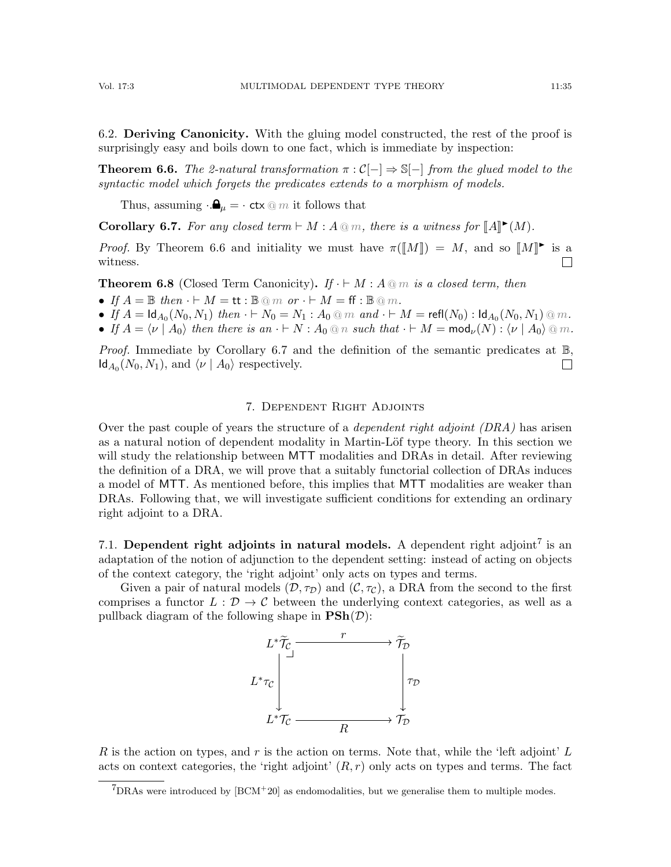6.2. Deriving Canonicity. With the gluing model constructed, the rest of the proof is surprisingly easy and boils down to one fact, which is immediate by inspection:

<span id="page-34-1"></span>**Theorem 6.6.** The 2-natural transformation  $\pi : C[-] \Rightarrow \mathbb{S}[-]$  from the glued model to the syntactic model which forgets the predicates extends to a morphism of models.

Thus, assuming  $\cdot \mathbf{A}_{\mu} = \cdot$  ctx  $\circledcirc m$  it follows that

<span id="page-34-2"></span>**Corollary 6.7.** For any closed term  $\vdash M : A \otimes m$ , there is a witness for  $\llbracket A \rrbracket^{\blacktriangleright}(M)$ .

*Proof.* By Theorem [6.6](#page-34-1) and initiality we must have  $\pi(\llbracket M \rrbracket) = M$ , and so  $\llbracket M \rrbracket^{\blacktriangleright}$  is a witness.  $\perp$ 

**Theorem 6.8** (Closed Term Canonicity). If  $\cdot \vdash M : A \t{m}$  is a closed term, then

- If  $A = \mathbb{B}$  then  $\cdot \vdash M = \mathsf{tt} : \mathbb{B} \otimes m$  or  $\cdot \vdash M = \mathsf{ff} : \mathbb{B} \otimes m$ .
- If  $A = \text{Id}_{A_0}(N_0, N_1)$  then  $\cdot \vdash N_0 = N_1 : A_0 \text{ } @\ m \text{ } and \cdot \vdash M = \text{refl}(N_0) : \text{Id}_{A_0}(N_0, N_1) \text{ } @\ m$ .
- If  $A = \langle \nu \mid A_0 \rangle$  then there is an  $\cdot \vdash N : A_0 \tQ n$  such that  $\cdot \vdash M = \text{mod}_{\nu}(N) : \langle \nu \mid A_0 \rangle \tQ m$ .

*Proof.* Immediate by Corollary [6.7](#page-34-2) and the definition of the semantic predicates at  $\mathbb{B}$ ,  $\mathsf{Id}_{A_0}(N_0, N_1)$ , and  $\langle \nu | A_0 \rangle$  respectively.  $\Box$ 

#### 7. Dependent Right Adjoints

<span id="page-34-0"></span>Over the past couple of years the structure of a *dependent right adjoint (DRA)* has arisen as a natural notion of dependent modality in Martin-Löf type theory. In this section we will study the relationship between MTT modalities and DRAs in detail. After reviewing the definition of a DRA, we will prove that a suitably functorial collection of DRAs induces a model of MTT. As mentioned before, this implies that MTT modalities are weaker than DRAs. Following that, we will investigate sufficient conditions for extending an ordinary right adjoint to a DRA.

[7](#page-34-3).1. Dependent right adjoints in natural models. A dependent right adjoint<sup>7</sup> is an adaptation of the notion of adjunction to the dependent setting: instead of acting on objects of the context category, the 'right adjoint' only acts on types and terms.

Given a pair of natural models  $(D, \tau_D)$  and  $(C, \tau_C)$ , a DRA from the second to the first comprises a functor  $L : \mathcal{D} \to \mathcal{C}$  between the underlying context categories, as well as a pullback diagram of the following shape in  $\text{PSh}(\mathcal{D})$ :



R is the action on types, and r is the action on terms. Note that, while the 'left adjoint'  $L$ acts on context categories, the 'right adjoint'  $(R, r)$  only acts on types and terms. The fact

<span id="page-34-3"></span> $7$ DRAs were introduced by  $[BCM+20]$  as endomodalities, but we generalise them to multiple modes.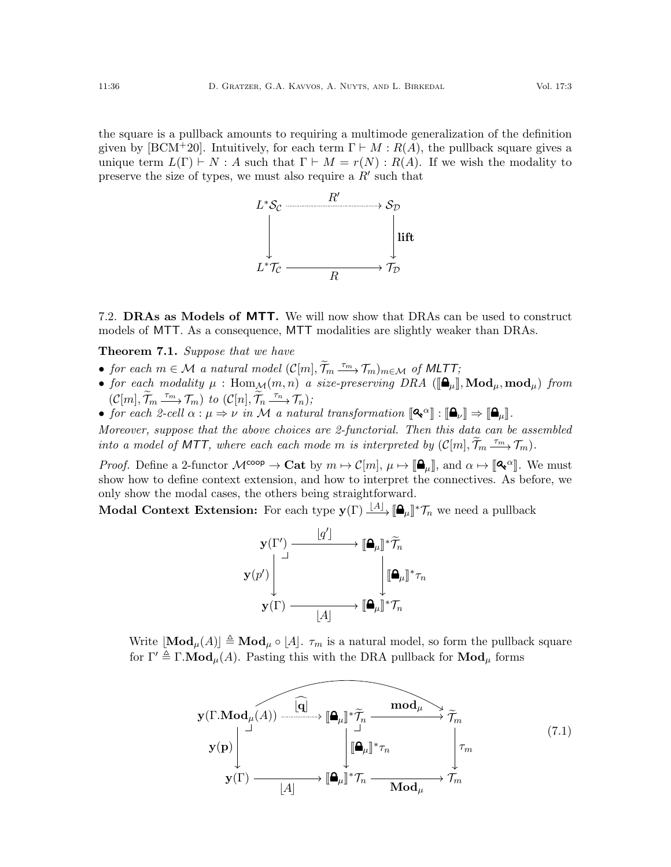the square is a pullback amounts to requiring a multimode generalization of the definition given by [\[BCM](#page-63-3)<sup>+</sup>20]. Intuitively, for each term  $\Gamma \vdash M : R(A)$ , the pullback square gives a unique term  $L(\Gamma) \vdash N : A$  such that  $\Gamma \vdash M = r(N) : R(A)$ . If we wish the modality to preserve the size of types, we must also require a  $R'$  such that



7.2. DRAs as Models of MTT. We will now show that DRAs can be used to construct models of MTT. As a consequence, MTT modalities are slightly weaker than DRAs.

<span id="page-35-0"></span>**Theorem 7.1.** Suppose that we have

- for each  $m \in \mathcal{M}$  a natural model  $(\mathcal{C}[m], \widetilde{\mathcal{T}}_m \xrightarrow{\tau_m} \mathcal{T}_m)_{m \in \mathcal{M}}$  of MLTT;
- for each modality  $\mu$  :  $\text{Hom}_{\mathcal{M}}(m, n)$  a size-preserving DRA  $([\mathbf{\Theta}_{\mu}], \text{Mod}_{\mu}, \text{mod}_{\mu})$  from  $(C[m], \widetilde{\mathcal{T}}_m \xrightarrow{\tau_m} \mathcal{T}_m)$  to  $(C[n], \widetilde{\mathcal{T}}_n \xrightarrow{\tau_n} \mathcal{T}_n)$ ;
- for each 2-cell  $\alpha : \mu \Rightarrow \nu$  in M a natural transformation  $[\mathbf{Q}^\alpha] : [\mathbf{Q}^\mu] \Rightarrow [\mathbf{Q}^\mu]$ .

Moreover, suppose that the above choices are 2-functorial. Then this data can be assembled into a model of MTT, where each each mode m is interpreted by  $(C[m], \widetilde{\mathcal{T}}_m \xrightarrow{\tau_m} \mathcal{T}_m)$ .

*Proof.* Define a 2-functor  $\mathcal{M}^{\text{coop}} \to \text{Cat}$  by  $m \mapsto \mathcal{C}[m], \mu \mapsto [\mathbf{A}_{\mu}]]$ , and  $\alpha \mapsto [\mathbf{A}^{\alpha}]$ . We must show how to define context extension, and how to interpret the connectives. As before, we only show the modal cases, the others being straightforward.

Modal Context Extension: For each type  $\mathbf{y}(\Gamma) \stackrel{[A]}{\longrightarrow} [\mathbf{\Omega}_{\mu}]^* \mathcal{T}_n$  we need a pullback



Write  $\text{Mod}_{\mu}(A) \triangleq \text{Mod}_{\mu} \circ [A]$ .  $\tau_m$  is a natural model, so form the pullback square for  $\Gamma' \triangleq \Gamma \cdot \textbf{Mod}_{\mu}(A)$ . Pasting this with the DRA pullback for  $\textbf{Mod}_{\mu}$  forms

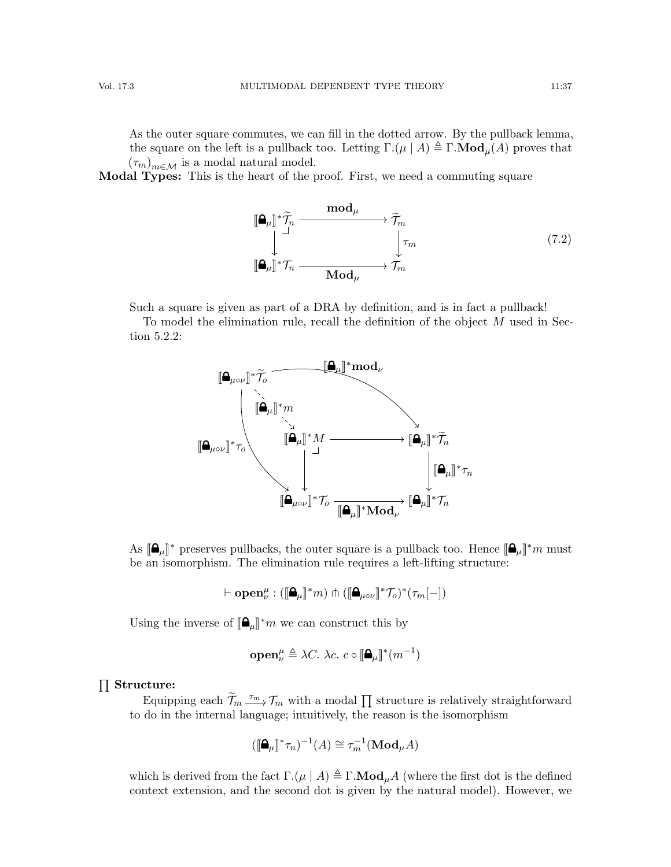As the outer square commutes, we can fill in the dotted arrow. By the pullback lemma, the square on the left is a pullback too. Letting  $\Gamma(\mu \mid A) \triangleq \Gamma \cdot \textbf{Mod}_{\mu}(A)$  proves that  $(\tau_m)_{m\in\mathcal{M}}$  is a modal natural model.

Modal Types: This is the heart of the proof. First, we need a commuting square

<span id="page-36-0"></span>
$$
\begin{aligned}\n\llbracket \mathbf{\mathbf{\Theta}}_{\mu} \rrbracket^* \widetilde{\mathcal{T}}_n &\xrightarrow{\mathbf{mod}_{\mu}} \widetilde{\mathcal{T}}_m \\
\downarrow^{\perp} &\downarrow^{\mathcal{T}}_m \\
\llbracket \mathbf{\mathbf{\Theta}}_{\mu} \rrbracket^* \mathcal{T}_n &\xrightarrow{\mathbf{Mod}_{\mu}} \widetilde{\mathcal{T}}_m\n\end{aligned} \tag{7.2}
$$

Such a square is given as part of a DRA by definition, and is in fact a pullback!

To model the elimination rule, recall the definition of the object M used in Section [5.2.2:](#page-23-2)



As  $[\mathbf{\Omega}_{\mu}]^*$  preserves pullbacks, the outer square is a pullback too. Hence  $[\mathbf{\Omega}_{\mu}]^*m$  must<br>be an isomorphism. The elimination rule requires a left lifting structure. be an isomorphism. The elimination rule requires a left-lifting structure:

$$
\vdash \mathbf{open}^\mu_\nu:([\mathbf{A}_\mu]^\ast m)\pitchfork ([\mathbf{A}_{\mu\circ\nu}]^\ast\mathcal{T}_o)^\ast(\tau_m[-])
$$

Using the inverse of  $[\mathbf{\Omega}_{\mu}]^*m$  we can construct this by

$$
\operatorname{open}_{\nu}^{\mu} \triangleq \lambda C. \ \lambda c. \ c \circ [\mathbf{\Delta}_{\mu}]^*(m^{-1})
$$

# $\prod$  Structure:

Equipping each  $\widetilde{\mathcal{T}}_m \xrightarrow{\tau_m} \mathcal{T}_m$  with a modal  $\prod$  structure is relatively straightforward to do in the internal language; intuitively, the reason is the isomorphism

$$
(\llbracket \mathbf{\Theta}_{\mu} \rrbracket^* \tau_n)^{-1}(A) \cong \tau_m^{-1}(\mathbf{Mod}_{\mu} A)
$$

which is derived from the fact  $\Gamma$ . $(\mu | A) \triangleq \Gamma$ .**Mod** $_{\mu}A$  (where the first dot is the defined context extension, and the second dot is given by the natural model). However, we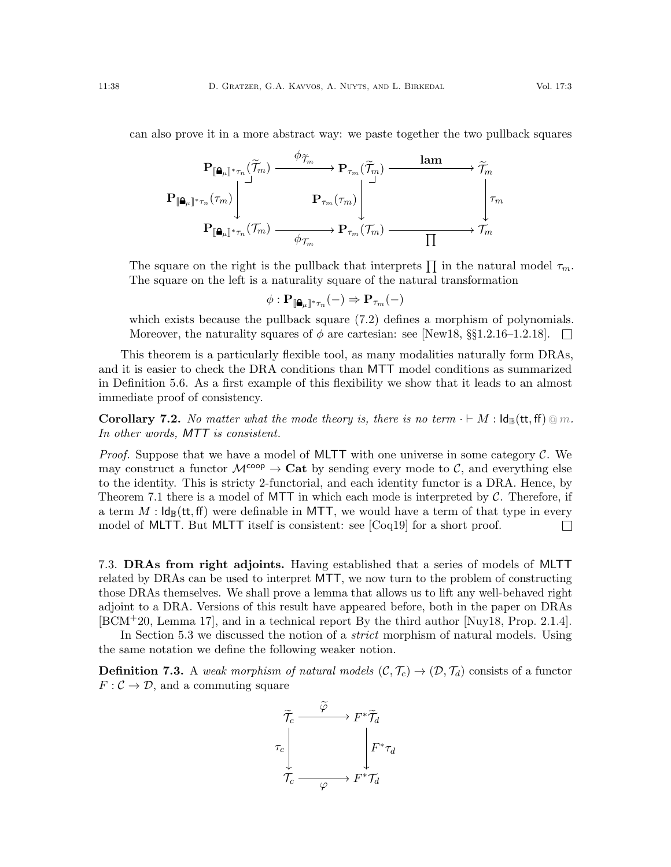can also prove it in a more abstract way: we paste together the two pullback squares

$$
\begin{CD} \mathbf{P}_{[\![\pmb{\Delta}_\mu]\!]^*\tau_n}(\widetilde{\mathcal{T}}_m) @>\phi_{\widetilde{\mathcal{T}}_m} \rightarrow \mathbf{P}_{\tau_m}(\widetilde{\mathcal{T}}_m) @>\mathbf{lam} \rightarrow \widetilde{\mathcal{T}}_m \rightarrow \mathbf{P}_{\tau_m}(\tau_m) \Bigg| \overset{\lnot \exists \tau_m} \rightarrow \mathbf{P}_{\tau_m}(\tau_m) \Bigg| \overset{\lnot \exists \tau_m} \rightarrow \mathbf{P}_{\tau_m}(\tau_m) \Bigg| \overset{\lnot \exists \tau_m} \rightarrow \mathbf{P}_{\tau_m}(\tau_m) \longrightarrow \mathbf{P}_{\tau_m}(\mathcal{T}_m) \longrightarrow \mathbf{P}_{\tau_m} \end{CD}
$$

The square on the right is the pullback that interprets  $\prod$  in the natural model  $\tau_m$ . The square on the left is a naturality square of the natural transformation

$$
\phi: \mathbf{P}_{[\mathbf{a}_{\mu}]\ast\tau_n}(-) \Rightarrow \mathbf{P}_{\tau_m}(-)
$$

which exists because the pullback square  $(7.2)$  defines a morphism of polynomials. Moreover, the naturality squares of  $\phi$  are cartesian: see [\[New18,](#page-65-16) §§1.2.16–1.2.18].  $\mathbb{R}$ 

This theorem is a particularly flexible tool, as many modalities naturally form DRAs, and it is easier to check the DRA conditions than MTT model conditions as summarized in Definition [5.6.](#page-28-3) As a first example of this flexibility we show that it leads to an almost immediate proof of consistency.

**Corollary 7.2.** No matter what the mode theory is, there is no term  $\cdot \vdash M : \mathsf{Id}_{\mathbb{B}}(\mathsf{tt}, \mathsf{ff}) \tildot m$ . In other words, MTT is consistent.

*Proof.* Suppose that we have a model of MLTT with one universe in some category  $\mathcal{C}$ . We may construct a functor  $\mathcal{M}^{\text{coop}} \to \text{Cat}$  by sending every mode to C, and everything else to the identity. This is stricty 2-functorial, and each identity functor is a DRA. Hence, by Theorem [7.1](#page-35-0) there is a model of MTT in which each mode is interpreted by  $\mathcal{C}$ . Therefore, if a term  $M$  :  $\mathsf{Id}_{\mathbb{B}}(\mathsf{tt},\mathsf{ff})$  were definable in MTT, we would have a term of that type in every model of MLTT. But MLTT itself is consistent: see [\[Coq19\]](#page-63-5) for a short proof.  $\Box$ 

7.3. DRAs from right adjoints. Having established that a series of models of MLTT related by DRAs can be used to interpret MTT, we now turn to the problem of constructing those DRAs themselves. We shall prove a lemma that allows us to lift any well-behaved right adjoint to a DRA. Versions of this result have appeared before, both in the paper on DRAs [\[BCM](#page-63-3)+20, Lemma 17], and in a technical report By the third author [\[Nuy18,](#page-65-17) Prop. 2.1.4].

In Section [5.3](#page-28-1) we discussed the notion of a *strict* morphism of natural models. Using the same notation we define the following weaker notion.

**Definition 7.3.** A weak morphism of natural models  $(C, \mathcal{T}_c) \rightarrow (\mathcal{D}, \mathcal{T}_d)$  consists of a functor  $F: \mathcal{C} \to \mathcal{D}$ , and a commuting square

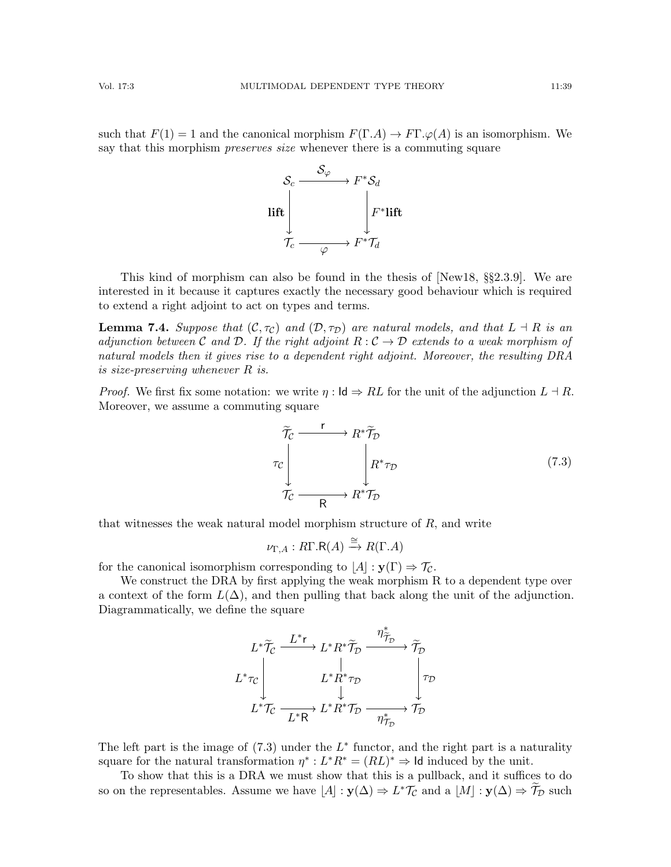such that  $F(1) = 1$  and the canonical morphism  $F(\Gamma.A) \to F\Gamma.\varphi(A)$  is an isomorphism. We say that this morphism *preserves size* whenever there is a commuting square



This kind of morphism can also be found in the thesis of [\[New18,](#page-65-16) §§2.3.9]. We are interested in it because it captures exactly the necessary good behaviour which is required to extend a right adjoint to act on types and terms.

<span id="page-38-1"></span>**Lemma 7.4.** Suppose that  $(C, \tau_C)$  and  $(D, \tau_D)$  are natural models, and that  $L \dashv R$  is an adjunction between C and D. If the right adjoint  $R: \mathcal{C} \to \mathcal{D}$  extends to a weak morphism of natural models then it gives rise to a dependent right adjoint. Moreover, the resulting DRA is size-preserving whenever R is.

*Proof.* We first fix some notation: we write  $\eta : \mathsf{Id} \Rightarrow RL$  for the unit of the adjunction  $L \dashv R$ . Moreover, we assume a commuting square

<span id="page-38-0"></span>
$$
\widetilde{\mathcal{T}}_{\mathcal{C}} \xrightarrow{\mathbf{r}} R^* \widetilde{\mathcal{T}}_{\mathcal{D}} \longrightarrow R^* \widetilde{\mathcal{T}}_{\mathcal{D}} \longrightarrow R^* \mathcal{T}_{\mathcal{D}} \qquad (7.3)
$$

that witnesses the weak natural model morphism structure of  $R$ , and write

$$
\nu_{\Gamma,A}:R\Gamma.R(A)\xrightarrow{\cong}R(\Gamma.A)
$$

for the canonical isomorphism corresponding to  $|A| : y(\Gamma) \Rightarrow \mathcal{T}_C$ .

We construct the DRA by first applying the weak morphism R to a dependent type over a context of the form  $L(\Delta)$ , and then pulling that back along the unit of the adjunction. Diagrammatically, we define the square



The left part is the image of  $(7.3)$  under the  $L^*$  functor, and the right part is a naturality square for the natural transformation  $\eta^*: L^*R^* = (RL)^* \Rightarrow$  Id induced by the unit.

To show that this is a DRA we must show that this is a pullback, and it suffices to do so on the representables. Assume we have  $[A] : y(\Delta) \Rightarrow L^* \mathcal{T}_{\mathcal{C}}$  and a  $[M] : y(\Delta) \Rightarrow \widetilde{\mathcal{T}}_{\mathcal{D}}$  such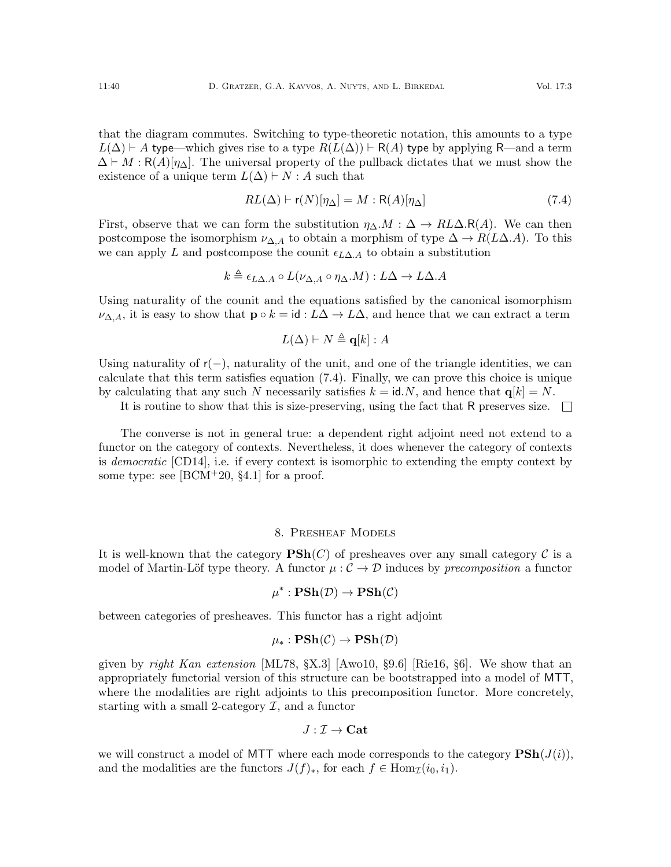that the diagram commutes. Switching to type-theoretic notation, this amounts to a type  $L(\Delta) \vdash A$  type—which gives rise to a type  $R(L(\Delta)) \vdash R(A)$  type by applying R—and a term  $\Delta \vdash M : R(A)[\eta_{\Delta}]$ . The universal property of the pullback dictates that we must show the existence of a unique term  $L(\Delta) \vdash N : A$  such that

<span id="page-39-0"></span>
$$
RL(\Delta) \vdash \mathsf{r}(N)[\eta_{\Delta}] = M : \mathsf{R}(A)[\eta_{\Delta}] \tag{7.4}
$$

First, observe that we can form the substitution  $\eta_{\Delta}M : \Delta \to R L \Delta \cdot R(A)$ . We can then postcompose the isomorphism  $\nu_{\Delta,A}$  to obtain a morphism of type  $\Delta \to R(L\Delta.A)$ . To this we can apply L and postcompose the counit  $\epsilon_{L\Delta,A}$  to obtain a substitution

$$
k \triangleq \epsilon_{L\Delta.A} \circ L(\nu_{\Delta,A} \circ \eta_{\Delta}.M) : L\Delta \to L\Delta.A
$$

Using naturality of the counit and the equations satisfied by the canonical isomorphism  $\nu_{\Delta,A}$ , it is easy to show that  $\mathbf{p} \circ k = id : L\Delta \to L\Delta$ , and hence that we can extract a term

$$
L(\Delta) \vdash N \triangleq \mathbf{q}[k] : A
$$

Using naturality of  $r(-)$ , naturality of the unit, and one of the triangle identities, we can calculate that this term satisfies equation [\(7.4\)](#page-39-0). Finally, we can prove this choice is unique by calculating that any such N necessarily satisfies  $k = id.N$ , and hence that  $q[k] = N$ .

It is routine to show that this is size-preserving, using the fact that R preserves size.  $\square$ 

The converse is not in general true: a dependent right adjoint need not extend to a functor on the category of contexts. Nevertheless, it does whenever the category of contexts is democratic [\[CD14\]](#page-63-16), i.e. if every context is isomorphic to extending the empty context by some type: see  $[BCM^+20, §4.1]$  for a proof.

#### 8. Presheaf Models

<span id="page-39-1"></span>It is well-known that the category  $\mathbf{PSh}(C)$  of presheaves over any small category C is a model of Martin-Löf type theory. A functor  $\mu : \mathcal{C} \to \mathcal{D}$  induces by precomposition a functor

$$
\mu^* : \mathbf{PSh}(\mathcal{D}) \to \mathbf{PSh}(\mathcal{C})
$$

between categories of presheaves. This functor has a right adjoint

$$
\mu_*: \mathbf{PSh}(\mathcal{C}) \to \mathbf{PSh}(\mathcal{D})
$$

given by right Kan extension [\[ML78,](#page-64-17)  $\{X.3\}$ ] [\[Awo10,](#page-62-5)  $\{9.6\}$ ] [\[Rie16,](#page-65-18)  $\{6\}$ ]. We show that an appropriately functorial version of this structure can be bootstrapped into a model of MTT, where the modalities are right adjoints to this precomposition functor. More concretely, starting with a small 2-category  $\mathcal{I}$ , and a functor

$$
J:\mathcal{I}\to\mathbf{Cat}
$$

we will construct a model of MTT where each mode corresponds to the category  $\mathbf{PSh}(J(i))$ , and the modalities are the functors  $J(f)_*,$  for each  $f \in \text{Hom}_{\mathcal{I}}(i_0, i_1)$ .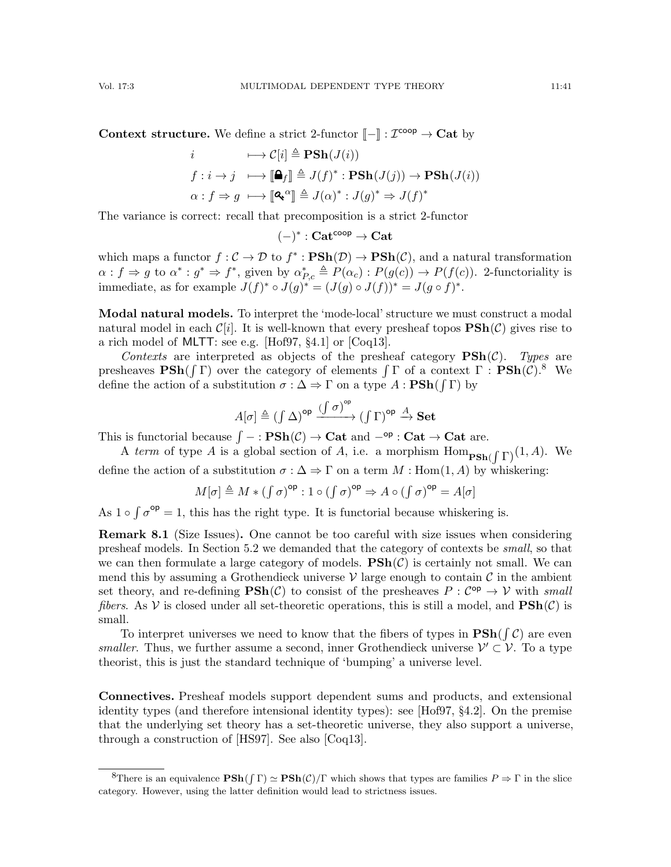**Context structure.** We define a strict 2-functor  $\llbracket - \rrbracket : \mathcal{I}^{\text{coop}} \to \textbf{Cat}$  by

$$
i \longrightarrow C[i] \triangleq \mathbf{PSh}(J(i))
$$
  
\n
$$
f: i \to j \longrightarrow [\mathbf{\Delta}_f] \triangleq J(f)^* : \mathbf{PSh}(J(j)) \to \mathbf{PSh}(J(i))
$$
  
\n
$$
\alpha: f \Rightarrow g \longrightarrow [\mathbf{Q}^{\alpha}] \triangleq J(\alpha)^* : J(g)^* \Rightarrow J(f)^*
$$

The variance is correct: recall that precomposition is a strict 2-functor

 $(-)^{*}: \mathbf{Cat}^{\mathsf{coop}} \to \mathbf{Cat}$ 

which maps a functor  $f: \mathcal{C} \to \mathcal{D}$  to  $f^* : \mathbf{PSh}(\mathcal{D}) \to \mathbf{PSh}(\mathcal{C})$ , and a natural transformation  $\alpha: f \Rightarrow g$  to  $\alpha^*: g^* \Rightarrow f^*$ , given by  $\alpha^*_{P,c} \triangleq P(\alpha_c): P(g(c)) \rightarrow P(f(c))$ . 2-functoriality is immediate, as for example  $J(f)^* \circ J(g)^* = (J(g) \circ J(f))^* = J(g \circ f)^*$ .

Modal natural models. To interpret the 'mode-local' structure we must construct a modal natural model in each  $\mathcal{C}[i]$ . It is well-known that every presheaf topos  $\mathbf{PSh}(\mathcal{C})$  gives rise to a rich model of MLTT: see e.g. [\[Hof97,](#page-64-9) §4.1] or [\[Coq13\]](#page-63-6).

Contexts are interpreted as objects of the presheaf category  $\text{PSh}(\mathcal{C})$ . Types are presheaves  $\text{PSh}(\int \Gamma)$  over the category of elements  $\int \Gamma$  of a context  $\Gamma : \text{PSh}(\mathcal{C})$ .<sup>[8](#page-40-0)</sup> We define the action of a substitution  $\sigma : \Delta \Rightarrow \Gamma$  on a type  $A : \mathbf{PSh}(\int \Gamma)$  by

$$
A[\sigma] \triangleq (\int \Delta)^{\sf op} \xrightarrow{(\int \sigma)^{\sf op}} (\int \Gamma)^{\sf op} \xrightarrow{A} \mathbf{Set}
$$

This is functorial because  $\int -$ :  $\mathbf{PSh}(\mathcal{C}) \to \mathbf{Cat}$  and  $-\text{op}$ :  $\mathbf{Cat} \to \mathbf{Cat}$  are.

A term of type A is a global section of A, i.e. a morphism  $\text{Hom}_{\textbf{PSh}(\int \Gamma)}(1, A)$ . We

define the action of a substitution  $\sigma : \Delta \Rightarrow \Gamma$  on a term  $M : Hom(1, A)$  by whiskering:

$$
M[\sigma] \triangleq M * (f \sigma)^{\mathrm{op}} : 1 \circ (f \sigma)^{\mathrm{op}} \Rightarrow A \circ (f \sigma)^{\mathrm{op}} = A[\sigma]
$$

As  $1 \circ \int \sigma^{\rm op} = 1$ , this has the right type. It is functorial because whiskering is.

Remark 8.1 (Size Issues). One cannot be too careful with size issues when considering presheaf models. In Section [5.2](#page-20-3) we demanded that the category of contexts be small, so that we can then formulate a large category of models.  $\mathbf{PSh}(\mathcal{C})$  is certainly not small. We can mend this by assuming a Grothendieck universe  $\mathcal V$  large enough to contain  $\mathcal C$  in the ambient set theory, and re-defining  $\text{PSh}(\mathcal{C})$  to consist of the presheaves  $P: \mathcal{C}^{\text{op}} \to \mathcal{V}$  with small fibers. As V is closed under all set-theoretic operations, this is still a model, and  $\text{PSh}(\mathcal{C})$  is small.

To interpret universes we need to know that the fibers of types in  $\text{PSh}(\int \mathcal{C})$  are even *smaller*. Thus, we further assume a second, inner Grothendieck universe  $\mathcal{V}' \subset \mathcal{V}$ . To a type theorist, this is just the standard technique of 'bumping' a universe level.

Connectives. Presheaf models support dependent sums and products, and extensional identity types (and therefore intensional identity types): see [\[Hof97,](#page-64-9) §4.2]. On the premise that the underlying set theory has a set-theoretic universe, they also support a universe, through a construction of [\[HS97\]](#page-64-18). See also [\[Coq13\]](#page-63-6).

<span id="page-40-0"></span><sup>&</sup>lt;sup>8</sup>There is an equivalence  $\mathbf{PSh}(\int \Gamma) \simeq \mathbf{PSh}(\mathcal{C})/\Gamma$  which shows that types are families  $P \Rightarrow \Gamma$  in the slice category. However, using the latter definition would lead to strictness issues.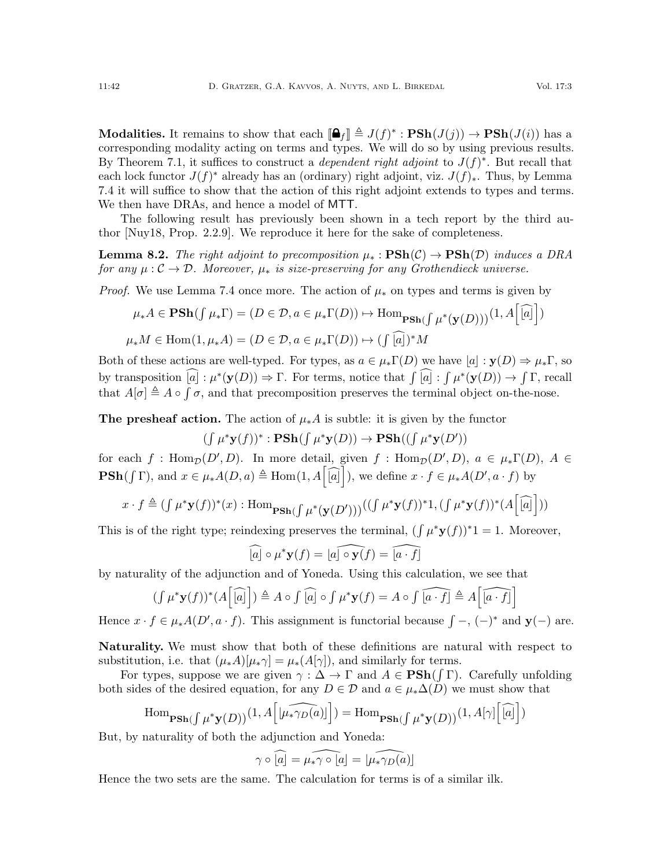**Modalities.** It remains to show that each  $[\mathbf{\hat{\Theta}}_f] \triangleq J(f)^* : \mathbf{PSh}(J(j)) \to \mathbf{PSh}(J(i))$  has a corresponding modelity eqting on terms and types. We will do so by using provious results. corresponding modality acting on terms and types. We will do so by using previous results. By Theorem [7.1,](#page-35-0) it suffices to construct a *dependent right adjoint* to  $J(f)^*$ . But recall that each lock functor  $J(f)^*$  already has an (ordinary) right adjoint, viz.  $J(f)_*.$  Thus, by Lemma [7.4](#page-38-1) it will suffice to show that the action of this right adjoint extends to types and terms. We then have DRAs, and hence a model of MTT.

The following result has previously been shown in a tech report by the third author [\[Nuy18,](#page-65-17) Prop. 2.2.9]. We reproduce it here for the sake of completeness.

<span id="page-41-0"></span>**Lemma 8.2.** The right adjoint to precomposition  $\mu_* : \mathbf{PSh}(\mathcal{C}) \to \mathbf{PSh}(\mathcal{D})$  induces a DRA for any  $\mu : \mathcal{C} \to \mathcal{D}$ . Moreover,  $\mu_*$  is size-preserving for any Grothendieck universe.

*Proof.* We use Lemma [7.4](#page-38-1) once more. The action of  $\mu_*$  on types and terms is given by

$$
\mu_* A \in \mathbf{PSh}(\int \mu_* \Gamma) = (D \in \mathcal{D}, a \in \mu_* \Gamma(D)) \mapsto \text{Hom}_{\mathbf{PSh}(\int \mu^*(\mathbf{y}(D)))} (1, A \big[ \widehat{[a]} \big])
$$
  

$$
\mu_* M \in \text{Hom}(1, \mu_* A) = (D \in \mathcal{D}, a \in \mu_* \Gamma(D)) \mapsto (\int \widehat{[a]})^* M
$$

Both of these actions are well-typed. For types, as  $a \in \mu_*\Gamma(D)$  we have  $|a| : \mathbf{y}(D) \Rightarrow \mu_*\Gamma$ , so by transposition  $[a]: \mu^*(\mathbf{y}(D)) \Rightarrow \Gamma$ . For terms, notice that  $\int [a]: \int \mu^*(\mathbf{y}(D)) \to \int \Gamma$ , recall that  $A[\sigma] \triangleq A \circ \int \sigma$ , and that precomposition preserves the terminal object on-the-nose.

**The presheaf action.** The action of  $\mu_* A$  is subtle: it is given by the functor

$$
(\smallint \mu^* \mathbf{y}(f))^*:\mathbf{PSh}(\smallint \mu^* \mathbf{y}(D))\rightarrow \mathbf{PSh}((\smallint \mu^* \mathbf{y}(D'))
$$

for each f: Hom<sub>D</sub> $(D', D)$ . In more detail, given f: Hom<sub>D</sub> $(D', D)$ ,  $a \in \mu_*\Gamma(D)$ ,  $A \in$  $\mathbf{PSh}(\int \Gamma)$ , and  $x \in \mu_*A(D, a) \triangleq \text{Hom}(1, A[\widehat{[a]}]$ , we define  $x \cdot f \in \mu_*A(D', a \cdot f)$  by

$$
x \cdot f \triangleq (\int \mu^* \mathbf{y}(f))^*(x) : \operatorname{Hom}_{\mathbf{PSh}(\int \mu^* (\mathbf{y}(D')))} ((\int \mu^* \mathbf{y}(f))^* \mathbf{1}, (\int \mu^* \mathbf{y}(f))^* (A[\widehat{[a]}]))
$$

This is of the right type; reindexing preserves the terminal,  $(\int \mu^* y(f))^* 1 = 1$ . Moreover,

$$
\widehat{[a]} \circ \mu^* \mathbf{y}(f) = \widehat{[a] \circ \mathbf{y}(f)} = \widehat{[a \cdot f]}
$$

by naturality of the adjunction and of Yoneda. Using this calculation, we see that

$$
(\int \mu^* \mathbf{y}(f))^* (A \big[\widehat{[a]}\big]) \triangleq A \circ \int \widehat{[a]} \circ \int \mu^* \mathbf{y}(f) = A \circ \int \widehat{[a \cdot f]} \triangleq A \big[\widehat{[a \cdot f]}\big]
$$

Hence  $x \cdot f \in \mu_*A(D', a \cdot f)$ . This assignment is functorial because  $\int -$ ,  $(-)^*$  and  $y(-)$  are.

Naturality. We must show that both of these definitions are natural with respect to substitution, i.e. that  $(\mu_*A)[\mu_*\gamma] = \mu_*(A[\gamma])$ , and similarly for terms.

For types, suppose we are given  $\gamma : \Delta \to \Gamma$  and  $A \in \text{PSh}(\int \Gamma)$ . Carefully unfolding both sides of the desired equation, for any  $D \in \mathcal{D}$  and  $a \in \mu_*\Delta(D)$  we must show that

$$
\operatorname{Hom}\nolimits_{\mathbf{PSh}(\int \mu^*\mathbf{y}(D))}(1,A\Big[\widehat{|\mu_*\gamma_D(a)|}\Big])=\operatorname{Hom}\nolimits_{\mathbf{PSh}(\int \mu^*\mathbf{y}(D))}(1,A[\gamma]\Big[\widehat{[a]}\Big])
$$

But, by naturality of both the adjunction and Yoneda:

$$
\gamma \circ \widehat{[a]} = \widehat{\mu_* \gamma \circ [a]} = \widehat{[\mu_* \gamma_D(a)]}
$$

Hence the two sets are the same. The calculation for terms is of a similar ilk.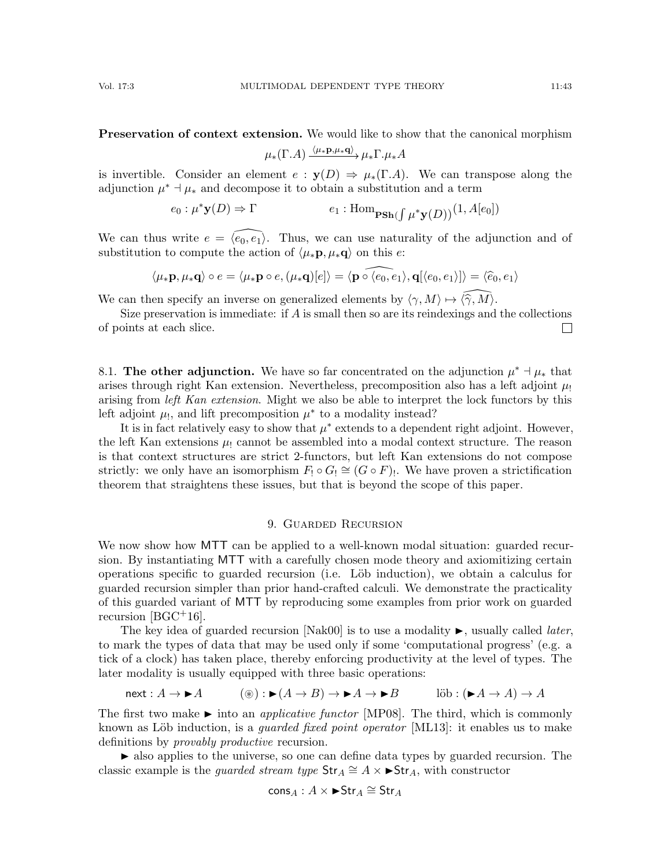Preservation of context extension. We would like to show that the canonical morphism

$$
\mu_*(\Gamma.A) \xrightarrow{\langle \mu_* \mathbf{p}, \mu_* \mathbf{q} \rangle} \mu_* \Gamma.\mu_* A
$$

is invertible. Consider an element  $e : y(D) \Rightarrow \mu_*(\Gamma.A)$ . We can transpose along the adjunction  $\mu^* \dashv \mu_*$  and decompose it to obtain a substitution and a term

> $e_0: \mu^* \mathbf{y}(D) \Rightarrow \Gamma$   $e_1: \text{Hom}_{\textbf{PSh}}(D)$  $\int \mu^* {\bf y}(D))^{(1, A[e_0])}$

We can thus write  $e = \langle \overline{e_0}, e_1 \rangle$ . Thus, we can use naturality of the adjunction and of substitution to compute the action of  $\langle \mu_*\mathbf{p}, \mu_*\mathbf{q} \rangle$  on this e:

$$
\langle \mu_* \mathbf{p}, \mu_* \mathbf{q} \rangle \circ e = \langle \mu_* \mathbf{p} \circ e, (\mu_* \mathbf{q})[e] \rangle = \langle \widehat{\mathbf{p} \circ \langle e_0, e_1 \rangle}, \mathbf{q}[\langle e_0, e_1 \rangle] \rangle = \langle \widehat{e}_0, e_1 \rangle
$$

We can then specify an inverse on generalized elements by  $\langle \gamma, M \rangle \mapsto \langle \hat{\gamma}, M \rangle$ .

Size preservation is immediate: if A is small then so are its reindexings and the collections of points at each slice.  $\Box$ 

8.1. The other adjunction. We have so far concentrated on the adjunction  $\mu^* \dashv \mu_*$  that arises through right Kan extension. Nevertheless, precomposition also has a left adjoint  $\mu_1$ arising from *left Kan extension*. Might we also be able to interpret the lock functors by this left adjoint  $\mu_!,$  and lift precomposition  $\mu^*$  to a modality instead?

It is in fact relatively easy to show that  $\mu^*$  extends to a dependent right adjoint. However, the left Kan extensions  $\mu_1$  cannot be assembled into a modal context structure. The reason is that context structures are strict 2-functors, but left Kan extensions do not compose strictly: we only have an isomorphism  $F_! \circ G_! \cong (G \circ F)_!$ . We have proven a strictification theorem that straightens these issues, but that is beyond the scope of this paper.

# 9. Guarded Recursion

<span id="page-42-0"></span>We now show how MTT can be applied to a well-known modal situation: guarded recursion. By instantiating MTT with a carefully chosen mode theory and axiomitizing certain operations specific to guarded recursion (i.e. L¨ob induction), we obtain a calculus for guarded recursion simpler than prior hand-crafted calculi. We demonstrate the practicality of this guarded variant of MTT by reproducing some examples from prior work on guarded recursion  $[{\rm BGC^+16}]$ .

The key idea of guarded recursion [\[Nak00\]](#page-65-19) is to use a modality  $\blacktriangleright$ , usually called *later*, to mark the types of data that may be used only if some 'computational progress' (e.g. a tick of a clock) has taken place, thereby enforcing productivity at the level of types. The later modality is usually equipped with three basic operations:

$$
next : A \to \blacktriangleright A \qquad (\circledast) : \blacktriangleright (A \to B) \to \blacktriangleright A \to \blacktriangleright B \qquad \text{lib} : (\blacktriangleright A \to A) \to A
$$

The first two make  $\blacktriangleright$  into an *applicative functor* [\[MP08\]](#page-65-11). The third, which is commonly known as Löb induction, is a *guarded fixed point operator* [\[ML13\]](#page-64-19): it enables us to make definitions by *provably productive* recursion.

 also applies to the universe, so one can define data types by guarded recursion. The classic example is the *guarded stream type*  $\text{Str}_A \cong A \times \blacktriangleright \text{Str}_A$ , with constructor

$$
\mathsf{cons}_A : A \times \blacktriangleright \mathsf{Str}_A \cong \mathsf{Str}_A
$$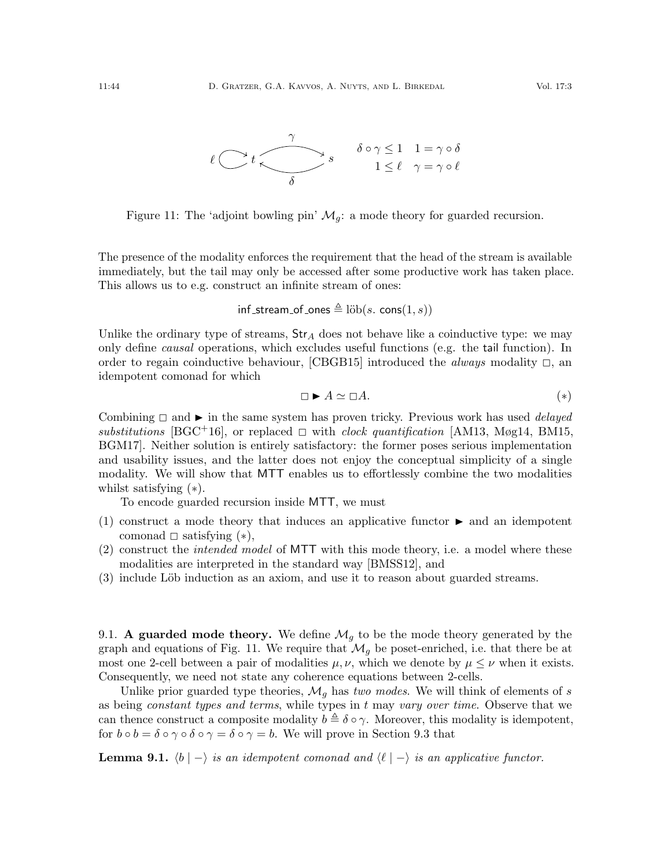

<span id="page-43-1"></span>Figure 11: The 'adjoint bowling pin'  $\mathcal{M}_g$ : a mode theory for guarded recursion.

The presence of the modality enforces the requirement that the head of the stream is available immediately, but the tail may only be accessed after some productive work has taken place. This allows us to e.g. construct an infinite stream of ones:

$$
\mathsf{inf\_stream\_of\_ones} \triangleq \mathsf{lib}(s.\ \mathsf{cons}(1,s))
$$

Unlike the ordinary type of streams,  $Str_A$  does not behave like a coinductive type: we may only define causal operations, which excludes useful functions (e.g. the tail function). In order to regain coinductive behaviour, [\[CBGB15\]](#page-63-17) introduced the *always* modality  $\Box$ , an idempotent comonad for which

<span id="page-43-0"></span>
$$
\Box \blacktriangleright A \simeq \Box A. \tag{*}
$$

Combining  $\Box$  and  $\blacktriangleright$  in the same system has proven tricky. Previous work has used *delayed* substitutions [\[BGC](#page-63-1)+16], or replaced  $\Box$  with clock quantification [\[AM13,](#page-62-6) [Møg14,](#page-65-20) [BM15,](#page-63-18) [BGM17\]](#page-63-2). Neither solution is entirely satisfactory: the former poses serious implementation and usability issues, and the latter does not enjoy the conceptual simplicity of a single modality. We will show that MTT enables us to effortlessly combine the two modalities whilst satisfying ([∗](#page-43-0)).

To encode guarded recursion inside MTT, we must

- (1) construct a mode theory that induces an applicative functor  $\blacktriangleright$  and an idempotent comonad  $\Box$  satisfying  $(*),$
- (2) construct the intended model of MTT with this mode theory, i.e. a model where these modalities are interpreted in the standard way [\[BMSS12\]](#page-63-0), and
- (3) include Löb induction as an axiom, and use it to reason about guarded streams.

9.1. A guarded mode theory. We define  $\mathcal{M}_q$  to be the mode theory generated by the graph and equations of Fig. [11.](#page-43-1) We require that  $\mathcal{M}_g$  be poset-enriched, i.e. that there be at most one 2-cell between a pair of modalities  $\mu, \nu$ , which we denote by  $\mu \leq \nu$  when it exists. Consequently, we need not state any coherence equations between 2-cells.

Unlike prior guarded type theories,  $\mathcal{M}_g$  has two modes. We will think of elements of s as being *constant types and terms*, while types in  $t$  may *vary over time*. Observe that we can thence construct a composite modality  $b \triangleq \delta \circ \gamma$ . Moreover, this modality is idempotent, for  $b \circ b = \delta \circ \gamma \circ \delta \circ \gamma = \delta \circ \gamma = b$ . We will prove in Section [9.3](#page-45-0) that

**Lemma 9.1.**  $\langle b | - \rangle$  is an idempotent comonad and  $\langle \ell | - \rangle$  is an applicative functor.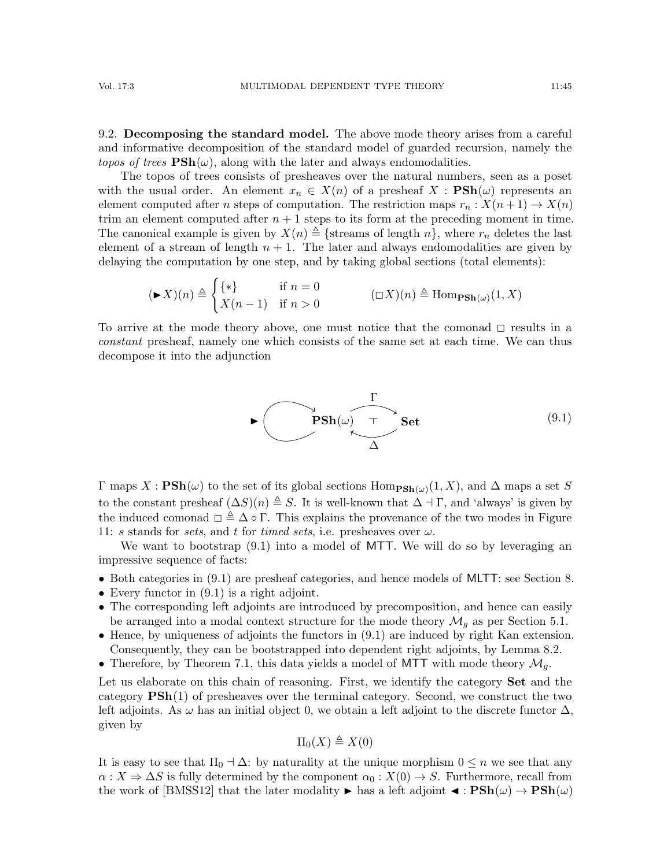9.2. Decomposing the standard model. The above mode theory arises from a careful and informative decomposition of the standard model of guarded recursion, namely the *topos of trees*  $\text{PSh}(\omega)$ , along with the later and always endomodalities.

The topos of trees consists of presheaves over the natural numbers, seen as a poset with the usual order. An element  $x_n \in X(n)$  of a presheaf  $X : \mathbf{PSh}(\omega)$  represents an element computed after n steps of computation. The restriction maps  $r_n : X(n+1) \to X(n)$ trim an element computed after  $n + 1$  steps to its form at the preceding moment in time. The canonical example is given by  $X(n) \triangleq {\text{streams of length } n}$ , where  $r_n$  deletes the last element of a stream of length  $n + 1$ . The later and always endomodalities are given by delaying the computation by one step, and by taking global sections (total elements):

$$
(\blacktriangleright X)(n) \triangleq \begin{cases} \{ * \} & \text{if } n = 0 \\ X(n-1) & \text{if } n > 0 \end{cases} \qquad (\Box X)(n) \triangleq \text{Hom}_{\textbf{PSh}(\omega)}(1, X)
$$

To arrive at the mode theory above, one must notice that the comonad  $\Box$  results in a constant presheaf, namely one which consists of the same set at each time. We can thus decompose it into the adjunction

<span id="page-44-0"></span>

 $\Gamma$  maps  $X : \mathbf{PSh}(\omega)$  to the set of its global sections  $\mathrm{Hom}_{\mathbf{PSh}(\omega)}(1,X)$ , and  $\Delta$  maps a set S to the constant presheaf  $(\Delta S)(n) \triangleq S$ . It is well-known that  $\Delta \dashv \Gamma$ , and 'always' is given by the induced comonad  $\Box \triangleq \Delta \circ \Gamma$ . This explains the provenance of the two modes in Figure [11:](#page-43-1) s stands for sets, and t for timed sets, i.e. presheaves over  $\omega$ .

We want to bootstrap [\(9.1\)](#page-44-0) into a model of MTT. We will do so by leveraging an impressive sequence of facts:

- Both categories in [\(9.1\)](#page-44-0) are presheaf categories, and hence models of MLTT: see Section [8.](#page-39-1)
- Every functor in  $(9.1)$  is a right adjoint.
- The corresponding left adjoints are introduced by precomposition, and hence can easily be arranged into a modal context structure for the mode theory  $\mathcal{M}_q$  as per Section [5.1.](#page-19-2)
- Hence, by uniqueness of adjoints the functors in [\(9.1\)](#page-44-0) are induced by right Kan extension. Consequently, they can be bootstrapped into dependent right adjoints, by Lemma [8.2.](#page-41-0)
- Therefore, by Theorem [7.1,](#page-35-0) this data yields a model of MTT with mode theory  $\mathcal{M}_q$ .

Let us elaborate on this chain of reasoning. First, we identify the category **Set** and the category PSh(1) of presheaves over the terminal category. Second, we construct the two left adjoints. As  $\omega$  has an initial object 0, we obtain a left adjoint to the discrete functor  $\Delta$ , given by

$$
\Pi_0(X) \triangleq X(0)
$$

It is easy to see that  $\Pi_0 \dashv \Delta$ : by naturality at the unique morphism  $0 \leq n$  we see that any  $\alpha: X \Rightarrow \Delta S$  is fully determined by the component  $\alpha_0: X(0) \to S$ . Furthermore, recall from the work of [\[BMSS12\]](#page-63-0) that the later modality  $\blacktriangleright$  has a left adjoint  $\blacktriangleleft : \mathbf{PSh}(\omega) \to \mathbf{PSh}(\omega)$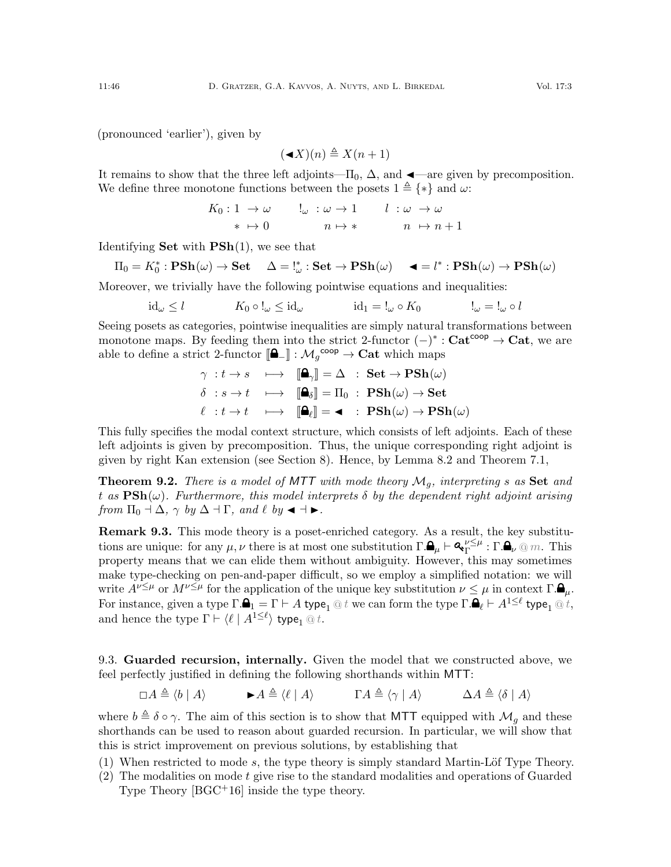(pronounced 'earlier'), given by

$$
(\blacktriangleleft X)(n) \triangleq X(n+1)
$$

It remains to show that the three left adjoints— $\Pi_0$ ,  $\Delta$ , and  $\blacktriangleleft$ —are given by precomposition. We define three monotone functions between the posets  $1 \triangleq {\ast}$  and  $\omega$ :

$$
K_0: 1 \to \omega \qquad \downarrow_{\omega} : \omega \to 1 \qquad l : \omega \to \omega
$$
  
\n
$$
* \mapsto 0 \qquad \qquad n \mapsto * \qquad \qquad n \to n+1
$$

Identifying **Set** with  $\text{PSh}(1)$ , we see that

$$
\Pi_0 = K_0^* : \mathbf{PSh}(\omega) \to \mathbf{Set} \quad \Delta = I_\omega^* : \mathbf{Set} \to \mathbf{PSh}(\omega) \quad \blacktriangleleft = I^* : \mathbf{PSh}(\omega) \to \mathbf{PSh}(\omega)
$$

Moreover, we trivially have the following pointwise equations and inequalities:

$$
id_{\omega} \le l \qquad K_0 \circ !_{\omega} \le id_{\omega} \qquad id_1 = !_{\omega} \circ K_0 \qquad \qquad !_{\omega} = !_{\omega} \circ l
$$

Seeing posets as categories, pointwise inequalities are simply natural transformations between monotone maps. By feeding them into the strict 2-functor  $(-)^* : \mathbf{Cat}^{\mathsf{coop}} \to \mathbf{Cat}$ , we are able to define a strict 2-functor  $[\Box] : \mathcal{M}_g^{\text{coop}} \to \text{Cat}$  which maps

$$
\gamma : t \to s \quad \longmapsto \quad [\mathbf{a}_{\gamma}] = \Delta \quad : \quad \mathbf{Set} \to \mathbf{PSh}(\omega)
$$
\n
$$
\delta : s \to t \quad \longmapsto \quad [\mathbf{a}_{\delta}] = \Pi_{0} \quad : \quad \mathbf{PSh}(\omega) \to \mathbf{Set}
$$
\n
$$
\ell : t \to t \quad \longmapsto \quad [\mathbf{a}_{\ell}] = \mathbf{a} \quad : \quad \mathbf{PSh}(\omega) \to \mathbf{PSh}(\omega)
$$

This fully specifies the modal context structure, which consists of left adjoints. Each of these left adjoints is given by precomposition. Thus, the unique corresponding right adjoint is given by right Kan extension (see Section [8\)](#page-39-1). Hence, by Lemma [8.2](#page-41-0) and Theorem [7.1,](#page-35-0)

**Theorem 9.2.** There is a model of MTT with mode theory  $\mathcal{M}_q$ , interpreting s as Set and t as  $\text{PSh}(\omega)$ . Furthermore, this model interprets  $\delta$  by the dependent right adjoint arising from  $\Pi_0 \dashv \Delta$ ,  $\gamma$  by  $\Delta \dashv \Gamma$ , and  $\ell$  by  $\blacktriangleleft \dashv \blacktriangleright$ .

Remark 9.3. This mode theory is a poset-enriched category. As a result, the key substitutions are unique: for any  $\mu, \nu$  there is at most one substitution  $\Gamma \cdot \mathbf{A}_{\mu} \vdash \mathbf{A}_{\Gamma}^{\nu \leq \mu}$  $_{\Gamma}^{\nu \leq \mu} : \Gamma. \blacksquare_{\nu} \otimes m.$  This property means that we can elide them without ambiguity. However, this may sometimes make type-checking on pen-and-paper difficult, so we employ a simplified notation: we will write  $A^{\nu \leq \mu}$  or  $M^{\nu \leq \mu}$  for the application of the unique key substitution  $\nu \leq \mu$  in context  $\Gamma.\mathbf{\mathbf{\Theta}}_{\mu}$ . For instance, given a type  $\Gamma.\blacksquare_1 = \Gamma \vdash A$  type $_1 \textcircled a t$  we can form the type  $\Gamma.\blacksquare_\ell \vdash A^{1\leq \ell}$  type $_1 \textcircled a t,$ and hence the type  $\Gamma \vdash \langle \ell \mid A^{1\leq \ell} \rangle$  type<sub>1</sub> @ t.

<span id="page-45-0"></span>9.3. Guarded recursion, internally. Given the model that we constructed above, we feel perfectly justified in defining the following shorthands within MTT:

 $\Box A \triangleq \langle b | A \rangle$   $\blacktriangleright A \triangleq \langle \ell | A \rangle$   $\Gamma A \triangleq \langle \gamma | A \rangle$   $\Delta A \triangleq \langle \delta | A \rangle$ 

where  $b \triangleq \delta \circ \gamma$ . The aim of this section is to show that MTT equipped with  $\mathcal{M}_g$  and these shorthands can be used to reason about guarded recursion. In particular, we will show that this is strict improvement on previous solutions, by establishing that

- (1) When restricted to mode s, the type theory is simply standard Martin-Löf Type Theory.
- $(2)$  The modalities on mode t give rise to the standard modalities and operations of Guarded Type Theory [\[BGC](#page-63-1)+16] inside the type theory.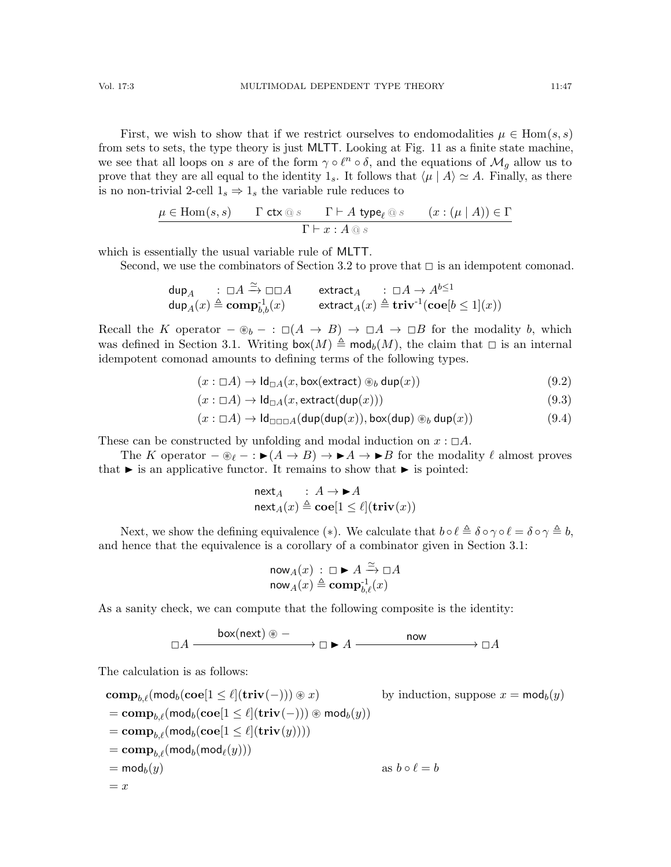First, we wish to show that if we restrict ourselves to endomodalities  $\mu \in \text{Hom}(s, s)$ from sets to sets, the type theory is just MLTT. Looking at Fig. [11](#page-43-1) as a finite state machine, we see that all loops on s are of the form  $\gamma \circ \ell^n \circ \delta$ , and the equations of  $\mathcal{M}_g$  allow us to prove that they are all equal to the identity  $1_s$ . It follows that  $\langle \mu | A \rangle \simeq A$ . Finally, as there is no non-trivial 2-cell  $1_s \Rightarrow 1_s$  the variable rule reduces to

$$
\mu \in \text{Hom}(s, s) \qquad \Gamma \text{ ctx} \textcircled{g} \text{ s} \qquad \Gamma \vdash A \text{ type}_{\ell} \textcircled{g} \text{ s} \qquad (x : (\mu \mid A)) \in \Gamma
$$

$$
\Gamma \vdash x : A \textcircled{g} \text{ s}
$$

which is essentially the usual variable rule of MLTT.

Second, we use the combinators of Section [3.2](#page-10-0) to prove that  $\Box$  is an idempotent comonad.

$$
\begin{array}{llll} {\rm dup}_A & : \ \Box A \xrightarrow{\simeq} \Box \Box A & {\rm extract}_A & : \ \Box A \rightarrow A^{b \leq 1} \\ {\rm dup}_A(x) \triangleq {\rm comp}_{b,b}^{-1}(x) & {\rm extract}_A(x) \triangleq {\rm triv}^{-1}({\rm coe}[b \leq 1](x)) \end{array}
$$

Recall the K operator  $-\circledast_b - : \Box(A \rightarrow B) \rightarrow \Box A \rightarrow \Box B$  for the modality b, which was defined in Section [3.1.](#page-9-1) Writing  $\mathsf{box}(M) \triangleq \mathsf{mod}_b(M)$ , the claim that  $\Box$  is an internal idempotent comonad amounts to defining terms of the following types.

$$
(x: \Box A) \to \mathrm{Id}_{\Box A}(x, \mathrm{box}(\mathrm{extract}) \circledast_b \mathrm{dup}(x)) \tag{9.2}
$$

$$
(x: \Box A) \to \mathrm{Id}_{\Box A}(x, \mathrm{extract}(\mathrm{dup}(x))) \tag{9.3}
$$

$$
(x: \Box A) \to \mathrm{Id}_{\Box \Box A}(\mathrm{dup}(\mathrm{dup}(x)), \mathrm{box}(\mathrm{dup}) \circledast_b \mathrm{dup}(x)) \tag{9.4}
$$

These can be constructed by unfolding and modal induction on  $x : \Box A$ .

The K operator  $-\circledast_{\ell} - : \blacktriangleright (A \rightarrow B) \rightarrow \blacktriangleright A \rightarrow \blacktriangleright B$  for the modality  $\ell$  almost proves that  $\blacktriangleright$  is an applicative functor. It remains to show that  $\blacktriangleright$  is pointed:

$$
\begin{array}{l}\n\mathsf{next}_A : A \to \blacktriangleright A \\
\mathsf{next}_A(x) \triangleq \mathbf{co}[\mathbf{1} \le \ell](\mathbf{triv}(x))\n\end{array}
$$

Next, we show the defining equivalence (\*). We calculate that  $b \circ \ell \triangleq \delta \circ \gamma \circ \ell = \delta \circ \gamma \triangleq b$ , and hence that the equivalence is a corollary of a combinator given in Section [3.1:](#page-9-1)

$$
\mathsf{now}_A(x) : \Box \blacktriangleright A \xrightarrow{\simeq} \Box A
$$

$$
\mathsf{now}_A(x) \triangleq \mathbf{comp}_{b,\ell}^{-1}(x)
$$

As a sanity check, we can compute that the following composite is the identity:

$$
\Box A \xrightarrow{\text{box(next)}} \circledast - \qquad \qquad \Box A \xrightarrow{\text{now}} \Box A
$$

The calculation is as follows:

$$
\begin{aligned}\n&\mathbf{comp}_{b,\ell}(\mathsf{mod}_b(\mathbf{coe}[1 \leq \ell](\mathbf{triv}(-))) \circledast x) &&\text{by induction, suppose } x = \mathsf{mod}_b(y) \\
&= \mathbf{comp}_{b,\ell}(\mathsf{mod}_b(\mathbf{coe}[1 \leq \ell](\mathbf{triv}(-))) \circledast \mathsf{mod}_b(y)) \\
&= \mathbf{comp}_{b,\ell}(\mathsf{mod}_b(\mathbf{coe}[1 \leq \ell](\mathbf{triv}(y)))) \\
&= \mathsf{comp}_{b,\ell}(\mathsf{mod}_b(\mathsf{mod}_\ell(y))) \\
&= \mathsf{mod}_b(y) &&\text{as } b \circ \ell = b \\
&= x\n\end{aligned}
$$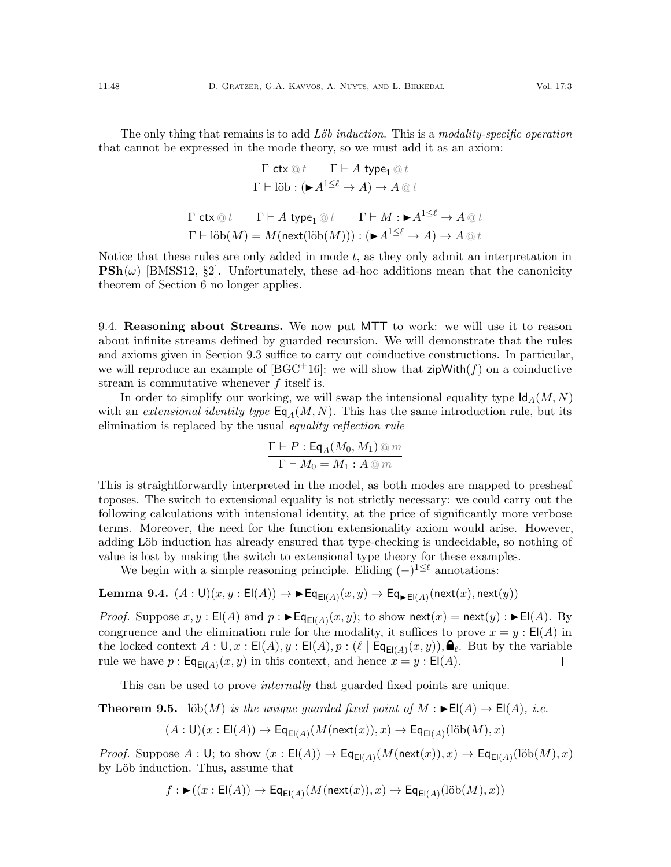The only thing that remains is to add  $L\ddot{o}b$  induction. This is a modality-specific operation that cannot be expressed in the mode theory, so we must add it as an axiom:

$$
\frac{\Gamma \operatorname{ctx} @ t \qquad \Gamma \vdash A \operatorname{type}_1 @ t}{\Gamma \vdash \operatorname{lib}: (\blacktriangleright A^{1 \leq \ell} \to A) \to A \, @ \, t}
$$
\n
$$
\frac{\Gamma \operatorname{ctx} @ t \qquad \Gamma \vdash A \operatorname{type}_1 @ t \qquad \Gamma \vdash M: \blacktriangleright A^{1 \leq \ell} \to A \, @ \, t}{\Gamma \vdash \operatorname{lib}(M) = M(\operatorname{next}(\operatorname{lib}(M))) : (\blacktriangleright A^{1 \leq \ell} \to A) \to A \, @ \, t}
$$

Notice that these rules are only added in mode  $t$ , as they only admit an interpretation in  $\text{PSh}(\omega)$  [\[BMSS12,](#page-63-0) §2]. Unfortunately, these ad-hoc additions mean that the canonicity theorem of Section [6](#page-30-0) no longer applies.

9.4. Reasoning about Streams. We now put MTT to work: we will use it to reason about infinite streams defined by guarded recursion. We will demonstrate that the rules and axioms given in Section [9.3](#page-45-0) suffice to carry out coinductive constructions. In particular, we will reproduce an example of  $[\text{BGC}^+16]$ : we will show that  $\mathsf{zipWith}(f)$  on a coinductive stream is commutative whenever  $f$  itself is.

In order to simplify our working, we will swap the intensional equality type  $\mathsf{Id}_A(M, N)$ with an *extensional identity type*  $\mathsf{Eq}_A(M, N)$ . This has the same introduction rule, but its elimination is replaced by the usual equality reflection rule

$$
\frac{\Gamma \vdash P : \mathsf{Eq}_A(M_0, M_1) \circledcirc m}{\Gamma \vdash M_0 = M_1 : A \circledcirc m}
$$

This is straightforwardly interpreted in the model, as both modes are mapped to presheaf toposes. The switch to extensional equality is not strictly necessary: we could carry out the following calculations with intensional identity, at the price of significantly more verbose terms. Moreover, the need for the function extensionality axiom would arise. However, adding Löb induction has already ensured that type-checking is undecidable, so nothing of value is lost by making the switch to extensional type theory for these examples.

We begin with a simple reasoning principle. Eliding  $(-)^{1 \leq \ell}$  annotations:

<span id="page-47-0"></span>**Lemma 9.4.** 
$$
(A: \mathsf{U})(x, y: \mathsf{El}(A)) \to \blacktriangleright \mathsf{Eq}_{\mathsf{El}(A)}(x, y) \to \mathsf{Eq}_{\blacktriangleright \mathsf{El}(A)}(\mathsf{next}(x), \mathsf{next}(y))
$$

*Proof.* Suppose  $x, y : E(A)$  and  $p : \blacktriangleright E(q_{E(A)}(x, y))$ ; to show next $(x) = \text{next}(y) : \blacktriangleright E(A)$ . By congruence and the elimination rule for the modality, it suffices to prove  $x = y : E(A)$  in the locked context  $A: \mathsf{U}, x : \mathsf{El}(A), y : \mathsf{El}(A), p : (\ell \mid \mathsf{Eq}_{\mathsf{El}(A)}(x, y)), \mathsf{Q}_\ell$ . But by the variable rule we have  $p: \mathsf{Eq}_{\mathsf{El}(A)}(x, y)$  in this context, and hence  $x = y: \mathsf{El}(A)$ .  $\Box$ 

This can be used to prove *internally* that guarded fixed points are unique.

<span id="page-47-1"></span>**Theorem 9.5.** löb $(M)$  is the unique guarded fixed point of  $M : \blacktriangleright E(A) \rightarrow E(A)$ , i.e.

 $(A: \mathsf{U})(x: \mathsf{El}(A)) \to \mathsf{Eq}_{\mathsf{El}(A)}(M(\mathsf{next}(x)), x) \to \mathsf{Eq}_{\mathsf{El}(A)}(\mathrm{lib}(M), x)$ 

*Proof.* Suppose  $A: \mathsf{U}$ ; to show  $(x: \mathsf{El}(A)) \to \mathsf{Eq}_{\mathsf{El}(A)}(M(\mathsf{next}(x)), x) \to \mathsf{Eq}_{\mathsf{El}(A)}(\mathsf{lib}(M), x)$ by Löb induction. Thus, assume that

$$
f: \blacktriangleright ((x : \mathsf{El}(A)) \to \mathsf{Eq}_{\mathsf{El}(A)}(M(\mathsf{next}(x)), x) \to \mathsf{Eq}_{\mathsf{El}(A)}(\mathsf{lib}(M), x))
$$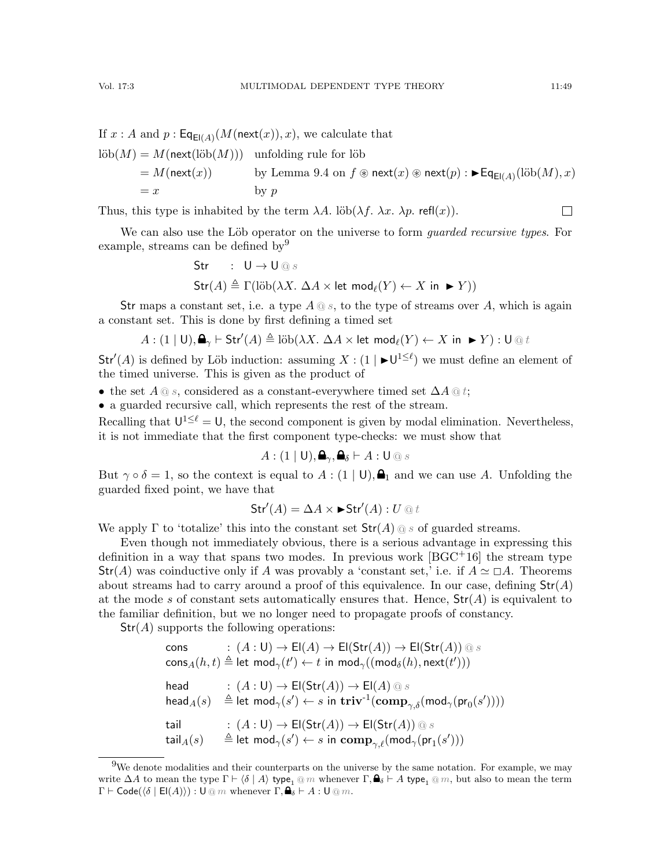$\Box$ 

If  $x:A$  and  $p:\mathsf{Eq}_{\mathsf{El}(A)}(M(\mathsf{next}(x)),x),$  we calculate that  $\mathrm{lib}(M) = M(\mathsf{next}(\mathrm{lib}(M)))$  unfolding rule for löb  $= M(\mathsf{next}(x))$  by Lemma [9.4](#page-47-0) on  $f \circledast \mathsf{next}(x) \circledast \mathsf{next}(p) : \blacktriangleright \mathsf{Eq}_{\mathsf{El}(A)}(\mathrm{lib}(M), x)$  $=x$  by p

Thus, this type is inhabited by the term  $\lambda A$ . löb $(\lambda f, \lambda x, \lambda p$ . refl $(x)$ ).

We can also use the Löb operator on the universe to form *quarded recursive types*. For example, streams can be defined by<sup>[9](#page-48-0)</sup>

$$
\begin{aligned}\n\text{Str} & \quad : \quad \mathsf{U} \to \mathsf{U} \, \text{or} \, s \\
\text{Str}(A) & \triangleq \Gamma(\text{lib}(\lambda X. \, \Delta A \times \text{let } \text{mod}_{\ell}(Y) \leftarrow X \text{ in } \blacktriangleright Y))\n\end{aligned}
$$

Str maps a constant set, i.e. a type  $A \tQ s$ , to the type of streams over A, which is again a constant set. This is done by first defining a timed set

$$
A: (1 \mid U), \bigoplus_{\gamma} \vdash \mathsf{Str}'(A) \triangleq \mathrm{lib}(\lambda X. \; \Delta A \times \mathsf{let} \; \mathsf{mod}_{\ell}(Y) \leftarrow X \; \mathsf{in} \; \blacktriangleright Y) : \mathsf{U} \, \textcircled{\scriptsize{\textcircled{\tiny \#}}}\; t
$$

 $Str'(A)$  is defined by Löb induction: assuming  $X : (1 \mid \blacktriangleright \bigcup^{1 \leq \ell} )$  we must define an element of the timed universe. This is given as the product of

• the set  $A \t{a} s$ , considered as a constant-everywhere timed set  $\Delta A \t{a} t$ ;

• a guarded recursive call, which represents the rest of the stream.

Recalling that  $U^{1 \leq \ell} = U$ , the second component is given by modal elimination. Nevertheless, it is not immediate that the first component type-checks: we must show that

$$
A: (1 \mid U), \mathbf{a}_{\gamma}, \mathbf{a}_{\delta} \vdash A: U \circledcirc s
$$

But  $\gamma \circ \delta = 1$ , so the context is equal to  $A : (1 | U), \triangleq_1$  and we can use A. Unfolding the guarded fixed point, we have that

$$
\mathsf{Str}'(A) = \Delta A \times \blacktriangleright \mathsf{Str}'(A) : U \, \text{and} \,
$$

We apply  $\Gamma$  to 'totalize' this into the constant set  $\text{Str}(A) \otimes s$  of guarded streams.

Even though not immediately obvious, there is a serious advantage in expressing this definition in a way that spans two modes. In previous work  $[\text{BGC+16}]$  the stream type  $Str(A)$  was coinductive only if A was provably a 'constant set,' i.e. if  $A \simeq \Box A$ . Theorems about streams had to carry around a proof of this equivalence. In our case, defining  $Str(A)$ at the mode s of constant sets automatically ensures that. Hence,  $\text{Str}(A)$  is equivalent to the familiar definition, but we no longer need to propagate proofs of constancy.

 $Str(A)$  supports the following operations:

 $c: (A:U) \to \mathsf{El}(A) \to \mathsf{El}(\mathsf{Str}(A)) \to \mathsf{El}(\mathsf{Str}(A)) \otimes s$  $\mathsf{cons}_A(h, t) \triangleq \mathsf{let} \; \mathsf{mod}_{\gamma}(t') \leftarrow t \; \mathsf{in} \; \mathsf{mod}_{\gamma}((\mathsf{mod}_{\delta}(h), \mathsf{next}(t')))$  $\mathsf{head} \qquad \quad : \, (A:\mathsf{U}) \to \mathsf{El}(\mathsf{Str}(A)) \to \mathsf{El}(A) \, @ \, s$  $\mathsf{head}_A(s) \quad \triangleq \mathsf{let}\; \mathsf{mod}_{\gamma}(s') \leftarrow s \; \mathsf{in}\; \mathbf{triv}^{\text{-}1}(\mathbf{comp}_{\gamma, \delta}(\mathsf{mod}_{\gamma}(\mathsf{pr}_0(s'))))$ tail :  $(A:U) \rightarrow El(Str(A)) \rightarrow El(Str(A)) \text{ @ } s$  $\operatorname{\mathsf{tail}}_A(s) \quad \triangleq \operatorname{\mathsf{let}} \, \operatorname{\mathsf{mod}}_\gamma(s') \leftarrow s \, \operatorname{\mathsf{in}} \, \operatorname{\mathsf{comp}}_{\gamma, \ell}(\operatorname{\mathsf{mod}}_\gamma(\operatorname{\mathsf{pr}}_1(s')))$ 

<span id="page-48-0"></span><sup>9</sup>We denote modalities and their counterparts on the universe by the same notation. For example, we may write  $\Delta A$  to mean the type  $\Gamma \vdash \langle \delta | A \rangle$  type<sub>1</sub> @ m whenever  $\Gamma, \clubsuit_\delta \vdash A$  type<sub>1</sub> @ m, but also to mean the term  $\Gamma \vdash \mathsf{Code}(\langle \delta \mid \mathsf{El}(A) \rangle) : \mathsf{U} \otimes m$  whenever  $\Gamma, \mathsf{A}_{\delta} \vdash A : \mathsf{U} \otimes m$ .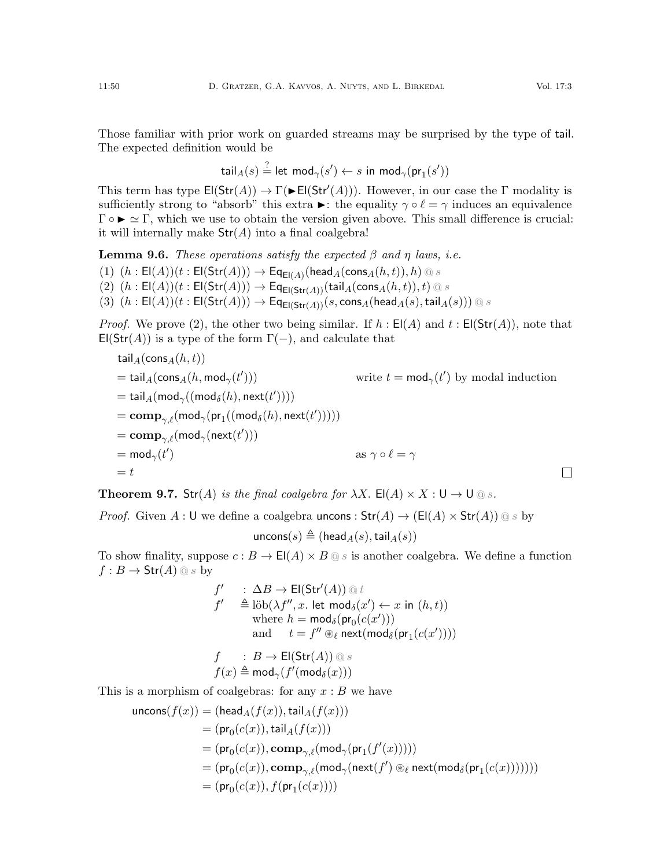The expected definition would be

$$
\mathsf{tail}_{A}(s) \stackrel{?}{=} \mathsf{let}\ \mathsf{mod}_{\gamma}(s') \leftarrow s\ \mathsf{in}\ \mathsf{mod}_{\gamma}(\mathsf{pr}_1(s'))
$$

This term has type  $\text{El}(\text{Str}(A)) \to \Gamma(\blacktriangleright \text{El}(\text{Str}'(A)))$ . However, in our case the  $\Gamma$  modality is sufficiently strong to "absorb" this extra  $\blacktriangleright$ : the equality  $\gamma \circ \ell = \gamma$  induces an equivalence  $\Gamma \circ \blacktriangleright \simeq \Gamma$ , which we use to obtain the version given above. This small difference is crucial: it will internally make  $\text{Str}(A)$  into a final coalgebra!

**Lemma 9.6.** These operations satisfy the expected  $\beta$  and  $\eta$  laws, i.e.

- $(1)$   $(h: \mathsf{El}(A))(t: \mathsf{El}(\mathsf{Str}(A))) \to \mathsf{Eq}_{\mathsf{El}(A)}(\mathsf{head}_A(\mathsf{cons}_A(h,t)), h) \circledcirc s$
- (2)  $(h: \mathsf{El}(A))(t: \mathsf{El}(\mathsf{Str}(A))) \to \mathsf{Eq}_{\mathsf{El}(\mathsf{Str}(A))}(\mathsf{tail}_A(\mathsf{cons}_A(h,t)), t) \, \text{or} \, s$

(3)  $(h: \mathsf{El}(A))(t: \mathsf{El}(\mathsf{Str}(A))) \to \mathsf{Eq}_{\mathsf{El}(\mathsf{Str}(A))}(s, \mathsf{cons}_A(\mathsf{head}_A(s), \mathsf{tail}_A(s))) \circledcirc s$ 

*Proof.* We prove (2), the other two being similar. If  $h : E(A)$  and  $t : E(\text{Str}(A))$ , note that  $E(\text{Str}(A))$  is a type of the form  $\Gamma(-)$ , and calculate that

$$
\begin{aligned}\n\text{tail}_{A}(\text{cons}_{A}(h,t)) \\
&= \text{tail}_{A}(\text{cons}_{A}(h,\text{mod}_{\gamma}(t'))) & \text{write } t = \text{mod}_{\gamma}(t') \text{ by modal induction} \\
&= \text{tail}_{A}(\text{mod}_{\gamma}((\text{mod}_{\delta}(h),\text{next}(t'))))) \\
&= \text{comp}_{\gamma,\ell}(\text{mod}_{\gamma}(\text{pr}_{1}((\text{mod}_{\delta}(h),\text{next}(t'))))) \\
&= \text{comp}_{\gamma,\ell}(\text{mod}_{\gamma}(\text{next}(t'))) & \text{as } \gamma \circ \ell = \gamma \\
&= t & \Box\n\end{aligned}
$$

<span id="page-49-0"></span>**Theorem 9.7.** Str(A) is the final coalgebra for  $\lambda X$ . El(A)  $\times X$ : U  $\rightarrow$  U  $\textcircled{ s.}$ 

*Proof.* Given A : U we define a coalgebra uncons :  $Str(A) \rightarrow (El(A) \times Str(A)) \circledcirc s$  by

$$
\mathsf{uncons}(s) \triangleq (\mathsf{head}_A(s), \mathsf{tail}_A(s))
$$

To show finality, suppose  $c : B \to \mathsf{El}(A) \times B \, \textcircled{s}$  is another coalgebra. We define a function  $f : B \to \text{Str}(A) \text{ @ } s$  by

$$
f' \quad : \Delta B \to \mathsf{El}(\mathsf{Str}'(A)) \, \text{and} \, t
$$
\n
$$
f' \quad \triangleq \text{lib}(\lambda f'', x. \text{ let } \text{mod}_{\delta}(x') \leftarrow x \text{ in } (h, t))
$$
\n
$$
\text{where } h = \text{mod}_{\delta}(\mathsf{pr}_0(c(x')))
$$
\n
$$
\text{and } t = f'' \otimes_{\ell} \text{next}(\text{mod}_{\delta}(\mathsf{pr}_1(c(x'))))
$$
\n
$$
f \quad : B \to \mathsf{El}(\mathsf{Str}(A)) \, \text{and} \, s
$$

$$
f(x) \triangleq \mathsf{mod}_{\gamma}(f'(\mathsf{mod}_{\delta}(x)))
$$

This is a morphism of coalgebras: for any  $x : B$  we have

$$
\begin{aligned} \mathsf{uncons}(f(x)) &= (\mathsf{head}_A(f(x)), \mathsf{tail}_A(f(x))) \\ &= (\mathsf{pr}_0(c(x)), \mathsf{tail}_A(f(x))) \\ &= (\mathsf{pr}_0(c(x)), \mathsf{comp}_{\gamma, \ell}(\mathsf{mod}_\gamma(\mathsf{pr}_1(f'(x)))))) \\ &= (\mathsf{pr}_0(c(x)), \mathsf{comp}_{\gamma, \ell}(\mathsf{mod}_\gamma(\mathsf{next}(f') \circledast_\ell \mathsf{next}(\mathsf{mod}_\delta(\mathsf{pr}_1(c(x))))))) \\ &= (\mathsf{pr}_0(c(x)), f(\mathsf{pr}_1(c(x)))) \end{aligned}
$$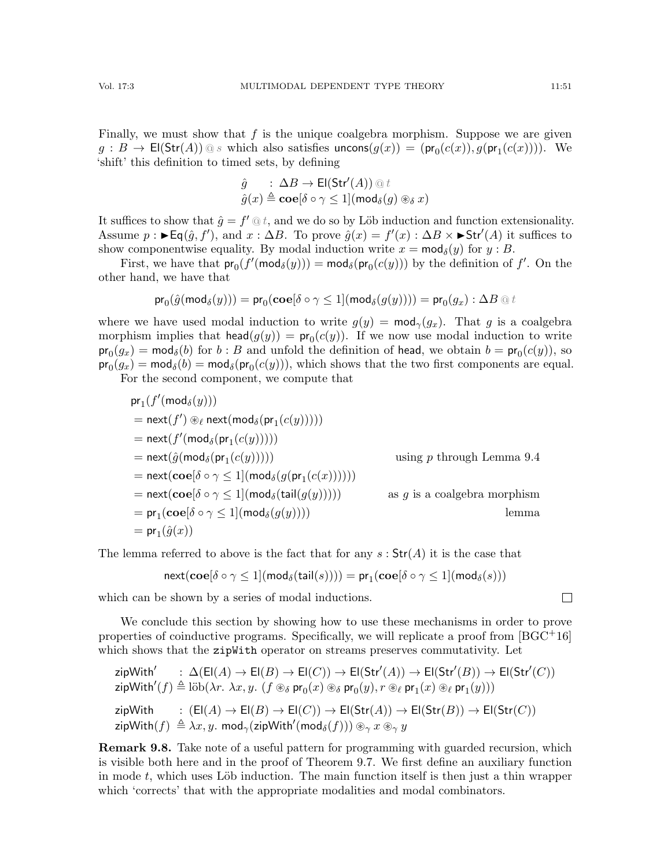Finally, we must show that  $f$  is the unique coalgebra morphism. Suppose we are given  $g : B \to \mathsf{El}(\mathsf{Str}(A)) \, \textcircled{\tiny \mathsf{g}} s$  which also satisfies  $\mathsf{uncons}(g(x)) = (\mathsf{pr}_0(c(x)), g(\mathsf{pr}_1(c(x))))$ . We 'shift' this definition to timed sets, by defining

$$
\hat{g} : \Delta B \to \mathsf{El}(\mathsf{Str}'(A)) \, \text{Q} \, t
$$

$$
\hat{g}(x) \triangleq \mathbf{co}[\delta \circ \gamma \le 1](\mathsf{mod}_{\delta}(g) \circledast \delta x)
$$

It suffices to show that  $\hat{g} = f' \otimes t$ , and we do so by Löb induction and function extensionality. Assume  $p : \blacktriangleright \mathsf{Eq}(\hat{g}, f'),$  and  $x : \Delta B$ . To prove  $\hat{g}(x) = f'(x) : \Delta B \times \blacktriangleright \mathsf{Str}'(A)$  it suffices to show componentwise equality. By modal induction write  $x = \text{mod}_{\delta}(y)$  for  $y : B$ .

First, we have that  $pr_0(f'(\text{mod}_{\delta}(y))) = \text{mod}_{\delta}(pr_0(c(y)))$  by the definition of  $f'$ . On the other hand, we have that

$$
\mathsf{pr}_0(\hat{g}(\mathsf{mod}_{\delta}(y))) = \mathsf{pr}_0(\mathbf{coe}[\delta \circ \gamma \leq 1](\mathsf{mod}_{\delta}(g(y)))) = \mathsf{pr}_0(g_x) : \Delta B \text{ @ } t
$$

where we have used modal induction to write  $g(y) = \text{mod}_{\gamma}(g_x)$ . That g is a coalgebra morphism implies that  $head(g(y)) = pr_0(c(y))$ . If we now use modal induction to write  $\mathsf{pr}_0(g_x) = \mathsf{mod}_{\delta}(b)$  for  $b : B$  and unfold the definition of head, we obtain  $b = \mathsf{pr}_0(c(y))$ , so  ${\sf pr}_0(g_x)={\sf mod}_{\delta}(b)={\sf mod}_{\delta}({\sf pr}_0(c(y))),$  which shows that the two first components are equal. For the second component, we compute that

$$
pr_1(f'(mod_{\delta}(y)))
$$
\n
$$
= next(f') \circledast_{\ell} next(mod_{\delta}(pr_1(c(y))))
$$
\n
$$
= next(f'(mod_{\delta}(pr_1(c(y))))
$$
\n
$$
= next(\hat{g}(mod_{\delta}(pr_1(c(y))))
$$
\n
$$
= next(\hat{g}(mod_{\delta}(pr_1(c(y))))
$$
\n
$$
= next(coe[\delta \circ \gamma \le 1](mod_{\delta}(g(pr_1(c(x))))))
$$
\n
$$
= next(coe[\delta \circ \gamma \le 1](mod_{\delta}(tail(g(y))))
$$
\n
$$
= pr_1(coe[\delta \circ \gamma \le 1](mod_{\delta}(g(y))))
$$
\n
$$
= pr_1(\hat{g}(x))
$$
\n
$$
= pr_1(\hat{g}(x))
$$
\n
$$
= pr_1(\hat{g}(x))
$$

The lemma referred to above is the fact that for any  $s: Str(A)$  it is the case that

$$
\mathsf{next}(\mathbf{coe}[\delta \circ \gamma \leq 1](\mathsf{mod}_{\delta}(\mathsf{tail}(s)))) = \mathsf{pr}_1(\mathbf{coe}[\delta \circ \gamma \leq 1](\mathsf{mod}_{\delta}(s)))
$$

which can be shown by a series of modal inductions.

We conclude this section by showing how to use these mechanisms in order to prove properties of coinductive programs. Specifically, we will replicate a proof from  $[BGC^+16]$ which shows that the zipWith operator on streams preserves commutativity. Let

$$
\begin{array}{ll}\mathsf{zipWith}' & : \Delta(\mathsf{El}(A) \to \mathsf{El}(B) \to \mathsf{El}(\mathsf{Str}'(A)) \to \mathsf{El}(\mathsf{Str}'(B)) \to \mathsf{El}(\mathsf{Str}'(C))\\ \mathsf{zipWith}'(f) \triangleq \mathsf{lib}(\lambda r.\ \lambda x, y.\ (f \circledast_{\delta} \mathsf{pr}_0(x) \circledast_{\delta} \mathsf{pr}_0(y), r \circledast_{\ell} \mathsf{pr}_1(x) \circledast_{\ell} \mathsf{pr}_1(y)))\\ \mathsf{zipWith} & : \ (\mathsf{El}(A) \to \mathsf{El}(B) \to \mathsf{El}(C)) \to \mathsf{El}(\mathsf{Str}(A)) \to \mathsf{El}(\mathsf{Str}(B)) \to \mathsf{El}(\mathsf{Str}(C))\\ \mathsf{zipWith}(f) \triangleq \lambda x, y.\ \mathsf{mod}_{\gamma}(\mathsf{zipWith}'(\mathsf{mod}_{\delta}(f))) \circledast_{\gamma} x \circledast_{\gamma} y \end{array}
$$

**Remark 9.8.** Take note of a useful pattern for programming with guarded recursion, which is visible both here and in the proof of Theorem [9.7.](#page-49-0) We first define an auxiliary function in mode  $t$ , which uses Löb induction. The main function itself is then just a thin wrapper which 'corrects' that with the appropriate modalities and modal combinators.

$$
\qquad \qquad \Box
$$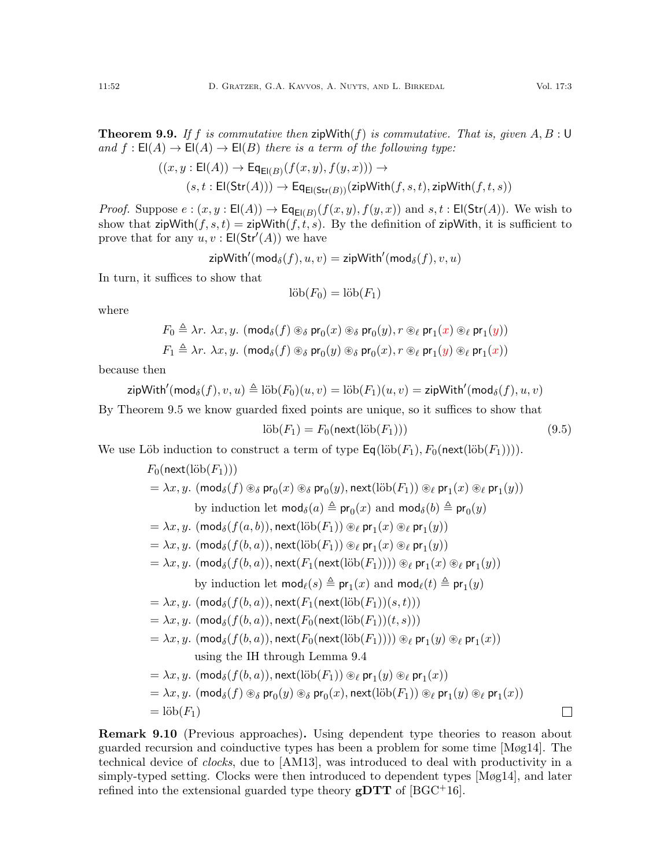**Theorem 9.9.** If f is commutative then zipWith(f) is commutative. That is, given  $A, B : U$ and  $f : E(A) \to E(A) \to E(B)$  there is a term of the following type:

$$
((x,y: \text{El}(A)) \to \text{Eq}_{\text{El}(B)}(f(x,y), f(y,x))) \to (s,t: \text{El}(\text{Str}(A))) \to \text{Eq}_{\text{El}(\text{Str}(B))}(\text{zipWith}(f,s,t), \text{zipWith}(f,t,s))
$$

*Proof.* Suppose  $e:(x, y : E(A)) \to Eq_{E(B)}(f(x, y), f(y, x))$  and  $s, t : E(\text{Str}(A))$ . We wish to show that  $\mathsf{zipWith}(f, s, t) = \mathsf{zipWith}(f, t, s)$ . By the definition of  $\mathsf{zipWith}$ , it is sufficient to prove that for any  $u, v : \mathsf{El}(\mathsf{Str}'(A))$  we have

$$
\mathsf{zipWith}'(\mathsf{mod}_{\delta}(f), u, v) = \mathsf{zipWith}'(\mathsf{mod}_{\delta}(f), v, u)
$$

In turn, it suffices to show that

$$
l\ddot{\mathrm{ob}}(F_0) = l\ddot{\mathrm{ob}}(F_1)
$$

where

$$
F_0 \triangleq \lambda r. \ \lambda x, y. \ (\text{mod}_{\delta}(f) \otimes_{\delta} \text{pr}_0(x) \otimes_{\delta} \text{pr}_0(y), r \otimes_{\ell} \text{pr}_1(x) \otimes_{\ell} \text{pr}_1(y))
$$

$$
F_1 \triangleq \lambda r. \ \lambda x, y. \ (\text{mod}_{\delta}(f) \otimes_{\delta} \text{pr}_0(y) \otimes_{\delta} \text{pr}_0(x), r \otimes_{\ell} \text{pr}_1(y) \otimes_{\ell} \text{pr}_1(x))
$$

because then

zipWith'(mod<sub>δ</sub>(f), v, u) 
$$
\triangleq
$$
 löb(F<sub>0</sub>)(u, v) = löb(F<sub>1</sub>)(u, v) = zipWith'(mod<sub>δ</sub>(f), u, v)  
By Theorem 9.5 we know guarded fixed points are unique, so it suffices to show that

 $\text{lib}(F_1) = F_0(\text{next}(\text{lib}(F_1)))$  (9.5)

We use Löb induction to construct a term of type  $\textsf{Eq}(\text{lib}(F_1), F_0(\textsf{next}(\text{lib}(F_1))))$ .

$$
F_0(\text{next}(\text{lib}(F_1)))
$$
\n
$$
= \lambda x, y. \ (\text{mod}_{\delta}(f) \circledast \text{pr}_0(x) \circledast \text{pr}_0(y), \text{next}(\text{lib}(F_1)) \circledast \text{pr}_1(x) \circledast \text{pr}_1(y))
$$
\nby induction let  $\text{mod}_{\delta}(a) \triangleq \text{pr}_0(x)$  and  $\text{mod}_{\delta}(b) \triangleq \text{pr}_0(y)$ \n
$$
= \lambda x, y. \ (\text{mod}_{\delta}(f(a, b)), \text{next}(\text{lib}(F_1)) \circledast \text{pr}_1(x) \circledast \text{pr}_1(y))
$$
\n
$$
= \lambda x, y. \ (\text{mod}_{\delta}(f(b, a)), \text{next}(\text{lib}(F_1)) \circledast \text{pr}_1(x) \circledast \text{pr}_1(y))
$$
\n
$$
= \lambda x, y. \ (\text{mod}_{\delta}(f(b, a)), \text{next}(F_1(\text{next}(\text{lib}(F_1)))) \circledast \text{pr}_1(x) \circledast \text{pr}_1(y))
$$
\nby induction let  $\text{mod}_{\ell}(s) \triangleq \text{pr}_1(x)$  and  $\text{mod}_{\ell}(t) \triangleq \text{pr}_1(y)$ \n
$$
= \lambda x, y. \ (\text{mod}_{\delta}(f(b, a)), \text{next}(F_1(\text{next}(\text{lib}(F_1))(s, t)))
$$
\n
$$
= \lambda x, y. \ (\text{mod}_{\delta}(f(b, a)), \text{next}(F_0(\text{next}(\text{lib}(F_1)))(s, s)))
$$
\n
$$
= \lambda x, y. \ (\text{mod}_{\delta}(f(b, a)), \text{next}(F_0(\text{next}(\text{lib}(F_1)))) \circledast \text{pr}_1(y) \circledast \text{pr}_1(x))
$$
\nusing the IH through Lemma 9.4\n
$$
= \lambda x, y. \ (\text{mod}_{\delta}(f(b, a)), \text{next}(\text{lib}(F_1)) \circledast \text{pr}_1(y) \circledast \text{pr}_1(x))
$$
\n
$$
= \lambda x, y. \ (\text{mod}_{\delta}(f(b, a)), \text{next}(\text{lib}(F_1)) \circledast \text{pr}_1(y
$$

Remark 9.10 (Previous approaches). Using dependent type theories to reason about guarded recursion and coinductive types has been a problem for some time [\[Møg14\]](#page-65-20). The technical device of clocks, due to [\[AM13\]](#page-62-6), was introduced to deal with productivity in a simply-typed setting. Clocks were then introduced to dependent types [\[Møg14\]](#page-65-20), and later refined into the extensional guarded type theory  $gDTT$  of [\[BGC](#page-63-1)<sup>+</sup>16].

 $\Box$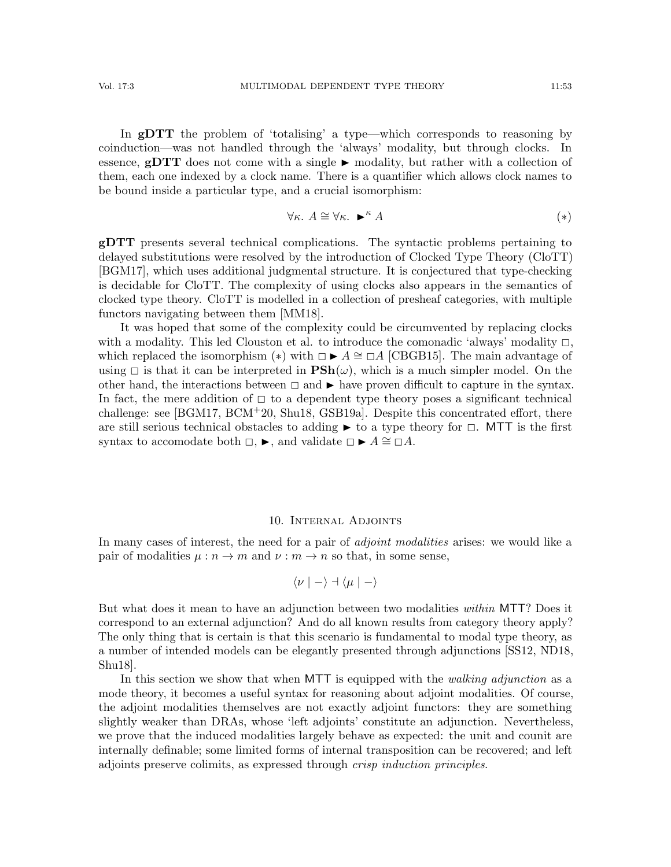In gDTT the problem of 'totalising' a type—which corresponds to reasoning by coinduction—was not handled through the 'always' modality, but through clocks. In essence,  $gDTT$  does not come with a single  $\blacktriangleright$  modality, but rather with a collection of them, each one indexed by a clock name. There is a quantifier which allows clock names to be bound inside a particular type, and a crucial isomorphism:

<span id="page-52-0"></span>
$$
\forall \kappa. \ A \cong \forall \kappa. \ \blacktriangleright^{\kappa} A \tag{*}
$$

gDTT presents several technical complications. The syntactic problems pertaining to delayed substitutions were resolved by the introduction of Clocked Type Theory (CloTT) [\[BGM17\]](#page-63-2), which uses additional judgmental structure. It is conjectured that type-checking is decidable for CloTT. The complexity of using clocks also appears in the semantics of clocked type theory. CloTT is modelled in a collection of presheaf categories, with multiple functors navigating between them [\[MM18\]](#page-64-20).

It was hoped that some of the complexity could be circumvented by replacing clocks with a modality. This led Clouston et al. to introduce the comonadic 'always' modality  $\Box$ , which replaced the isomorphism (\*) with  $\Box \blacktriangleright A \cong \Box A$  [\[CBGB15\]](#page-63-17). The main advantage of using  $\Box$  is that it can be interpreted in  $\mathbf{PSh}(\omega)$ , which is a much simpler model. On the other hand, the interactions between  $\Box$  and  $\blacktriangleright$  have proven difficult to capture in the syntax. In fact, the mere addition of  $\Box$  to a dependent type theory poses a significant technical challenge: see [\[BGM17,](#page-63-2) [BCM](#page-63-3)+20, [Shu18,](#page-65-1) [GSB19a\]](#page-64-5). Despite this concentrated effort, there are still serious technical obstacles to adding  $\blacktriangleright$  to a type theory for  $\Box$ . MTT is the first syntax to accomodate both  $\Box$ ,  $\blacktriangleright$ , and validate  $\Box \blacktriangleright A \cong \Box A$ .

#### 10. Internal Adjoints

In many cases of interest, the need for a pair of *adjoint modalities* arises: we would like a pair of modalities  $\mu : n \to m$  and  $\nu : m \to n$  so that, in some sense,

$$
\langle \nu \mid - \rangle \dashv \langle \mu \mid - \rangle
$$

But what does it mean to have an adjunction between two modalities within MTT? Does it correspond to an external adjunction? And do all known results from category theory apply? The only thing that is certain is that this scenario is fundamental to modal type theory, as a number of intended models can be elegantly presented through adjunctions [\[SS12,](#page-66-1) [ND18,](#page-65-3) [Shu18\]](#page-65-1).

In this section we show that when MTT is equipped with the *walking adjunction* as a mode theory, it becomes a useful syntax for reasoning about adjoint modalities. Of course, the adjoint modalities themselves are not exactly adjoint functors: they are something slightly weaker than DRAs, whose 'left adjoints' constitute an adjunction. Nevertheless, we prove that the induced modalities largely behave as expected: the unit and counit are internally definable; some limited forms of internal transposition can be recovered; and left adjoints preserve colimits, as expressed through crisp induction principles.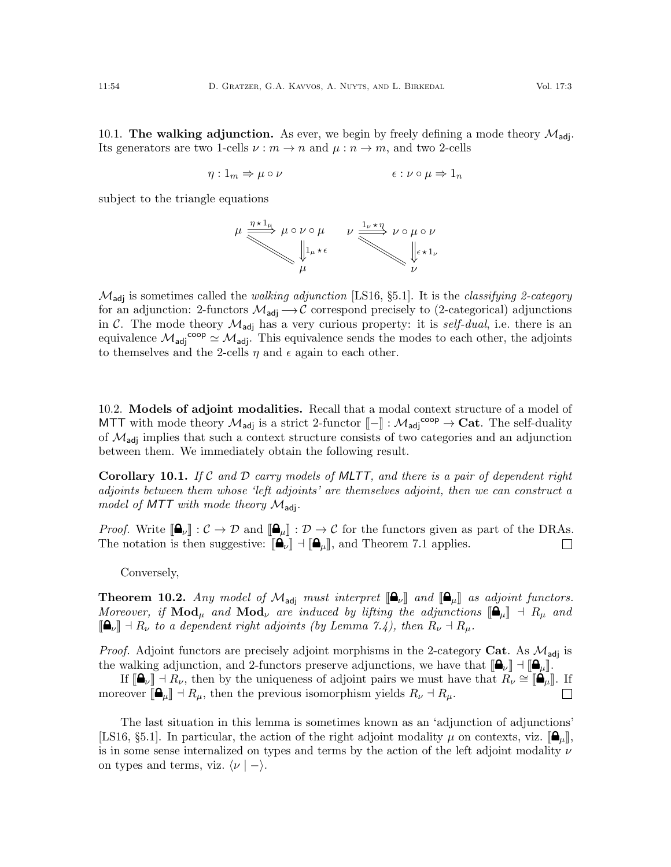10.1. The walking adjunction. As ever, we begin by freely defining a mode theory  $\mathcal{M}_{\text{adj}}$ . Its generators are two 1-cells  $\nu : m \to n$  and  $\mu : n \to m$ , and two 2-cells

$$
\eta: 1_m \Rightarrow \mu \circ \nu \qquad \epsilon: \nu \circ \mu \Rightarrow 1_n
$$

subject to the triangle equations



 $\mathcal{M}_{\text{adi}}$  is sometimes called the walking adjunction [\[LS16,](#page-64-6) §5.1]. It is the classifying 2-category for an adjunction: 2-functors  $\mathcal{M}_{\text{adj}} \rightarrow \mathcal{C}$  correspond precisely to (2-categorical) adjunctions in C. The mode theory  $\mathcal{M}_{\text{adj}}$  has a very curious property: it is *self-dual*, i.e. there is an equivalence  $\mathcal{M}_{\text{adj}}^{\text{coop}} \simeq \mathcal{M}_{\text{adj}}$ . This equivalence sends the modes to each other, the adjoints to themselves and the 2-cells  $\eta$  and  $\epsilon$  again to each other.

10.2. Models of adjoint modalities. Recall that a modal context structure of a model of MTT with mode theory  $\mathcal{M}_{\text{adj}}$  is a strict 2-functor  $\llbracket - \rrbracket : \mathcal{M}_{\text{adj}}^{\text{coop}} \to \text{Cat}$ . The self-duality of  $M$  is implied that such a context structure consists of two optomation and an ediunation of  $\mathcal{M}_{\text{adj}}$  implies that such a context structure consists of two categories and an adjunction between them. We immediately obtain the following result.

**Corollary 10.1.** If C and D carry models of MLTT, and there is a pair of dependent right adjoints between them whose 'left adjoints' are themselves adjoint, then we can construct a model of MTT with mode theory  $\mathcal{M}_{\text{adj}}$ .

*Proof.* Write  $[\mathbf{\mathbf{\Theta}}_{\nu}]: \mathcal{C} \to \mathcal{D}$  and  $[\mathbf{\mathbf{\Theta}}_{\mu}]: \mathcal{D} \to \mathcal{C}$  for the functors given as part of the DRAs.<br>The notation is then suggestive:  $[\mathbf{\mathbf{\Theta}}_{\nu}] \cdot \mathbf{\mathbf{\P}}_{\mathbf{\Theta}}$ , and Theorem 7.1 applies. The notation is then suggestive:  $\left[\bigoplus_{\nu}\right] \dashv \left[\bigoplus_{\mu}\right]$ , and Theorem [7.1](#page-35-0) applies.

Conversely,

**Theorem 10.2.** Any model of  $\mathcal{M}_{\text{adj}}$  must interpret  $[\mathbf{\Theta}_{\mu}]\$  and  $[\mathbf{\Theta}_{\mu}]\$  as adjoint functors. Moreover, if  $\text{Mod}_{\mu}$  and  $\text{Mod}_{\nu}$  are induced by lifting the adjunctions  $[\bigoplus_{\mu} \parallel \cdot \parallel R_{\mu}$  and  $\llbracket \bigoplus_{\nu} \rrbracket \dashv R_{\nu}$  to a dependent right adjoints (by Lemma [7.4\)](#page-38-1), then  $R_{\nu} \dashv R_{\mu}$ .

*Proof.* Adjoint functors are precisely adjoint morphisms in the 2-category Cat. As  $\mathcal{M}_{\text{adi}}$  is the walking adjunction, and 2-functors preserve adjunctions, we have that  $\|\mathbf{a}_\nu\| \cdot \|\mathbf{a}_u\|$ .

If  $[\mathbf{\Omega}_{\nu}]\ \rightarrow R_{\nu}$ , then by the uniqueness of adjoint pairs we must have that  $R_{\nu} \cong [\mathbf{\Omega}_{\mu}]\$ . If moreover  $[\bigoplus_{\mu} \cdot \cdot \cdot]$  a  $R_{\mu}$ , then the previous isomorphism yields  $R_{\nu} \dashv R_{\mu}$ .

The last situation in this lemma is sometimes known as an 'adjunction of adjunctions' [\[LS16,](#page-64-6) §5.1]. In particular, the action of the right adjoint modality  $\mu$  on contexts, viz.  $[\mathbf{a}_{\mu}]$ , is in some sense internalized on types and terms by the action of the left adjoint modality  $\nu$ on types and terms, viz.  $\langle \nu | - \rangle$ .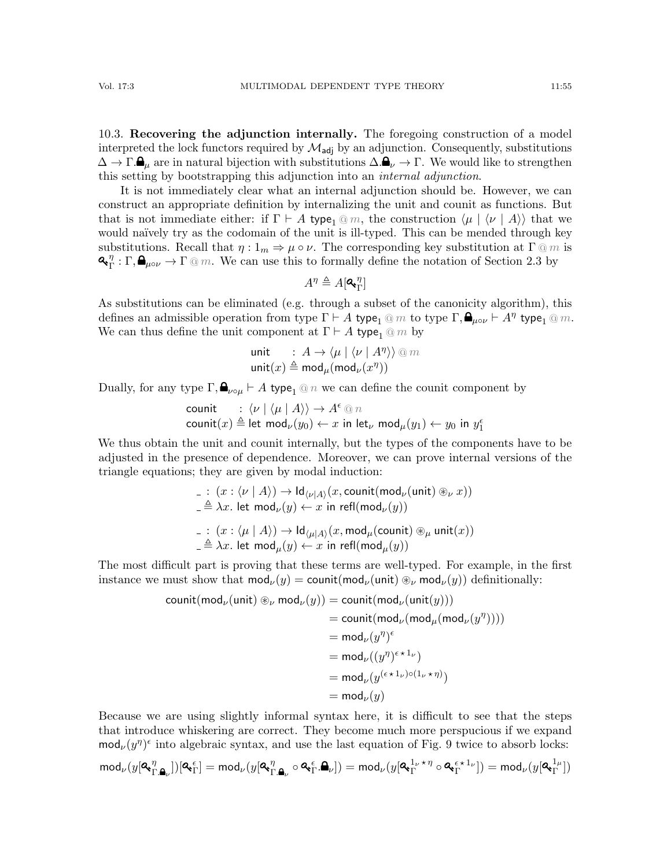10.3. Recovering the adjunction internally. The foregoing construction of a model interpreted the lock functors required by  $\mathcal{M}_{\text{adj}}$  by an adjunction. Consequently, substitutions  $\Delta \to \Gamma.\mathbf{\Theta}_{\mu}$  are in natural bijection with substitutions  $\Delta.\mathbf{\Theta}_{\nu} \to \Gamma$ . We would like to strengthen this setting by bootstrapping this adjunction into an internal adjunction.

It is not immediately clear what an internal adjunction should be. However, we can construct an appropriate definition by internalizing the unit and counit as functions. But that is not immediate either: if  $\Gamma \vdash A$  type<sub>1</sub> @ m, the construction  $\langle \mu | \langle \nu | A \rangle \rangle$  that we would naïvely try as the codomain of the unit is ill-typed. This can be mended through key substitutions. Recall that  $\eta: 1_m \Rightarrow \mu \circ \nu$ . The corresponding key substitution at  $\Gamma \t{m}$  is  $\mathbf{a}^{\ \eta}_{\mathbf{r}}$  $T_{\Gamma}^{\eta}: \Gamma, \blacksquare_{\mu\circ\nu} \to \Gamma \t\t\t\t@m.$  We can use this to formally define the notation of Section [2.3](#page-7-9) by

$$
A^\eta \triangleq A[\mathbf{Q}_\mathbf{r}^\eta]
$$

As substitutions can be eliminated (e.g. through a subset of the canonicity algorithm), this defines an admissible operation from type  $\Gamma \vdash A$  type<sub>1</sub> @ m to type  $\Gamma, \bigoplus_{\mu \circ \nu} \vdash A^{\eta}$  type<sub>1</sub> @ m. We can thus define the unit component at  $\Gamma \vdash A$  type<sub>1</sub> @ m by

$$
\begin{array}{ll}\text{unit} & \colon A \to \langle \mu \mid \langle \nu \mid A^{\eta} \rangle \rangle \text{ @ } m \\ \text{unit}(x) \triangleq \mathrm{mod}_{\mu}(\mathrm{mod}_{\nu}(x^{\eta})) \end{array}
$$

Dually, for any type  $\Gamma$ ,  $\mathbf{a}_{\nu \circ \mu} \vdash A$  type<sub>1</sub> @ n we can define the counit component by

counit :  $\langle \nu | \langle \mu | A \rangle \rangle \rightarrow A^{\epsilon} \, @ \, n$ counit $(x) \triangleq$  let mod $_{\nu}(y_0) \leftarrow x$  in let $_{\nu}$  mod $_{\mu}(y_1) \leftarrow y_0$  in  $y_1^{\epsilon}$ 

We thus obtain the unit and counit internally, but the types of the components have to be adjusted in the presence of dependence. Moreover, we can prove internal versions of the triangle equations; they are given by modal induction:

$$
\begin{aligned}\n&\quad \_ \bot \colon (x:\langle \nu \mid A \rangle) \to \mathrm{Id}_{\langle \nu | A \rangle}(x, \mathrm{count}(\mathrm{mod}_\nu(\mathrm{unit}) \circledast_\nu x)) \\
&\quad \triangleq \lambda x. \text{ let } \mathrm{mod}_\nu(y) \leftarrow x \text{ in } \mathrm{refl}(\mathrm{mod}_\nu(y)) \\
&\quad \_ \bot \colon (x:\langle \mu \mid A \rangle) \to \mathrm{Id}_{\langle \mu | A \rangle}(x, \mathrm{mod}_\mu(\mathrm{count}) \circledast_\mu \mathrm{unit}(x)) \\
&\quad \triangleq \lambda x. \text{ let } \mathrm{mod}_\mu(y) \leftarrow x \text{ in } \mathrm{refl}(\mathrm{mod}_\mu(y))\n\end{aligned}
$$

The most difficult part is proving that these terms are well-typed. For example, in the first instance we must show that  $mod_{\nu}(y) = count(mod_{\nu}(unit) \otimes_{\nu} mod_{\nu}(y))$  definitionally:

$$
\begin{aligned} \text{count}(\text{mod}_{\nu}(\text{unit}) \circledast_{\nu} \text{mod}_{\nu}(y)) &= \text{count}(\text{mod}_{\nu}(\text{unit}(y))) \\ &= \text{count}(\text{mod}_{\nu}(\text{mod}_{\mu}(\text{mod}_{\nu}(y^{\eta})))) \\ &= \text{mod}_{\nu}(y^{\eta})^{\epsilon} \\ &= \text{mod}_{\nu}((y^{\eta})^{\epsilon \star 1_{\nu}}) \\ &= \text{mod}_{\nu}(y^{(\epsilon \star 1_{\nu}) \circ (1_{\nu} \star \eta)}) \\ &= \text{mod}_{\nu}(y) \end{aligned}
$$

Because we are using slightly informal syntax here, it is difficult to see that the steps that introduce whiskering are correct. They become much more perspucious if we expand  $\text{mod}_{\nu}(y^{\eta})^{\epsilon}$  into algebraic syntax, and use the last equation of Fig. [9](#page-17-0) twice to absorb locks:

$$
\mathrm{mod}_\nu(y[\mathbf{Q}_{{\Gamma},\pmb{\Delta}_\nu}^\eta])[\mathbf{Q}_{{\Gamma}}^\epsilon]=\mathrm{mod}_\nu(y[\mathbf{Q}_{{\Gamma},\pmb{\Delta}_\nu}^\eta\circ\mathbf{Q}_{{\Gamma},\pmb{\Delta}_\nu}^\epsilon])=\mathrm{mod}_\nu(y[\mathbf{Q}_{{\Gamma}}^{{\mathbbm{1}}_\nu\star\eta}\circ\mathbf{Q}_{{\Gamma}}^{\epsilon\star{\mathbbm{1}}_\nu}])=\mathrm{mod}_\nu(y[\mathbf{Q}_{{\Gamma}}^{{\mathbbm{1}}_\mu}])
$$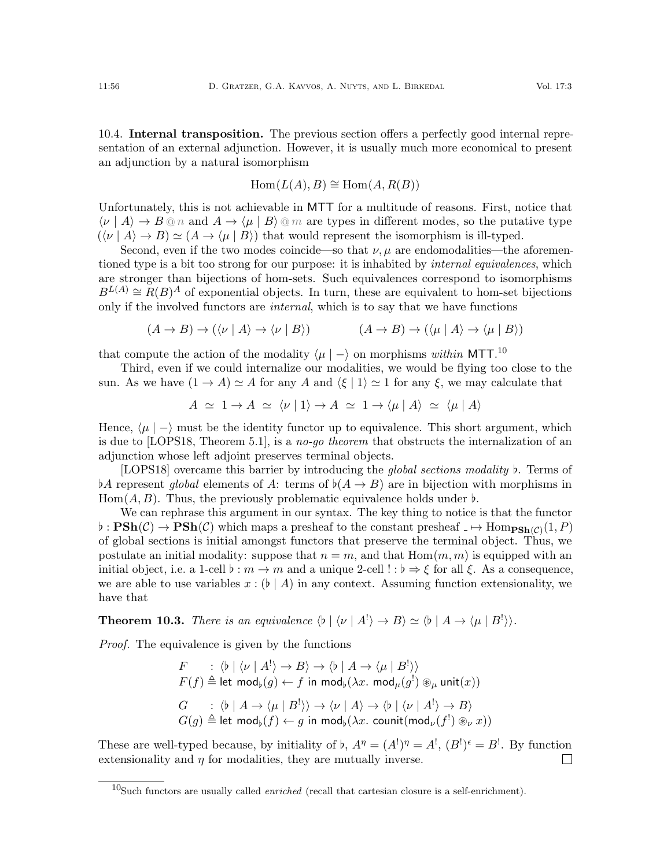10.4. Internal transposition. The previous section offers a perfectly good internal representation of an external adjunction. However, it is usually much more economical to present an adjunction by a natural isomorphism

$$
Hom(L(A), B) \cong Hom(A, R(B))
$$

Unfortunately, this is not achievable in MTT for a multitude of reasons. First, notice that  $\langle \nu | A \rangle \to B \, \text{on and } A \to \langle \mu | B \rangle \, \text{on are types in different modes, so the putative type}$  $({\langle} \nu | A \rangle \rightarrow B) \simeq (A \rightarrow {\langle} \mu | B)$  that would represent the isomorphism is ill-typed.

Second, even if the two modes coincide—so that  $\nu, \mu$  are endomodalities—the aforementioned type is a bit too strong for our purpose: it is inhabited by *internal equivalences*, which are stronger than bijections of hom-sets. Such equivalences correspond to isomorphisms  $B^{L(A)} \cong R(B)^A$  of exponential objects. In turn, these are equivalent to hom-set bijections only if the involved functors are internal, which is to say that we have functions

$$
(A \to B) \to (\langle \nu | A \rangle \to \langle \nu | B \rangle) \qquad (A \to B) \to (\langle \mu | A \rangle \to \langle \mu | B \rangle)
$$

that compute the action of the modality  $\langle \mu | - \rangle$  on morphisms within MTT.<sup>[10](#page-55-0)</sup>

Third, even if we could internalize our modalities, we would be flying too close to the sun. As we have  $(1 \rightarrow A) \simeq A$  for any A and  $\langle \xi | 1 \rangle \simeq 1$  for any  $\xi$ , we may calculate that

$$
A \simeq 1 \to A \simeq \langle \nu | 1 \rangle \to A \simeq 1 \to \langle \mu | A \rangle \simeq \langle \mu | A \rangle
$$

Hence,  $\langle \mu | - \rangle$  must be the identity functor up to equivalence. This short argument, which is due to [\[LOPS18,](#page-64-0) Theorem 5.1], is a no-go theorem that obstructs the internalization of an adjunction whose left adjoint preserves terminal objects.

[\[LOPS18\]](#page-64-0) overcame this barrier by introducing the *global sections modality*  $\flat$ . Terms of  $\flat A$  represent global elements of A: terms of  $\flat(A \to B)$  are in bijection with morphisms in Hom $(A, B)$ . Thus, the previously problematic equivalence holds under  $\flat$ .

We can rephrase this argument in our syntax. The key thing to notice is that the functor  $\phi: \textbf{PSh}(\mathcal{C}) \to \textbf{PSh}(\mathcal{C})$  which maps a presheaf to the constant presheaf  $\Box \mapsto \text{Hom}_{\textbf{PSh}(\mathcal{C})}(1, P)$ of global sections is initial amongst functors that preserve the terminal object. Thus, we postulate an initial modality: suppose that  $n = m$ , and that  $Hom(m, m)$  is equipped with an initial object, i.e. a 1-cell  $\flat : m \to m$  and a unique 2-cell  $! : \flat \Rightarrow \xi$  for all  $\xi$ . As a consequence, we are able to use variables  $x : (b \mid A)$  in any context. Assuming function extensionality, we have that

**Theorem 10.3.** There is an equivalence  $\langle \phi | \langle \nu | A^{\dagger} \rangle \rightarrow B \rangle \simeq \langle \phi | A \rightarrow \langle \mu | B^{\dagger} \rangle \rangle$ .

Proof. The equivalence is given by the functions

$$
F : \langle \flat | \langle \nu | A^! \rangle \to B \rangle \to \langle \flat | A \to \langle \mu | B^! \rangle \rangle
$$
  

$$
F(f) \triangleq \text{let } \text{mod}_{\flat}(g) \leftarrow f \text{ in } \text{mod}_{\flat}(\lambda x. \text{ mod}_{\mu}(g^!) \otimes_{\mu} \text{unit}(x))
$$
  

$$
G : \langle \flat | A \to \langle \mu | B^! \rangle \rangle \to \langle \nu | A \rangle \to \langle \flat | \langle \nu | A^! \rangle \to B \rangle
$$
  

$$
G(g) \triangleq \text{let } \text{mod}_{\flat}(f) \leftarrow g \text{ in } \text{mod}_{\flat}(\lambda x. \text{ counit}(\text{mod}_{\nu}(f^!) \otimes_{\nu} x))
$$

These are well-typed because, by initiality of b,  $A^{\eta} = (A^!)^{\eta} = A^!$ ,  $(B^!)^{\epsilon} = B^!$ . By function extensionality and  $\eta$  for modalities, they are mutually inverse.  $\Box$ 

<span id="page-55-0"></span> $10$ Such functors are usually called *enriched* (recall that cartesian closure is a self-enrichment).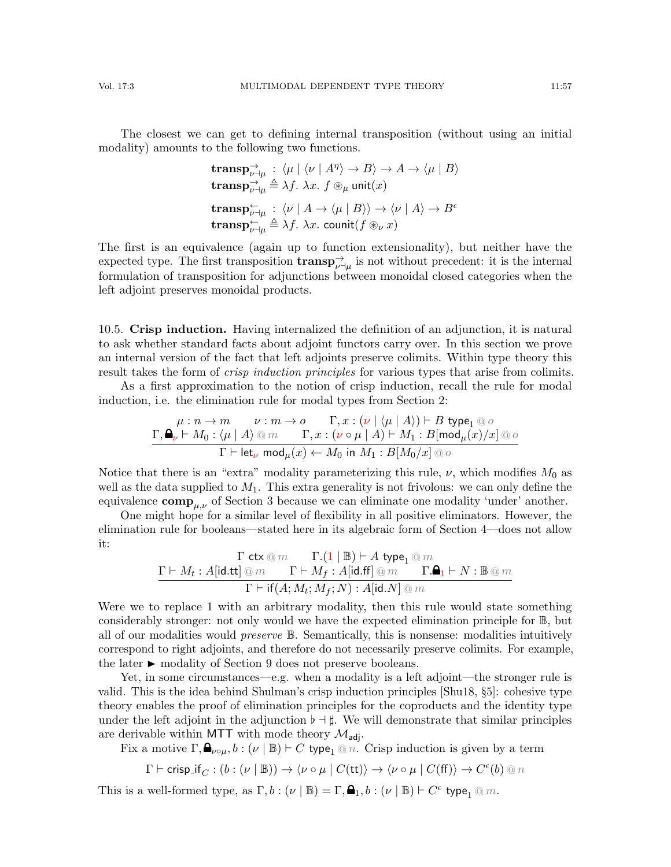The closest we can get to defining internal transposition (without using an initial modality) amounts to the following two functions.

$$
\begin{aligned}\n&\textbf{transp}_{\nu\to\mu}^{\to} : \langle \mu \mid \langle \nu \mid A^{\eta} \rangle \to B \rangle \to A \to \langle \mu \mid B \rangle \\
&\textbf{transp}_{\nu\to\mu}^{\to} \triangleq \lambda f. \ \lambda x. \ f \circledast_{\mu} \text{unit}(x) \\
&\textbf{transp}_{\nu\to\mu}^{\leftarrow} : \langle \nu \mid A \to \langle \mu \mid B \rangle \rangle \to \langle \nu \mid A \rangle \to B^{\epsilon} \\
&\textbf{transp}_{\nu\to\mu}^{\leftarrow} \triangleq \lambda f. \ \lambda x. \ \textbf{count}(f \circledast_{\nu} x)\n\end{aligned}
$$

The first is an equivalence (again up to function extensionality), but neither have the expected type. The first transposition  $\text{transp}_{\nu\to\mu}^{\rightarrow}$  is not without precedent: it is the internal formulation of transposition for adjunctions between monoidal closed categories when the left adjoint preserves monoidal products.

10.5. Crisp induction. Having internalized the definition of an adjunction, it is natural to ask whether standard facts about adjoint functors carry over. In this section we prove an internal version of the fact that left adjoints preserve colimits. Within type theory this result takes the form of *crisp induction principles* for various types that arise from colimits.

As a first approximation to the notion of crisp induction, recall the rule for modal induction, i.e. the elimination rule for modal types from Section [2:](#page-3-1)

$$
\frac{\mu: n \to m \qquad \nu: m \to o \qquad \Gamma, x: (\nu \mid \langle \mu \mid A \rangle) \vdash B \text{ type}_1 @ o}{\Gamma, \text{Q}_{\nu} \vdash M_0: \langle \mu \mid A \rangle @ m \qquad \Gamma, x: (\nu \circ \mu \mid A) \vdash M_1: B[\text{mod}_{\mu}(x)/x] @ o}{\Gamma \vdash \text{let}_{\nu} \text{ mod}_{\mu}(x) \leftarrow M_0 \text{ in } M_1: B[M_0/x] @ o}
$$

Notice that there is an "extra" modality parameterizing this rule,  $\nu$ , which modifies  $M_0$  as well as the data supplied to  $M_1$ . This extra generality is not frivolous: we can only define the equivalence  $\mathbf{comp}_{\mu,\nu}$  of Section [3](#page-9-0) because we can eliminate one modality 'under' another.

One might hope for a similar level of flexibility in all positive eliminators. However, the elimination rule for booleans—stated here in its algebraic form of Section [4—](#page-11-0)does not allow it:

$$
\cfrac{\Gamma \text{ ctx} \oslash m}{\Gamma \vdash M_t : A[\text{id.tt}] \oslash m} \cfrac{\Gamma . (1 \mid \mathbb{B}) \vdash A \text{ type}_1 \oslash m}{\Gamma \vdash M_f : A[\text{id}. \text{ff}] \oslash m} \cfrac{\Gamma . \spadesuit_1 \vdash N : \mathbb{B} \oslash m}{\Gamma \vdash \text{if}(A; M_t; M_f; N) : A[\text{id}. N] \oslash m}
$$

Were we to replace 1 with an arbitrary modality, then this rule would state something considerably stronger: not only would we have the expected elimination principle for B, but all of our modalities would *preserve*  $\mathbb B$ . Semantically, this is nonsense: modalities intuitively correspond to right adjoints, and therefore do not necessarily preserve colimits. For example, the later  $\blacktriangleright$  modality of Section [9](#page-42-0) does not preserve booleans.

Yet, in some circumstances—e.g. when a modality is a left adjoint—the stronger rule is valid. This is the idea behind Shulman's crisp induction principles [\[Shu18,](#page-65-1) §5]: cohesive type theory enables the proof of elimination principles for the coproducts and the identity type under the left adjoint in the adjunction  $\flat \dashv \sharp$ . We will demonstrate that similar principles are derivable within MTT with mode theory  $\mathcal{M}_{\text{adj}}$ .

Fix a motive  $\Gamma, \bigoplus_{\nu \circ \mu}, b : (\nu \mid \mathbb{B}) \vdash C$  type<sub>1</sub> @ n. Crisp induction is given by a term

$$
\Gamma\vdash \mathsf{crisp\_if}_C:(b:(\nu\mid \mathbb{B}))\rightarrow \langle \nu\circ\mu\mid C(\mathsf{tt})\rangle\rightarrow \langle \nu\circ\mu\mid C(\mathsf{ff})\rangle\rightarrow C^\epsilon(b)\mathbin{\textup{\texttt{0}}} n
$$

This is a well-formed type, as  $\Gamma, b : (\nu \mid \mathbb{B}) = \Gamma, \spadesuit_1, b : (\nu \mid \mathbb{B}) \vdash C^{\epsilon}$  type<sub>1</sub>  $@$  m.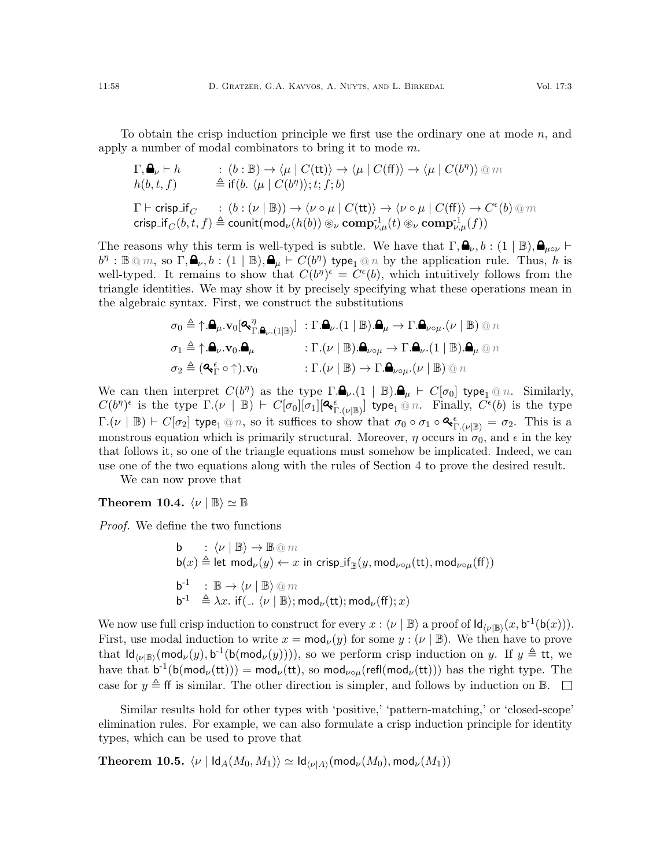To obtain the crisp induction principle we first use the ordinary one at mode  $n$ , and apply a number of modal combinators to bring it to mode m.

$$
\begin{array}{lll} \Gamma, \spadesuit_{\nu} \vdash h & : & (b : \mathbb{B}) \rightarrow \langle \mu \mid C(\mathsf{tt}) \rangle \rightarrow \langle \mu \mid C(\mathsf{ff}) \rangle \rightarrow \langle \mu \mid C(b^{\eta}) \rangle \text{ @ } m \\ h(b, t, f) & \triangleq \mathrm{if}(b. \langle \mu \mid C(b^{\eta}) \rangle; t; f; b) \\ \Gamma \vdash \mathrm{crisp\_if}_C & : & (b : (\nu \mid \mathbb{B})) \rightarrow \langle \nu \circ \mu \mid C(\mathsf{tt}) \rangle \rightarrow \langle \nu \circ \mu \mid C(\mathsf{ff}) \rangle \rightarrow C^{\epsilon}(b) \text{ @ } m \\ \mathrm{crisp\_if}_C(b, t, f) \triangleq \mathrm{count}(\mathsf{mod}_{\nu}(h(b)) \circledast_{\nu} \mathbf{comp}_{\nu, \mu}^{-1}(t) \circledast_{\nu} \mathbf{comp}_{\nu, \mu}^{-1}(f)) \end{array}
$$

The reasons why this term is well-typed is subtle. We have that  $\Gamma, \mathbf{\Theta}_{\nu}, b : (1 \mid \mathbb{B}), \mathbf{\Theta}_{\mu \circ \nu} \vdash$  $b^{\eta}: \mathbb{B} \otimes m$ , so  $\Gamma, \clubsuit_{\nu}, b: (1 \mid \mathbb{B}), \clubsuit_{\mu} \vdash C(b^{\eta})$  type<sub>1</sub>  $\circledcirc n$  by the application rule. Thus, h is well-typed. It remains to show that  $C(b^{\eta})^{\epsilon} = C^{\epsilon}(b)$ , which intuitively follows from the triangle identities. We may show it by precisely specifying what these operations mean in the algebraic syntax. First, we construct the substitutions

$$
\sigma_0 \triangleq \uparrow \mathbf{A}_{\mu}.\mathbf{v}_0[\mathbf{Q}_\Gamma^{\eta} \mathbf{A}_{\nu}.(1|\mathbb{B})] : \Gamma.\mathbf{A}_{\nu}.(1|\mathbb{B}).\mathbf{A}_{\mu} \to \Gamma.\mathbf{A}_{\nu \circ \mu}.(\nu | \mathbb{B}) \otimes n
$$

$$
\sigma_1 \triangleq \uparrow \mathbf{A}_{\nu}.\mathbf{v}_0.\mathbf{A}_{\mu} : \Gamma.(\nu | \mathbb{B}).\mathbf{A}_{\nu \circ \mu} \to \Gamma.\mathbf{A}_{\nu}.(1|\mathbb{B}).\mathbf{A}_{\mu} \otimes n
$$

$$
\sigma_2 \triangleq (\mathbf{Q}_\Gamma^{\epsilon} \circ \uparrow).\mathbf{v}_0 : \Gamma.(\nu | \mathbb{B}) \to \Gamma.\mathbf{A}_{\nu \circ \mu}.(\nu | \mathbb{B}) \otimes n
$$

We can then interpret  $C(b^{\eta})$  as the type  $\Gamma.\mathbf{a}_{\nu}.(1 | \mathbb{B}).\mathbf{a}_{\mu} \vdash C[\sigma_0]$  type<sub>1</sub> @ n. Similarly,  $C(b^{\eta})^{\epsilon}$  is the type  $\Gamma.(\nu \mid \mathbb{B}) \vdash C[\sigma_0][\sigma_1][\mathbf{Q}_{\Gamma.(\nu|\mathbb{B})}]$  type<sub>1</sub> @ n. Finally,  $C^{\epsilon}(b)$  is the type  $\Gamma.(\nu \mid \mathbb{B}) \vdash C[\sigma_2]$  type<sub>1</sub> @ n, so it suffices to show that  $\sigma_0 \circ \sigma_1 \circ \mathbf{Q}_{\Gamma.(\nu \mid \mathbb{B})}^{\epsilon} = \sigma_2$ . This is a monstrous equation which is primarily structural. Moreover,  $\eta$  occurs in  $\sigma_0$ , and  $\epsilon$  in the key that follows it, so one of the triangle equations must somehow be implicated. Indeed, we can use one of the two equations along with the rules of Section [4](#page-11-0) to prove the desired result.

We can now prove that

#### Theorem 10.4.  $\langle \nu | \mathbb{B} \rangle \simeq \mathbb{B}$

Proof. We define the two functions

b :  $\langle \nu | \mathbb{B} \rangle \rightarrow \mathbb{B} \text{ on } m$  $b(x) \triangleq$  let mod $_{\nu}(y) \leftarrow x$  in crisp\_if<sub>R</sub> $(y, \text{mod}_{\nu \circ \mu}(\text{tt}), \text{mod}_{\nu \circ \mu}(\text{ff}))$  $\mathsf{b}^{-1}$  :  $\mathbb{B} \to \langle \nu | \mathbb{B} \rangle \otimes m$  $\mathsf{b}^{\text{-}1} \stackrel{\Delta}{=} \lambda x.$  if  $(\bot \langle \nu | \mathbb{B} \rangle; \mathsf{mod}_{\nu}(\mathsf{tt}); \mathsf{mod}_{\nu}(\mathsf{ff}); x)$ 

We now use full crisp induction to construct for every  $x : \langle \nu | \mathbb{B} \rangle$  a proof of  $\mathsf{Id}_{\langle \nu | \mathbb{B} \rangle}(x, \mathsf{b}^{-1}(\mathsf{b}(x))).$ First, use modal induction to write  $x = \text{mod}_{\nu}(y)$  for some  $y : (\nu | \mathbb{B})$ . We then have to prove that  $\mathsf{Id}_{\langle \nu | \mathbb{B} \rangle}(\mathsf{mod}_{\nu}(y), \mathsf{b}^{-1}(\mathsf{b}(\mathsf{mod}_{\nu}(y))))$ , so we perform crisp induction on y. If  $y \triangleq \mathsf{tt}$ , we have that  $b^{-1}(b(\text{mod}_{\nu}(tt))) = \text{mod}_{\nu}(tt)$ , so  $\text{mod}_{\nu \circ \mu}(\text{refl}(\text{mod}_{\nu}(tt)))$  has the right type. The case for  $y \triangleq$  ff is similar. The other direction is simpler, and follows by induction on B.

Similar results hold for other types with 'positive,' 'pattern-matching,' or 'closed-scope' elimination rules. For example, we can also formulate a crisp induction principle for identity types, which can be used to prove that

Theorem 10.5.  $\langle \nu \mid \mathsf{Id}_A(M_0,M_1) \rangle \simeq \mathsf{Id}_{\langle \nu | A \rangle}(\mathsf{mod}_\nu(M_0), \mathsf{mod}_\nu(M_1))$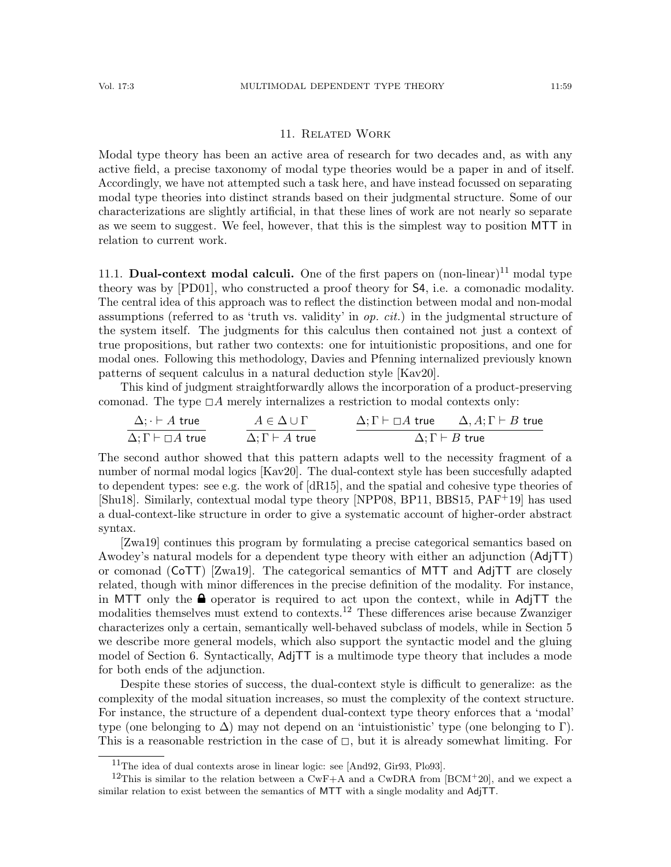## 11. Related Work

Modal type theory has been an active area of research for two decades and, as with any active field, a precise taxonomy of modal type theories would be a paper in and of itself. Accordingly, we have not attempted such a task here, and have instead focussed on separating modal type theories into distinct strands based on their judgmental structure. Some of our characterizations are slightly artificial, in that these lines of work are not nearly so separate as we seem to suggest. We feel, however, that this is the simplest way to position MTT in relation to current work.

[11](#page-58-0).1. **Dual-context modal calculi.** One of the first papers on  $(non-linear)^{11}$  modal type theory was by [\[PD01\]](#page-65-10), who constructed a proof theory for S4, i.e. a comonadic modality. The central idea of this approach was to reflect the distinction between modal and non-modal assumptions (referred to as 'truth vs. validity' in  $op. cit.$ ) in the judgmental structure of the system itself. The judgments for this calculus then contained not just a context of true propositions, but rather two contexts: one for intuitionistic propositions, and one for modal ones. Following this methodology, Davies and Pfenning internalized previously known patterns of sequent calculus in a natural deduction style [\[Kav20\]](#page-64-12).

This kind of judgment straightforwardly allows the incorporation of a product-preserving comonad. The type  $\Box A$  merely internalizes a restriction to modal contexts only:

$$
\Delta; \Gamma \vdash A \text{ true} \qquad A \in \Delta \cup \Gamma
$$
\n
$$
\Delta; \Gamma \vdash \Box A \text{ true} \qquad \Delta; \Gamma \vdash A \text{ true} \qquad \Delta; \Gamma \vdash B \text{ true}
$$

The second author showed that this pattern adapts well to the necessity fragment of a number of normal modal logics [\[Kav20\]](#page-64-12). The dual-context style has been succesfully adapted to dependent types: see e.g. the work of [\[dR15\]](#page-63-4), and the spatial and cohesive type theories of [\[Shu18\]](#page-65-1). Similarly, contextual modal type theory [\[NPP08,](#page-65-21) [BP11,](#page-63-19) [BBS15,](#page-63-20) [PAF](#page-65-22)+19] has used a dual-context-like structure in order to give a systematic account of higher-order abstract syntax.

[\[Zwa19\]](#page-66-5) continues this program by formulating a precise categorical semantics based on Awodey's natural models for a dependent type theory with either an adjunction (AdjTT) or comonad (CoTT) [\[Zwa19\]](#page-66-5). The categorical semantics of MTT and AdjTT are closely related, though with minor differences in the precise definition of the modality. For instance, in MTT only the  $\triangle$  operator is required to act upon the context, while in AdjTT the modalities themselves must extend to contexts.[12](#page-58-1) These differences arise because Zwanziger characterizes only a certain, semantically well-behaved subclass of models, while in Section [5](#page-18-0) we describe more general models, which also support the syntactic model and the gluing model of Section [6.](#page-30-0) Syntactically, AdjTT is a multimode type theory that includes a mode for both ends of the adjunction.

Despite these stories of success, the dual-context style is difficult to generalize: as the complexity of the modal situation increases, so must the complexity of the context structure. For instance, the structure of a dependent dual-context type theory enforces that a 'modal' type (one belonging to  $\Delta$ ) may not depend on an 'intuistionistic' type (one belonging to Γ). This is a reasonable restriction in the case of  $\Box$ , but it is already somewhat limiting. For

<span id="page-58-1"></span><span id="page-58-0"></span><sup>11</sup>The idea of dual contexts arose in linear logic: see [\[And92,](#page-62-7) [Gir93,](#page-63-21) [Plo93\]](#page-65-23).

<sup>&</sup>lt;sup>12</sup>This is similar to the relation between a CwF+A and a CwDRA from [\[BCM](#page-63-3)+20], and we expect a similar relation to exist between the semantics of MTT with a single modality and AdjTT.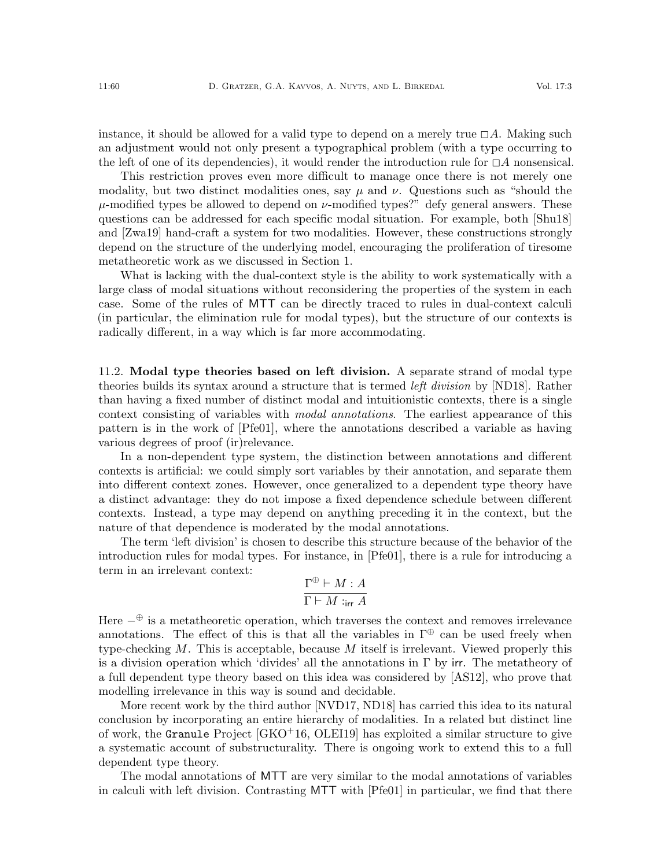instance, it should be allowed for a valid type to depend on a merely true  $\Box A$ . Making such an adjustment would not only present a typographical problem (with a type occurring to the left of one of its dependencies), it would render the introduction rule for  $\Box A$  nonsensical.

This restriction proves even more difficult to manage once there is not merely one modality, but two distinct modalities ones, say  $\mu$  and  $\nu$ . Questions such as "should the  $\mu$ -modified types be allowed to depend on  $\nu$ -modified types?" defy general answers. These questions can be addressed for each specific modal situation. For example, both [\[Shu18\]](#page-65-1) and [\[Zwa19\]](#page-66-5) hand-craft a system for two modalities. However, these constructions strongly depend on the structure of the underlying model, encouraging the proliferation of tiresome metatheoretic work as we discussed in Section [1.](#page-0-0)

What is lacking with the dual-context style is the ability to work systematically with a large class of modal situations without reconsidering the properties of the system in each case. Some of the rules of MTT can be directly traced to rules in dual-context calculi (in particular, the elimination rule for modal types), but the structure of our contexts is radically different, in a way which is far more accommodating.

11.2. Modal type theories based on left division. A separate strand of modal type theories builds its syntax around a structure that is termed left division by [\[ND18\]](#page-65-3). Rather than having a fixed number of distinct modal and intuitionistic contexts, there is a single context consisting of variables with *modal annotations*. The earliest appearance of this pattern is in the work of [\[Pfe01\]](#page-65-4), where the annotations described a variable as having various degrees of proof (ir)relevance.

In a non-dependent type system, the distinction between annotations and different contexts is artificial: we could simply sort variables by their annotation, and separate them into different context zones. However, once generalized to a dependent type theory have a distinct advantage: they do not impose a fixed dependence schedule between different contexts. Instead, a type may depend on anything preceding it in the context, but the nature of that dependence is moderated by the modal annotations.

The term 'left division' is chosen to describe this structure because of the behavior of the introduction rules for modal types. For instance, in [\[Pfe01\]](#page-65-4), there is a rule for introducing a term in an irrelevant context:

$$
\frac{\Gamma^{\oplus} \vdash M : A}{\Gamma \vdash M :_{\mathsf{irr}} A}
$$

Here  $-\oplus$  is a metatheoretic operation, which traverses the context and removes irrelevance annotations. The effect of this is that all the variables in  $\Gamma^{\oplus}$  can be used freely when type-checking  $M$ . This is acceptable, because  $M$  itself is irrelevant. Viewed properly this is a division operation which 'divides' all the annotations in  $\Gamma$  by irr. The metatheory of a full dependent type theory based on this idea was considered by [\[AS12\]](#page-62-0), who prove that modelling irrelevance in this way is sound and decidable.

More recent work by the third author [\[NVD17,](#page-65-2) [ND18\]](#page-65-3) has carried this idea to its natural conclusion by incorporating an entire hierarchy of modalities. In a related but distinct line of work, the Granule Project  $(GKO<sup>+</sup>16, OLEI19)$  has exploited a similar structure to give a systematic account of substructurality. There is ongoing work to extend this to a full dependent type theory.

The modal annotations of MTT are very similar to the modal annotations of variables in calculi with left division. Contrasting MTT with [\[Pfe01\]](#page-65-4) in particular, we find that there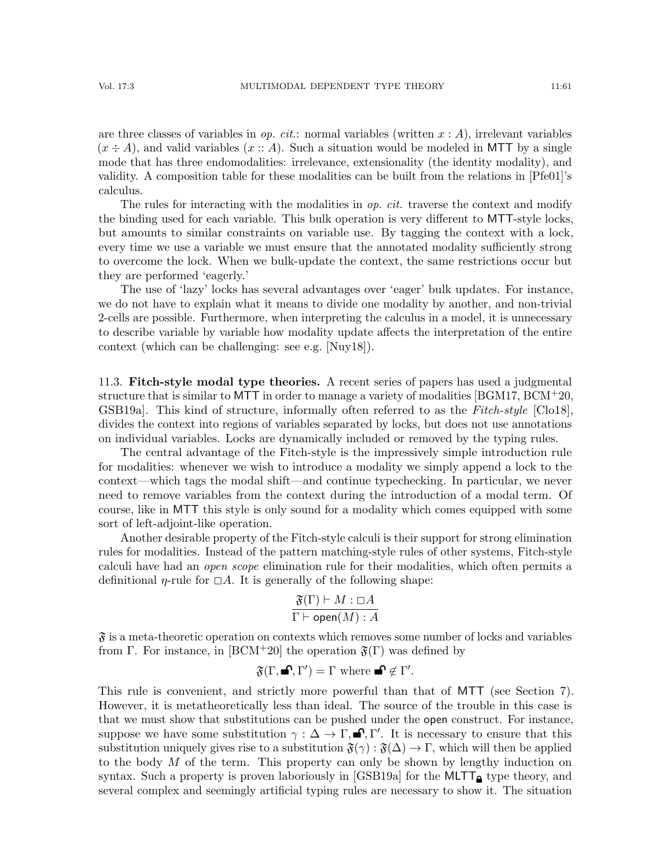are three classes of variables in *op. cit.*: normal variables (written  $x : A$ ), irrelevant variables  $(x \div A)$ , and valid variables  $(x :: A)$ . Such a situation would be modeled in MTT by a single mode that has three endomodalities: irrelevance, extensionality (the identity modality), and validity. A composition table for these modalities can be built from the relations in [\[Pfe01\]](#page-65-4)'s calculus.

The rules for interacting with the modalities in  $op.$  cit. traverse the context and modify the binding used for each variable. This bulk operation is very different to MTT-style locks, but amounts to similar constraints on variable use. By tagging the context with a lock, every time we use a variable we must ensure that the annotated modality sufficiently strong to overcome the lock. When we bulk-update the context, the same restrictions occur but they are performed 'eagerly.'

The use of 'lazy' locks has several advantages over 'eager' bulk updates. For instance, we do not have to explain what it means to divide one modality by another, and non-trivial 2-cells are possible. Furthermore, when interpreting the calculus in a model, it is unnecessary to describe variable by variable how modality update affects the interpretation of the entire context (which can be challenging: see e.g. [\[Nuy18\]](#page-65-17)).

11.3. Fitch-style modal type theories. A recent series of papers has used a judgmental structure that is similar to MTT in order to manage a variety of modalities [\[BGM17,](#page-63-2) [BCM](#page-63-3)+20, GSB19a. This kind of structure, informally often referred to as the Fitch-style [\[Clo18\]](#page-63-8), divides the context into regions of variables separated by locks, but does not use annotations on individual variables. Locks are dynamically included or removed by the typing rules.

The central advantage of the Fitch-style is the impressively simple introduction rule for modalities: whenever we wish to introduce a modality we simply append a lock to the context—which tags the modal shift—and continue typechecking. In particular, we never need to remove variables from the context during the introduction of a modal term. Of course, like in MTT this style is only sound for a modality which comes equipped with some sort of left-adjoint-like operation.

Another desirable property of the Fitch-style calculi is their support for strong elimination rules for modalities. Instead of the pattern matching-style rules of other systems, Fitch-style calculi have had an open scope elimination rule for their modalities, which often permits a definitional *η*-rule for  $\Box A$ . It is generally of the following shape:

$$
\frac{\mathfrak{F}(\Gamma) \vdash M : \Box A}{\Gamma \vdash \mathsf{open}(M) : A}
$$

 $\mathfrak{F}$  is a meta-theoretic operation on contexts which removes some number of locks and variables from Γ. For instance, in [\[BCM](#page-63-3)+20] the operation  $\mathfrak{F}(\Gamma)$  was defined by

$$
\mathfrak{F}(\Gamma, \blacksquare^{\bullet}, \Gamma') = \Gamma \text{ where } \blacksquare^{\bullet} \notin \Gamma'.
$$

This rule is convenient, and strictly more powerful than that of MTT (see Section [7\)](#page-34-0). However, it is metatheoretically less than ideal. The source of the trouble in this case is that we must show that substitutions can be pushed under the open construct. For instance, suppose we have some substitution  $\gamma : \Delta \to \Gamma, \blacksquare, \Gamma'$ . It is necessary to ensure that this substitution uniquely gives rise to a substitution  $\mathfrak{F}(\gamma) : \mathfrak{F}(\Delta) \to \Gamma$ , which will then be applied to the body M of the term. This property can only be shown by lengthy induction on syntax. Such a property is proven laboriously in [\[GSB19a\]](#page-64-5) for the MLTT<sub> $\alpha$ </sub> type theory, and several complex and seemingly artificial typing rules are necessary to show it. The situation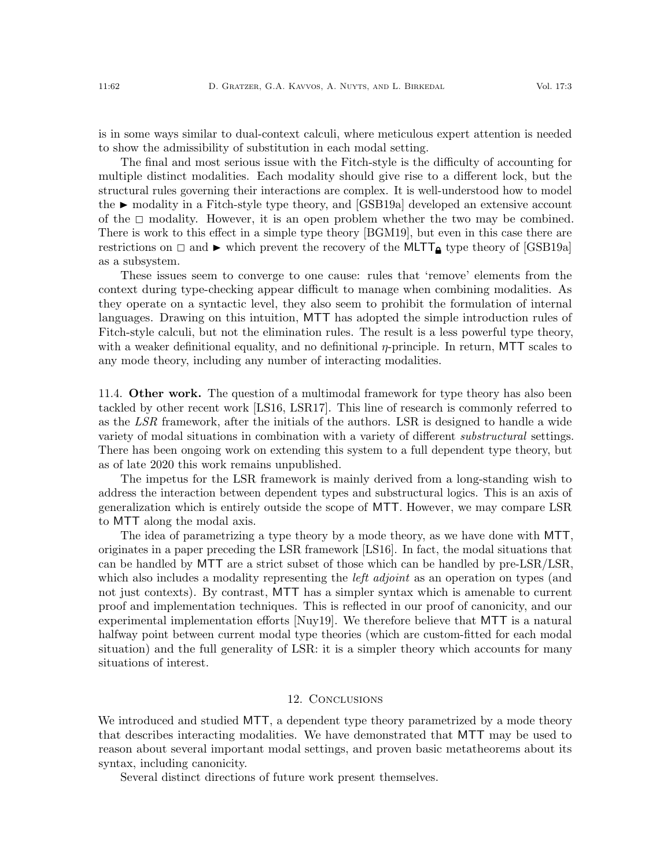is in some ways similar to dual-context calculi, where meticulous expert attention is needed to show the admissibility of substitution in each modal setting.

The final and most serious issue with the Fitch-style is the difficulty of accounting for multiple distinct modalities. Each modality should give rise to a different lock, but the structural rules governing their interactions are complex. It is well-understood how to model the  $\blacktriangleright$  modality in a Fitch-style type theory, and [\[GSB19a\]](#page-64-5) developed an extensive account of the  $\Box$  modality. However, it is an open problem whether the two may be combined. There is work to this effect in a simple type theory [\[BGM19\]](#page-63-22), but even in this case there are restrictions on  $\Box$  and  $\blacktriangleright$  which prevent the recovery of the MLTT<sub> $\triangle$ </sub> type theory of [\[GSB19a\]](#page-64-5) as a subsystem.

These issues seem to converge to one cause: rules that 'remove' elements from the context during type-checking appear difficult to manage when combining modalities. As they operate on a syntactic level, they also seem to prohibit the formulation of internal languages. Drawing on this intuition, MTT has adopted the simple introduction rules of Fitch-style calculi, but not the elimination rules. The result is a less powerful type theory, with a weaker definitional equality, and no definitional  $\eta$ -principle. In return, MTT scales to any mode theory, including any number of interacting modalities.

<span id="page-61-0"></span>11.4. **Other work.** The question of a multimodal framework for type theory has also been tackled by other recent work [\[LS16,](#page-64-6) [LSR17\]](#page-64-7). This line of research is commonly referred to as the LSR framework, after the initials of the authors. LSR is designed to handle a wide variety of modal situations in combination with a variety of different *substructural* settings. There has been ongoing work on extending this system to a full dependent type theory, but as of late 2020 this work remains unpublished.

The impetus for the LSR framework is mainly derived from a long-standing wish to address the interaction between dependent types and substructural logics. This is an axis of generalization which is entirely outside the scope of MTT. However, we may compare LSR to MTT along the modal axis.

The idea of parametrizing a type theory by a mode theory, as we have done with MTT, originates in a paper preceding the LSR framework [\[LS16\]](#page-64-6). In fact, the modal situations that can be handled by MTT are a strict subset of those which can be handled by pre-LSR/LSR, which also includes a modality representing the *left adjoint* as an operation on types (and not just contexts). By contrast, MTT has a simpler syntax which is amenable to current proof and implementation techniques. This is reflected in our proof of canonicity, and our experimental implementation efforts [\[Nuy19\]](#page-65-25). We therefore believe that MTT is a natural halfway point between current modal type theories (which are custom-fitted for each modal situation) and the full generality of LSR: it is a simpler theory which accounts for many situations of interest.

#### 12. Conclusions

We introduced and studied MTT, a dependent type theory parametrized by a mode theory that describes interacting modalities. We have demonstrated that MTT may be used to reason about several important modal settings, and proven basic metatheorems about its syntax, including canonicity.

Several distinct directions of future work present themselves.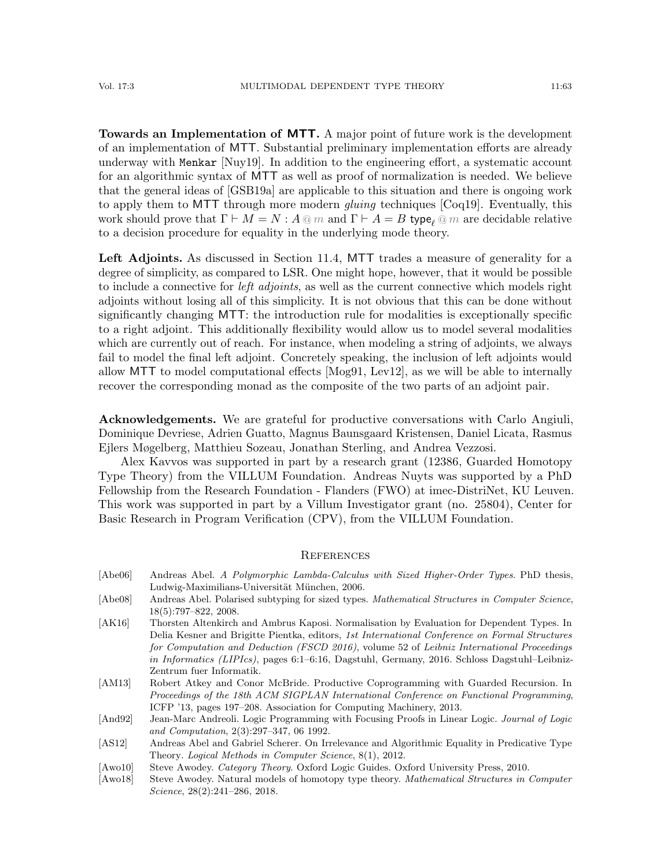Towards an Implementation of MTT. A major point of future work is the development of an implementation of MTT. Substantial preliminary implementation efforts are already underway with Menkar [\[Nuy19\]](#page-65-25). In addition to the engineering effort, a systematic account for an algorithmic syntax of MTT as well as proof of normalization is needed. We believe that the general ideas of [\[GSB19a\]](#page-64-5) are applicable to this situation and there is ongoing work to apply them to MTT through more modern *gluing* techniques [\[Coq19\]](#page-63-5). Eventually, this work should prove that  $\Gamma \vdash M = N : A \otimes m$  and  $\Gamma \vdash A = B$  type<sub>e</sub>  $\otimes m$  are decidable relative to a decision procedure for equality in the underlying mode theory.

Left Adjoints. As discussed in Section [11.4,](#page-61-0) MTT trades a measure of generality for a degree of simplicity, as compared to LSR. One might hope, however, that it would be possible to include a connective for *left adjoints*, as well as the current connective which models right adjoints without losing all of this simplicity. It is not obvious that this can be done without significantly changing MTT: the introduction rule for modalities is exceptionally specific to a right adjoint. This additionally flexibility would allow us to model several modalities which are currently out of reach. For instance, when modeling a string of adjoints, we always fail to model the final left adjoint. Concretely speaking, the inclusion of left adjoints would allow MTT to model computational effects [\[Mog91,](#page-65-26) [Lev12\]](#page-64-22), as we will be able to internally recover the corresponding monad as the composite of the two parts of an adjoint pair.

Acknowledgements. We are grateful for productive conversations with Carlo Angiuli, Dominique Devriese, Adrien Guatto, Magnus Baunsgaard Kristensen, Daniel Licata, Rasmus Ejlers Møgelberg, Matthieu Sozeau, Jonathan Sterling, and Andrea Vezzosi.

Alex Kavvos was supported in part by a research grant (12386, Guarded Homotopy Type Theory) from the VILLUM Foundation. Andreas Nuyts was supported by a PhD Fellowship from the Research Foundation - Flanders (FWO) at imec-DistriNet, KU Leuven. This work was supported in part by a Villum Investigator grant (no. 25804), Center for Basic Research in Program Verification (CPV), from the VILLUM Foundation.

#### **REFERENCES**

- <span id="page-62-2"></span>[Abe06] Andreas Abel. A Polymorphic Lambda-Calculus with Sized Higher-Order Types. PhD thesis, Ludwig-Maximilians-Universität München, 2006.
- <span id="page-62-3"></span>[Abe08] Andreas Abel. Polarised subtyping for sized types. Mathematical Structures in Computer Science, 18(5):797–822, 2008.
- <span id="page-62-1"></span>[AK16] Thorsten Altenkirch and Ambrus Kaposi. Normalisation by Evaluation for Dependent Types. In Delia Kesner and Brigitte Pientka, editors, 1st International Conference on Formal Structures for Computation and Deduction (FSCD 2016), volume 52 of Leibniz International Proceedings in Informatics (LIPIcs), pages 6:1–6:16, Dagstuhl, Germany, 2016. Schloss Dagstuhl–Leibniz-Zentrum fuer Informatik.
- <span id="page-62-6"></span>[AM13] Robert Atkey and Conor McBride. Productive Coprogramming with Guarded Recursion. In Proceedings of the 18th ACM SIGPLAN International Conference on Functional Programming, ICFP '13, pages 197–208. Association for Computing Machinery, 2013.
- <span id="page-62-7"></span>[And92] Jean-Marc Andreoli. Logic Programming with Focusing Proofs in Linear Logic. Journal of Logic and Computation, 2(3):297–347, 06 1992.
- <span id="page-62-0"></span>[AS12] Andreas Abel and Gabriel Scherer. On Irrelevance and Algorithmic Equality in Predicative Type Theory. Logical Methods in Computer Science, 8(1), 2012.
- <span id="page-62-5"></span>[Awo10] Steve Awodey. Category Theory. Oxford Logic Guides. Oxford University Press, 2010.
- <span id="page-62-4"></span>[Awo18] Steve Awodey. Natural models of homotopy type theory. *Mathematical Structures in Computer* Science, 28(2):241–286, 2018.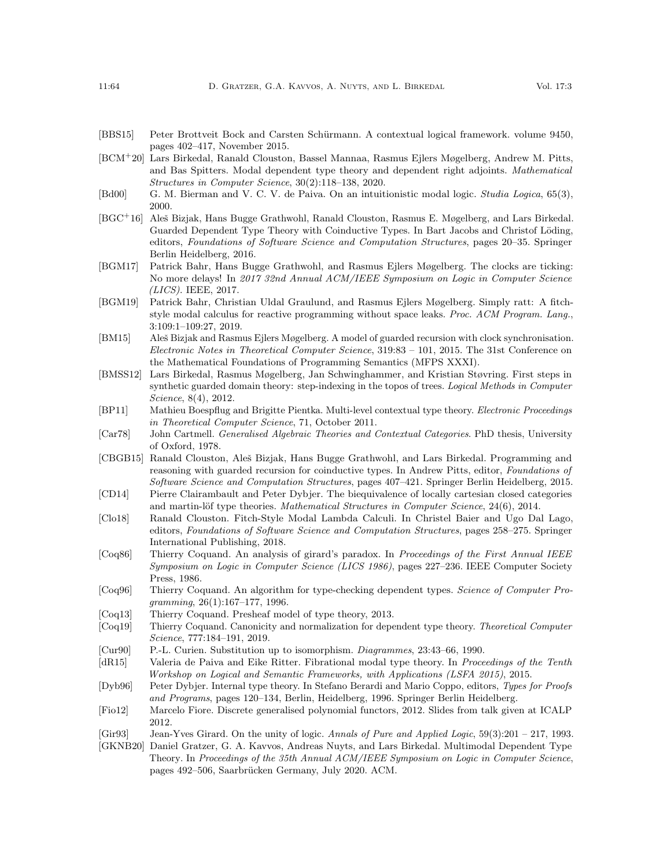- <span id="page-63-20"></span>[BBS15] Peter Brottveit Bock and Carsten Schürmann. A contextual logical framework. volume 9450, pages 402–417, November 2015.
- <span id="page-63-3"></span>[BCM<sup>+</sup>20] Lars Birkedal, Ranald Clouston, Bassel Mannaa, Rasmus Ejlers Møgelberg, Andrew M. Pitts, and Bas Spitters. Modal dependent type theory and dependent right adjoints. Mathematical Structures in Computer Science, 30(2):118–138, 2020.
- <span id="page-63-12"></span>[Bd00] G. M. Bierman and V. C. V. de Paiva. On an intuitionistic modal logic. *Studia Logica*, 65(3), 2000.
- <span id="page-63-1"></span>[BGC<sup>+</sup>16] Aleš Bizjak, Hans Bugge Grathwohl, Ranald Clouston, Rasmus E. Møgelberg, and Lars Birkedal. Guarded Dependent Type Theory with Coinductive Types. In Bart Jacobs and Christof Löding, editors, Foundations of Software Science and Computation Structures, pages 20–35. Springer Berlin Heidelberg, 2016.
- <span id="page-63-2"></span>[BGM17] Patrick Bahr, Hans Bugge Grathwohl, and Rasmus Ejlers Møgelberg. The clocks are ticking: No more delays! In 2017 32nd Annual ACM/IEEE Symposium on Logic in Computer Science (LICS). IEEE, 2017.
- <span id="page-63-22"></span>[BGM19] Patrick Bahr, Christian Uldal Graulund, and Rasmus Ejlers Møgelberg. Simply ratt: A fitchstyle modal calculus for reactive programming without space leaks. Proc. ACM Program. Lang., 3:109:1–109:27, 2019.
- <span id="page-63-18"></span>[BM15] Aleš Bizjak and Rasmus Ejlers Møgelberg. A model of guarded recursion with clock synchronisation. Electronic Notes in Theoretical Computer Science, 319:83 – 101, 2015. The 31st Conference on the Mathematical Foundations of Programming Semantics (MFPS XXXI).
- <span id="page-63-0"></span>[BMSS12] Lars Birkedal, Rasmus Møgelberg, Jan Schwinghammer, and Kristian Støvring. First steps in synthetic guarded domain theory: step-indexing in the topos of trees. Logical Methods in Computer Science, 8(4), 2012.
- <span id="page-63-19"></span>[BP11] Mathieu Boespflug and Brigitte Pientka. Multi-level contextual type theory. Electronic Proceedings in Theoretical Computer Science, 71, October 2011.
- <span id="page-63-9"></span>[Car78] John Cartmell. Generalised Algebraic Theories and Contextual Categories. PhD thesis, University of Oxford, 1978.
- <span id="page-63-17"></span>[CBGB15] Ranald Clouston, Aleš Bizjak, Hans Bugge Grathwohl, and Lars Birkedal. Programming and reasoning with guarded recursion for coinductive types. In Andrew Pitts, editor, Foundations of Software Science and Computation Structures, pages 407–421. Springer Berlin Heidelberg, 2015.
- <span id="page-63-16"></span>[CD14] Pierre Clairambault and Peter Dybjer. The biequivalence of locally cartesian closed categories and martin-löf type theories. Mathematical Structures in Computer Science,  $24(6)$ ,  $2014$ .
- <span id="page-63-8"></span>[Clo18] Ranald Clouston. Fitch-Style Modal Lambda Calculi. In Christel Baier and Ugo Dal Lago, editors, Foundations of Software Science and Computation Structures, pages 258–275. Springer International Publishing, 2018.
- <span id="page-63-7"></span>[Coq86] Thierry Coquand. An analysis of girard's paradox. In Proceedings of the First Annual IEEE Symposium on Logic in Computer Science (LICS 1986), pages 227–236. IEEE Computer Society Press, 1986.
- <span id="page-63-11"></span>[Coq96] Thierry Coquand. An algorithm for type-checking dependent types. Science of Computer Programming, 26(1):167–177, 1996.
- <span id="page-63-6"></span>[Coq13] Thierry Coquand. Presheaf model of type theory, 2013.
- <span id="page-63-5"></span>[Coq19] Thierry Coquand. Canonicity and normalization for dependent type theory. Theoretical Computer Science, 777:184–191, 2019.
- <span id="page-63-10"></span>[Cur90] P.-L. Curien. Substitution up to isomorphism. Diagrammes, 23:43–66, 1990.
- <span id="page-63-4"></span>[dR15] Valeria de Paiva and Eike Ritter. Fibrational modal type theory. In Proceedings of the Tenth Workshop on Logical and Semantic Frameworks, with Applications (LSFA 2015), 2015.
- <span id="page-63-13"></span>[Dyb96] Peter Dybjer. Internal type theory. In Stefano Berardi and Mario Coppo, editors, Types for Proofs and Programs, pages 120–134, Berlin, Heidelberg, 1996. Springer Berlin Heidelberg.
- <span id="page-63-14"></span>[Fio12] Marcelo Fiore. Discrete generalised polynomial functors, 2012. Slides from talk given at ICALP 2012.
- <span id="page-63-21"></span>[Gir93] Jean-Yves Girard. On the unity of logic. Annals of Pure and Applied Logic, 59(3):201 – 217, 1993.
- <span id="page-63-15"></span>[GKNB20] Daniel Gratzer, G. A. Kavvos, Andreas Nuyts, and Lars Birkedal. Multimodal Dependent Type Theory. In Proceedings of the 35th Annual ACM/IEEE Symposium on Logic in Computer Science, pages 492–506, Saarbrücken Germany, July 2020. ACM.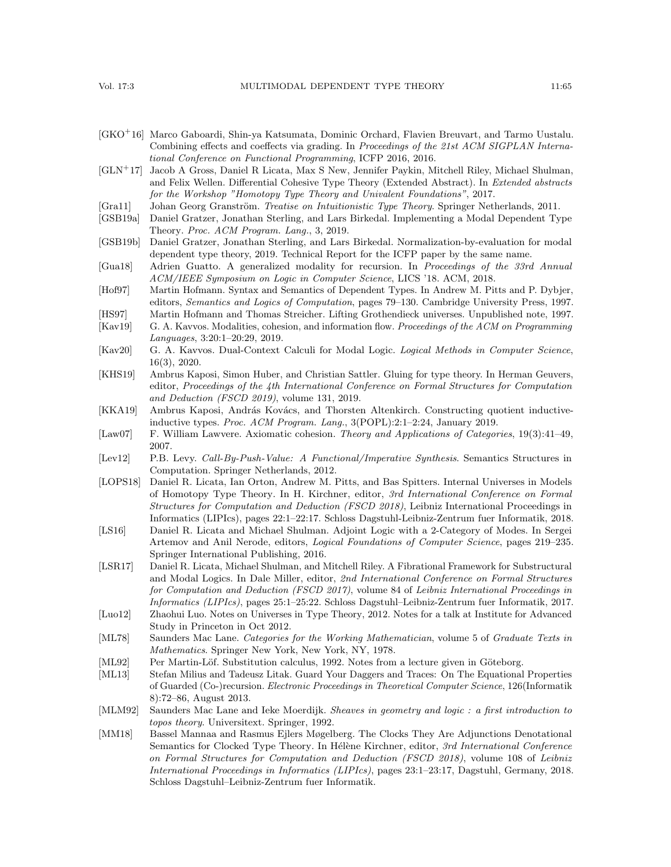- <span id="page-64-21"></span>[GKO<sup>+</sup>16] Marco Gaboardi, Shin-ya Katsumata, Dominic Orchard, Flavien Breuvart, and Tarmo Uustalu. Combining effects and coeffects via grading. In *Proceedings of the 21st ACM SIGPLAN Interna*tional Conference on Functional Programming, ICFP 2016, 2016.
- <span id="page-64-3"></span>[GLN<sup>+</sup>17] Jacob A Gross, Daniel R Licata, Max S New, Jennifer Paykin, Mitchell Riley, Michael Shulman, and Felix Wellen. Differential Cohesive Type Theory (Extended Abstract). In Extended abstracts for the Workshop "Homotopy Type Theory and Univalent Foundations", 2017.
- <span id="page-64-15"></span>[Gra11] Johan Georg Granström. Treatise on Intuitionistic Type Theory. Springer Netherlands, 2011.
- <span id="page-64-5"></span>[GSB19a] Daniel Gratzer, Jonathan Sterling, and Lars Birkedal. Implementing a Modal Dependent Type Theory. Proc. ACM Program. Lang., 3, 2019.
- <span id="page-64-11"></span>[GSB19b] Daniel Gratzer, Jonathan Sterling, and Lars Birkedal. Normalization-by-evaluation for modal dependent type theory, 2019. Technical Report for the ICFP paper by the same name.
- <span id="page-64-1"></span>[Gua18] Adrien Guatto. A generalized modality for recursion. In Proceedings of the 33rd Annual ACM/IEEE Symposium on Logic in Computer Science, LICS '18. ACM, 2018.
- <span id="page-64-9"></span>[Hof97] Martin Hofmann. Syntax and Semantics of Dependent Types. In Andrew M. Pitts and P. Dybjer, editors, Semantics and Logics of Computation, pages 79–130. Cambridge University Press, 1997.
- <span id="page-64-18"></span>[HS97] Martin Hofmann and Thomas Streicher. Lifting Grothendieck universes. Unpublished note, 1997.
- <span id="page-64-4"></span>[Kav19] G. A. Kavvos. Modalities, cohesion, and information flow. Proceedings of the ACM on Programming Languages, 3:20:1–20:29, 2019.
- <span id="page-64-12"></span>[Kav20] G. A. Kavvos. Dual-Context Calculi for Modal Logic. *Logical Methods in Computer Science*, 16(3), 2020.
- <span id="page-64-8"></span>[KHS19] Ambrus Kaposi, Simon Huber, and Christian Sattler. Gluing for type theory. In Herman Geuvers, editor, Proceedings of the 4th International Conference on Formal Structures for Computation and Deduction (FSCD 2019), volume 131, 2019.
- <span id="page-64-13"></span>[KKA19] Ambrus Kaposi, András Kovács, and Thorsten Altenkirch. Constructing quotient inductiveinductive types. Proc. ACM Program. Lang., 3(POPL):2:1–2:24, January 2019.
- <span id="page-64-2"></span>[Law07] F. William Lawvere. Axiomatic cohesion. Theory and Applications of Categories, 19(3):41–49, 2007.
- <span id="page-64-22"></span>[Lev12] P.B. Levy. Call-By-Push-Value: A Functional/Imperative Synthesis. Semantics Structures in Computation. Springer Netherlands, 2012.
- <span id="page-64-0"></span>[LOPS18] Daniel R. Licata, Ian Orton, Andrew M. Pitts, and Bas Spitters. Internal Universes in Models of Homotopy Type Theory. In H. Kirchner, editor, 3rd International Conference on Formal Structures for Computation and Deduction (FSCD 2018), Leibniz International Proceedings in Informatics (LIPIcs), pages 22:1–22:17. Schloss Dagstuhl-Leibniz-Zentrum fuer Informatik, 2018.
- <span id="page-64-6"></span>[LS16] Daniel R. Licata and Michael Shulman. Adjoint Logic with a 2-Category of Modes. In Sergei Artemov and Anil Nerode, editors, Logical Foundations of Computer Science, pages 219–235. Springer International Publishing, 2016.
- <span id="page-64-7"></span>[LSR17] Daniel R. Licata, Michael Shulman, and Mitchell Riley. A Fibrational Framework for Substructural and Modal Logics. In Dale Miller, editor, 2nd International Conference on Formal Structures for Computation and Deduction (FSCD 2017), volume 84 of Leibniz International Proceedings in Informatics (LIPIcs), pages 25:1–25:22. Schloss Dagstuhl–Leibniz-Zentrum fuer Informatik, 2017.
- <span id="page-64-10"></span>[Luo12] Zhaohui Luo. Notes on Universes in Type Theory, 2012. Notes for a talk at Institute for Advanced Study in Princeton in Oct 2012.
- <span id="page-64-17"></span>[ML78] Saunders Mac Lane. Categories for the Working Mathematician, volume 5 of Graduate Texts in Mathematics. Springer New York, New York, NY, 1978.
- <span id="page-64-14"></span>[ML92] Per Martin-Löf. Substitution calculus, 1992. Notes from a lecture given in Göteborg.
- <span id="page-64-19"></span>[ML13] Stefan Milius and Tadeusz Litak. Guard Your Daggers and Traces: On The Equational Properties of Guarded (Co-)recursion. Electronic Proceedings in Theoretical Computer Science, 126(Informatik 8):72–86, August 2013.
- <span id="page-64-16"></span>[MLM92] Saunders Mac Lane and Ieke Moerdijk. Sheaves in geometry and logic : a first introduction to topos theory. Universitext. Springer, 1992.
- <span id="page-64-20"></span>[MM18] Bassel Mannaa and Rasmus Ejlers Møgelberg. The Clocks They Are Adjunctions Denotational Semantics for Clocked Type Theory. In Hélène Kirchner, editor, 3rd International Conference on Formal Structures for Computation and Deduction (FSCD 2018), volume 108 of Leibniz International Proceedings in Informatics (LIPIcs), pages 23:1–23:17, Dagstuhl, Germany, 2018. Schloss Dagstuhl–Leibniz-Zentrum fuer Informatik.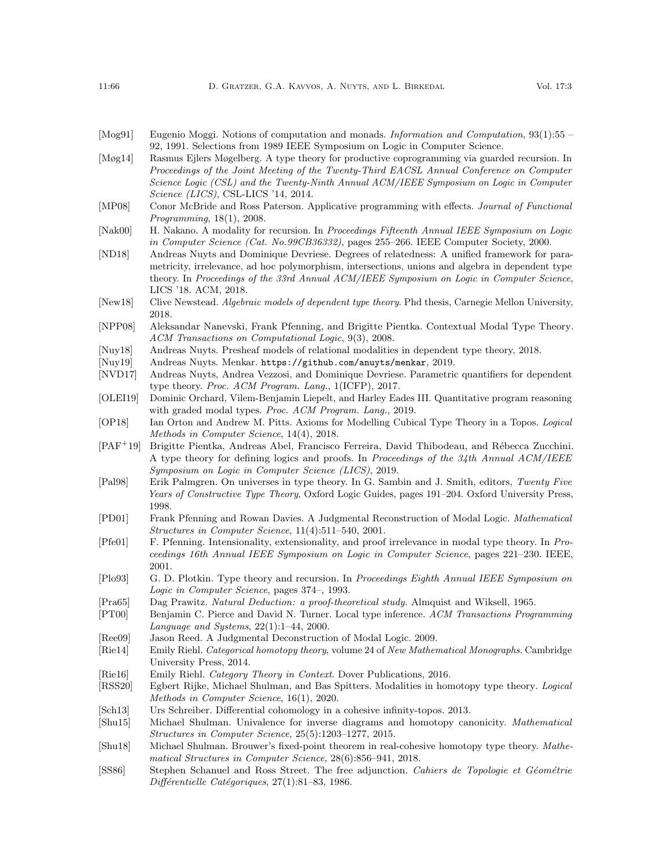- <span id="page-65-26"></span>[Mog91] Eugenio Moggi. Notions of computation and monads. Information and Computation, 93(1):55 – 92, 1991. Selections from 1989 IEEE Symposium on Logic in Computer Science.
- <span id="page-65-20"></span>[Møg14] Rasmus Ejlers Møgelberg. A type theory for productive coprogramming via guarded recursion. In Proceedings of the Joint Meeting of the Twenty-Third EACSL Annual Conference on Computer Science Logic (CSL) and the Twenty-Ninth Annual ACM/IEEE Symposium on Logic in Computer Science (LICS), CSL-LICS '14, 2014.
- <span id="page-65-11"></span>[MP08] Conor McBride and Ross Paterson. Applicative programming with effects. Journal of Functional Programming, 18(1), 2008.

- <span id="page-65-3"></span>[ND18] Andreas Nuyts and Dominique Devriese. Degrees of relatedness: A unified framework for parametricity, irrelevance, ad hoc polymorphism, intersections, unions and algebra in dependent type theory. In Proceedings of the 33rd Annual ACM/IEEE Symposium on Logic in Computer Science, LICS '18. ACM, 2018.
- <span id="page-65-16"></span>[New18] Clive Newstead. Algebraic models of dependent type theory. Phd thesis, Carnegie Mellon University, 2018.
- <span id="page-65-21"></span>[NPP08] Aleksandar Nanevski, Frank Pfenning, and Brigitte Pientka. Contextual Modal Type Theory. ACM Transactions on Computational Logic, 9(3), 2008.
- <span id="page-65-17"></span>[Nuy18] Andreas Nuyts. Presheaf models of relational modalities in dependent type theory, 2018.<br>[Nuy19] Andreas Nuyts. Menkar. https://github.com/anuyts/menkar, 2019.
- <span id="page-65-25"></span>Andreas Nuyts. Menkar. <https://github.com/anuyts/menkar>, 2019.
- <span id="page-65-2"></span>[NVD17] Andreas Nuyts, Andrea Vezzosi, and Dominique Devriese. Parametric quantifiers for dependent type theory. Proc. ACM Program. Lang., 1(ICFP), 2017.
- <span id="page-65-24"></span>[OLEI19] Dominic Orchard, Vilem-Benjamin Liepelt, and Harley Eades III. Quantitative program reasoning with graded modal types. Proc. ACM Program. Lang., 2019.
- <span id="page-65-15"></span>[OP18] Ian Orton and Andrew M. Pitts. Axioms for Modelling Cubical Type Theory in a Topos. Logical Methods in Computer Science, 14(4), 2018.
- <span id="page-65-22"></span>[PAF<sup>+</sup>19] Brigitte Pientka, Andreas Abel, Francisco Ferreira, David Thibodeau, and R´ebecca Zucchini. A type theory for defining logics and proofs. In Proceedings of the 34th Annual ACM/IEEE Symposium on Logic in Computer Science (LICS), 2019.
- <span id="page-65-9"></span>[Pal98] Erik Palmgren. On universes in type theory. In G. Sambin and J. Smith, editors, Twenty Five Years of Constructive Type Theory, Oxford Logic Guides, pages 191–204. Oxford University Press, 1998.
- <span id="page-65-10"></span>[PD01] Frank Pfenning and Rowan Davies. A Judgmental Reconstruction of Modal Logic. Mathematical Structures in Computer Science, 11(4):511–540, 2001.
- <span id="page-65-4"></span>[Pfe01] F. Pfenning. Intensionality, extensionality, and proof irrelevance in modal type theory. In Proceedings 16th Annual IEEE Symposium on Logic in Computer Science, pages 221–230. IEEE, 2001.
- <span id="page-65-23"></span>[Plo93] G. D. Plotkin. Type theory and recursion. In Proceedings Eighth Annual IEEE Symposium on Logic in Computer Science, pages 374–, 1993.
- <span id="page-65-13"></span>[Pra65] Dag Prawitz. Natural Deduction: a proof-theoretical study. Almquist and Wiksell, 1965.
- <span id="page-65-12"></span>[PT00] Benjamin C. Pierce and David N. Turner. Local type inference. ACM Transactions Programming Language and Systems, 22(1):1–44, 2000.
- <span id="page-65-6"></span>[Ree09] Jason Reed. A Judgmental Deconstruction of Modal Logic. 2009.
- <span id="page-65-14"></span>[Rie14] Emily Riehl. Categorical homotopy theory, volume 24 of New Mathematical Monographs. Cambridge University Press, 2014.
- <span id="page-65-18"></span>[Rie16] Emily Riehl. Category Theory in Context. Dover Publications, 2016.
- <span id="page-65-0"></span>[RSS20] Egbert Rijke, Michael Shulman, and Bas Spitters. Modalities in homotopy type theory. Logical Methods in Computer Science, 16(1), 2020.
- <span id="page-65-5"></span>[Sch13] Urs Schreiber. Differential cohomology in a cohesive infinity-topos. 2013.
- <span id="page-65-8"></span>[Shu15] Michael Shulman. Univalence for inverse diagrams and homotopy canonicity. Mathematical Structures in Computer Science, 25(5):1203–1277, 2015.
- <span id="page-65-1"></span>[Shu18] Michael Shulman. Brouwer's fixed-point theorem in real-cohesive homotopy type theory. Mathematical Structures in Computer Science, 28(6):856–941, 2018.
- <span id="page-65-7"></span>[SS86] Stephen Schanuel and Ross Street. The free adjunction. Cahiers de Topologie et Géométrie  $Différentielle Catégoriques, 27(1):81–83, 1986.$

<span id="page-65-19"></span><sup>[</sup>Nak00] H. Nakano. A modality for recursion. In Proceedings Fifteenth Annual IEEE Symposium on Logic in Computer Science (Cat. No.99CB36332), pages 255–266. IEEE Computer Society, 2000.